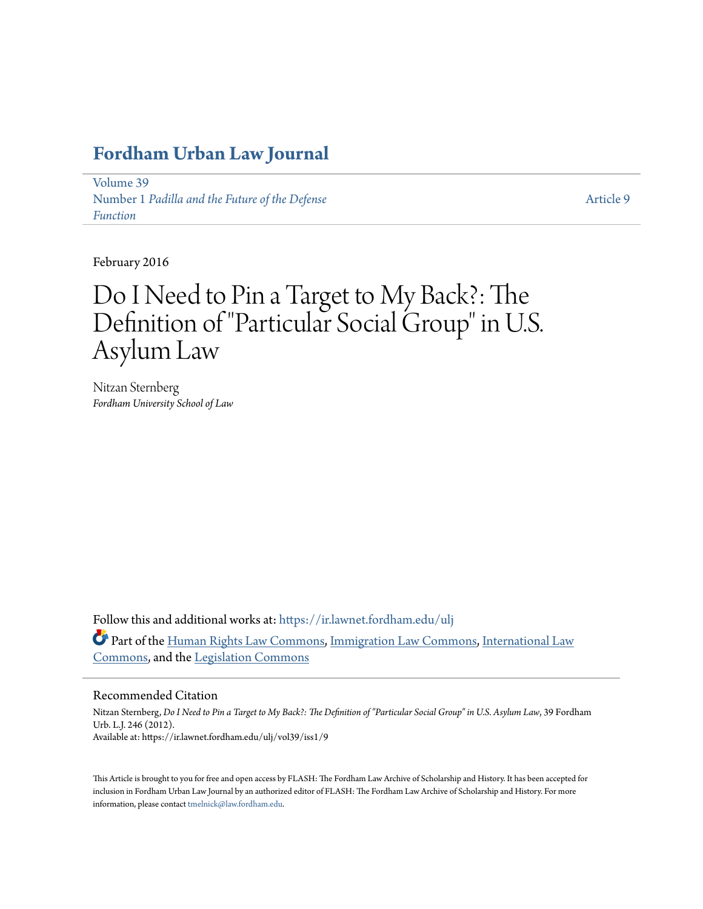# **[Fordham Urban Law Journal](https://ir.lawnet.fordham.edu/ulj?utm_source=ir.lawnet.fordham.edu%2Fulj%2Fvol39%2Fiss1%2F9&utm_medium=PDF&utm_campaign=PDFCoverPages)**

[Volume 39](https://ir.lawnet.fordham.edu/ulj/vol39?utm_source=ir.lawnet.fordham.edu%2Fulj%2Fvol39%2Fiss1%2F9&utm_medium=PDF&utm_campaign=PDFCoverPages) Number 1 *[Padilla and the Future of the Defense](https://ir.lawnet.fordham.edu/ulj/vol39/iss1?utm_source=ir.lawnet.fordham.edu%2Fulj%2Fvol39%2Fiss1%2F9&utm_medium=PDF&utm_campaign=PDFCoverPages) [Function](https://ir.lawnet.fordham.edu/ulj/vol39/iss1?utm_source=ir.lawnet.fordham.edu%2Fulj%2Fvol39%2Fiss1%2F9&utm_medium=PDF&utm_campaign=PDFCoverPages)*

[Article 9](https://ir.lawnet.fordham.edu/ulj/vol39/iss1/9?utm_source=ir.lawnet.fordham.edu%2Fulj%2Fvol39%2Fiss1%2F9&utm_medium=PDF&utm_campaign=PDFCoverPages)

February 2016

# Do I Need to Pin a Target to My Back?: The Definition of "Particular Social Group" in U.S. Asylum Law

Nitzan Sternberg *Fordham University School of Law*

Follow this and additional works at: [https://ir.lawnet.fordham.edu/ulj](https://ir.lawnet.fordham.edu/ulj?utm_source=ir.lawnet.fordham.edu%2Fulj%2Fvol39%2Fiss1%2F9&utm_medium=PDF&utm_campaign=PDFCoverPages) Part of the [Human Rights Law Commons,](http://network.bepress.com/hgg/discipline/847?utm_source=ir.lawnet.fordham.edu%2Fulj%2Fvol39%2Fiss1%2F9&utm_medium=PDF&utm_campaign=PDFCoverPages) [Immigration Law Commons](http://network.bepress.com/hgg/discipline/604?utm_source=ir.lawnet.fordham.edu%2Fulj%2Fvol39%2Fiss1%2F9&utm_medium=PDF&utm_campaign=PDFCoverPages), [International Law](http://network.bepress.com/hgg/discipline/609?utm_source=ir.lawnet.fordham.edu%2Fulj%2Fvol39%2Fiss1%2F9&utm_medium=PDF&utm_campaign=PDFCoverPages) [Commons,](http://network.bepress.com/hgg/discipline/609?utm_source=ir.lawnet.fordham.edu%2Fulj%2Fvol39%2Fiss1%2F9&utm_medium=PDF&utm_campaign=PDFCoverPages) and the [Legislation Commons](http://network.bepress.com/hgg/discipline/859?utm_source=ir.lawnet.fordham.edu%2Fulj%2Fvol39%2Fiss1%2F9&utm_medium=PDF&utm_campaign=PDFCoverPages)

# Recommended Citation

Nitzan Sternberg, *Do I Need to Pin a Target to My Back?: The Definition of "Particular Social Group" in U.S. Asylum Law*, 39 Fordham Urb. L.J. 246 (2012). Available at: https://ir.lawnet.fordham.edu/ulj/vol39/iss1/9

This Article is brought to you for free and open access by FLASH: The Fordham Law Archive of Scholarship and History. It has been accepted for inclusion in Fordham Urban Law Journal by an authorized editor of FLASH: The Fordham Law Archive of Scholarship and History. For more information, please contact [tmelnick@law.fordham.edu](mailto:tmelnick@law.fordham.edu).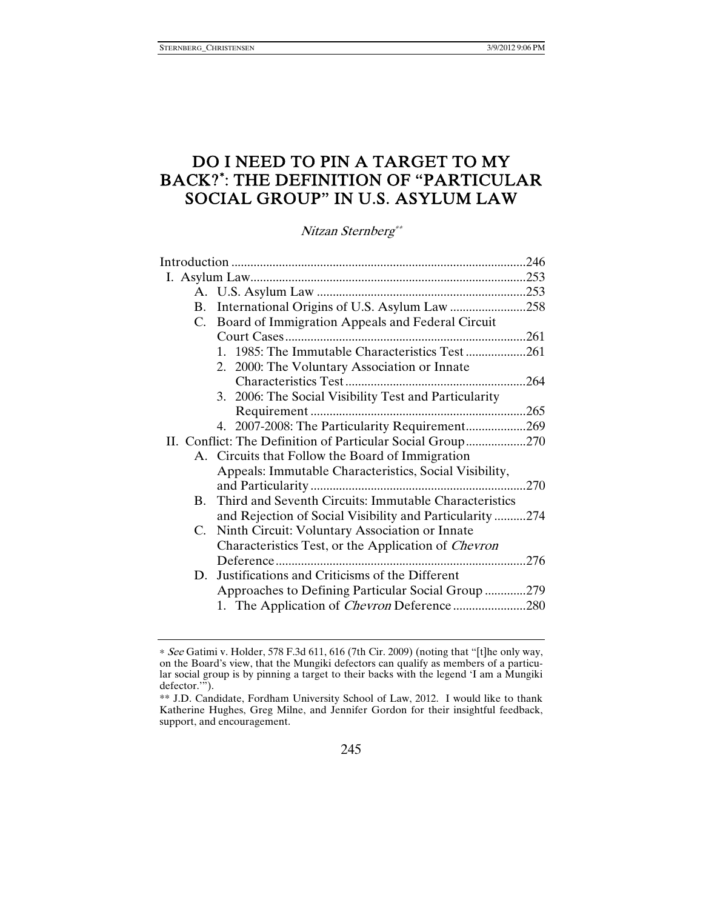# DO I NEED TO PIN A TARGET TO MY BACK?<sup>∗</sup> : THE DEFINITION OF "PARTICULAR SOCIAL GROUP" IN U.S. ASYLUM LAW

Nitzan Sternberg\*\*

|  | B.             | International Origins of U.S. Asylum Law 258               |     |
|--|----------------|------------------------------------------------------------|-----|
|  | C.             | Board of Immigration Appeals and Federal Circuit           |     |
|  |                |                                                            |     |
|  |                | 1. 1985: The Immutable Characteristics Test 261            |     |
|  |                | 2. 2000: The Voluntary Association or Innate               |     |
|  |                |                                                            |     |
|  |                | 3. 2006: The Social Visibility Test and Particularity      |     |
|  |                |                                                            |     |
|  |                | 4. 2007-2008: The Particularity Requirement269             |     |
|  |                | II. Conflict: The Definition of Particular Social Group270 |     |
|  |                | A. Circuits that Follow the Board of Immigration           |     |
|  |                | Appeals: Immutable Characteristics, Social Visibility,     |     |
|  |                |                                                            | 270 |
|  | $\mathbf{B}$ . | Third and Seventh Circuits: Immutable Characteristics      |     |
|  |                | and Rejection of Social Visibility and Particularity274    |     |
|  | C.             | Ninth Circuit: Voluntary Association or Innate             |     |
|  |                | Characteristics Test, or the Application of <i>Chevron</i> |     |
|  |                |                                                            |     |
|  | D.             | Justifications and Criticisms of the Different             |     |
|  |                | Approaches to Defining Particular Social Group 279         |     |
|  |                |                                                            |     |
|  |                |                                                            |     |

<sup>∗</sup> See Gatimi v. Holder, 578 F.3d 611, 616 (7th Cir. 2009) (noting that "[t]he only way, on the Board's view, that the Mungiki defectors can qualify as members of a particular social group is by pinning a target to their backs with the legend 'I am a Mungiki defector."").

<sup>\*\*</sup> J.D. Candidate, Fordham University School of Law, 2012. I would like to thank Katherine Hughes, Greg Milne, and Jennifer Gordon for their insightful feedback, support, and encouragement.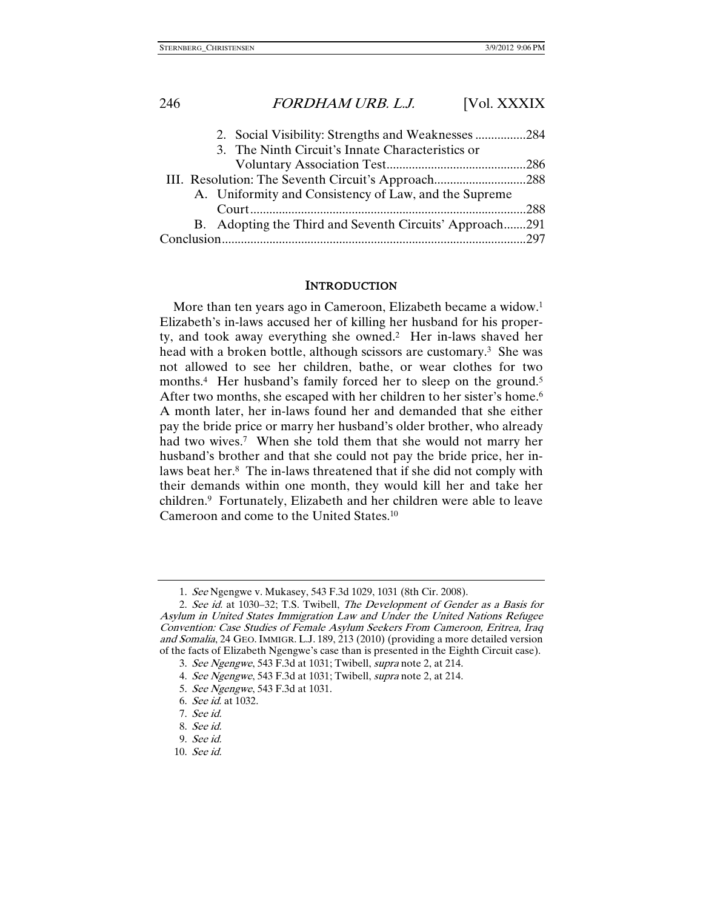| 2. Social Visibility: Strengths and Weaknesses 284      |  |  |
|---------------------------------------------------------|--|--|
| 3. The Ninth Circuit's Innate Characteristics or        |  |  |
|                                                         |  |  |
|                                                         |  |  |
| A. Uniformity and Consistency of Law, and the Supreme   |  |  |
|                                                         |  |  |
| B. Adopting the Third and Seventh Circuits' Approach291 |  |  |
|                                                         |  |  |

### **INTRODUCTION**

More than ten years ago in Cameroon, Elizabeth became a widow.<sup>1</sup> Elizabeth's in-laws accused her of killing her husband for his property, and took away everything she owned.2 Her in-laws shaved her head with a broken bottle, although scissors are customary.<sup>3</sup> She was not allowed to see her children, bathe, or wear clothes for two months.<sup>4</sup> Her husband's family forced her to sleep on the ground.<sup>5</sup> After two months, she escaped with her children to her sister's home.<sup>6</sup> A month later, her in-laws found her and demanded that she either pay the bride price or marry her husband's older brother, who already had two wives.<sup>7</sup> When she told them that she would not marry her husband's brother and that she could not pay the bride price, her inlaws beat her.8 The in-laws threatened that if she did not comply with their demands within one month, they would kill her and take her children.9 Fortunately, Elizabeth and her children were able to leave Cameroon and come to the United States.10

 <sup>1.</sup> See Ngengwe v. Mukasey, 543 F.3d 1029, 1031 (8th Cir. 2008).

 <sup>2.</sup> See id. at 1030–32; T.S. Twibell, The Development of Gender as a Basis for Asylum in United States Immigration Law and Under the United Nations Refugee Convention: Case Studies of Female Asylum Seekers From Cameroon, Eritrea, Iraq and Somalia, 24 GEO. IMMIGR. L.J. 189, 213 (2010) (providing a more detailed version of the facts of Elizabeth Ngengwe's case than is presented in the Eighth Circuit case).

 <sup>3.</sup> See Ngengwe, 543 F.3d at 1031; Twibell, supra note 2, at 214.

 <sup>4.</sup> See Ngengwe, 543 F.3d at 1031; Twibell, supra note 2, at 214.

 <sup>5.</sup> See Ngengwe, 543 F.3d at 1031.

 <sup>6.</sup> See id. at 1032.

 <sup>7.</sup> See id.

 <sup>8.</sup> See id.

 <sup>9.</sup> See id.

 <sup>10.</sup> See id.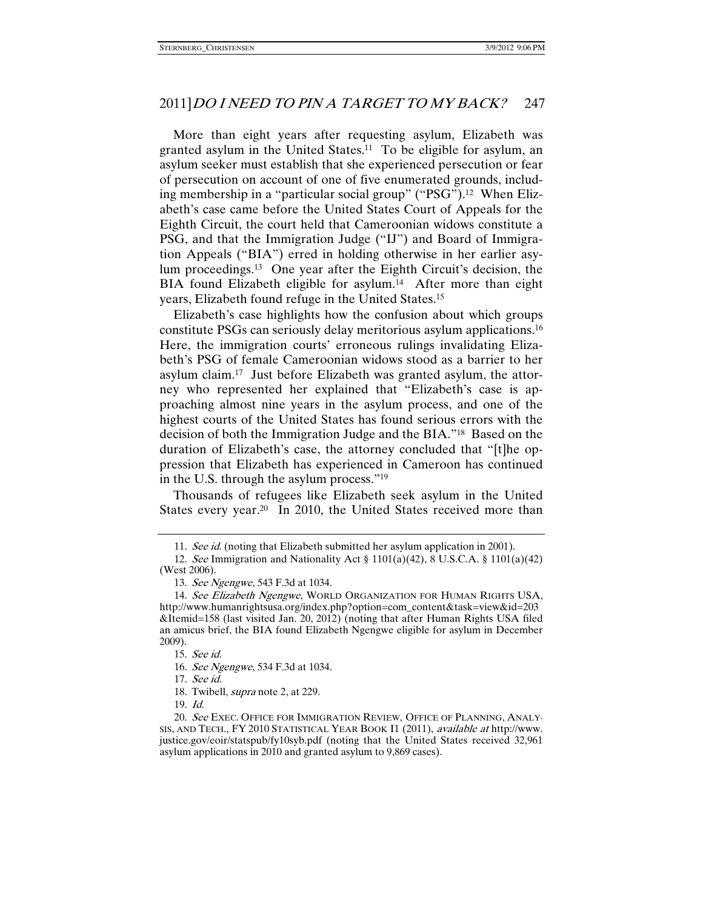More than eight years after requesting asylum, Elizabeth was granted asylum in the United States.<sup>11</sup> To be eligible for asylum, an asylum seeker must establish that she experienced persecution or fear of persecution on account of one of five enumerated grounds, including membership in a "particular social group" ("PSG").<sup>12</sup> When Elizabeth's case came before the United States Court of Appeals for the Eighth Circuit, the court held that Cameroonian widows constitute a PSG, and that the Immigration Judge ("IJ") and Board of Immigration Appeals ("BIA") erred in holding otherwise in her earlier asylum proceedings.13 One year after the Eighth Circuit's decision, the BIA found Elizabeth eligible for asylum.<sup>14</sup> After more than eight years, Elizabeth found refuge in the United States.15

Elizabeth's case highlights how the confusion about which groups constitute PSGs can seriously delay meritorious asylum applications.16 Here, the immigration courts' erroneous rulings invalidating Elizabeth's PSG of female Cameroonian widows stood as a barrier to her asylum claim.17 Just before Elizabeth was granted asylum, the attorney who represented her explained that "Elizabeth's case is approaching almost nine years in the asylum process, and one of the highest courts of the United States has found serious errors with the decision of both the Immigration Judge and the BIA."18 Based on the duration of Elizabeth's case, the attorney concluded that "[t]he oppression that Elizabeth has experienced in Cameroon has continued in the U.S. through the asylum process."19

Thousands of refugees like Elizabeth seek asylum in the United States every year.<sup>20</sup> In 2010, the United States received more than

17. See id.

19. Id.

 <sup>11.</sup> See id. (noting that Elizabeth submitted her asylum application in 2001).

 <sup>12.</sup> See Immigration and Nationality Act § 1101(a)(42), 8 U.S.C.A. § 1101(a)(42) (West 2006).

 <sup>13.</sup> See Ngengwe, 543 F.3d at 1034.

<sup>14.</sup> See Elizabeth Ngengwe, WORLD ORGANIZATION FOR HUMAN RIGHTS USA, http://www.humanrightsusa.org/index.php?option=com\_content&task=view&id=203 &Itemid=158 (last visited Jan. 20, 2012) (noting that after Human Rights USA filed an amicus brief, the BIA found Elizabeth Ngengwe eligible for asylum in December 2009).

 <sup>15.</sup> See id.

 <sup>16.</sup> See Ngengwe, 534 F.3d at 1034.

 <sup>18.</sup> Twibell, supra note 2, at 229.

 <sup>20.</sup> See EXEC. OFFICE FOR IMMIGRATION REVIEW, OFFICE OF PLANNING, ANALY-SIS, AND TECH., FY 2010 STATISTICAL YEAR BOOK I1 (2011), available at http://www. justice.gov/eoir/statspub/fy10syb.pdf (noting that the United States received 32,961 asylum applications in 2010 and granted asylum to 9,869 cases).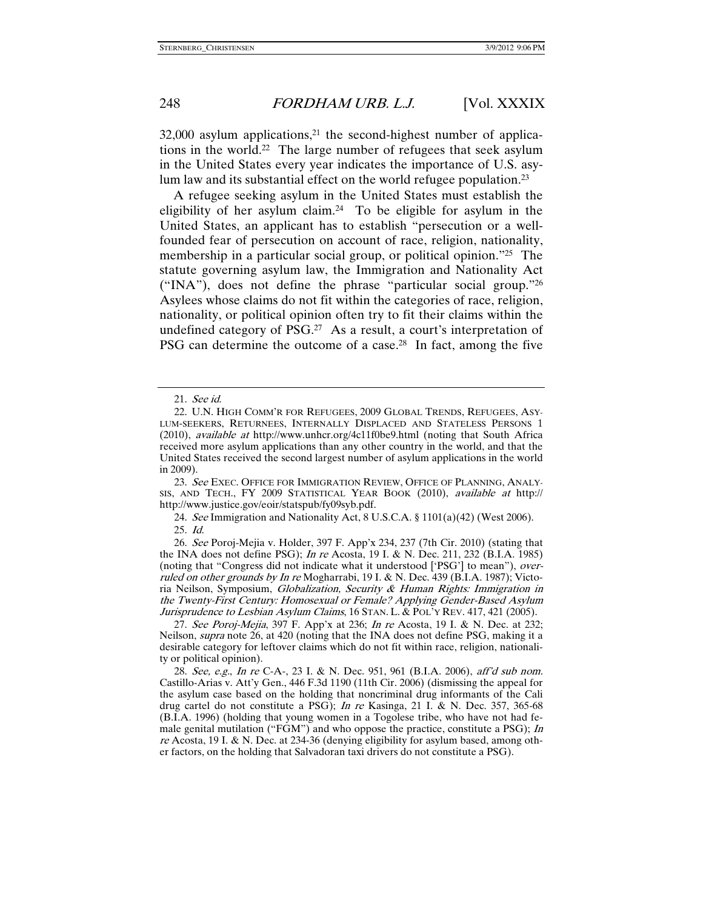$32,000$  asylum applications,<sup>21</sup> the second-highest number of applications in the world.22 The large number of refugees that seek asylum in the United States every year indicates the importance of U.S. asylum law and its substantial effect on the world refugee population.<sup>23</sup>

A refugee seeking asylum in the United States must establish the eligibility of her asylum claim.24 To be eligible for asylum in the United States, an applicant has to establish "persecution or a wellfounded fear of persecution on account of race, religion, nationality, membership in a particular social group, or political opinion."25 The statute governing asylum law, the Immigration and Nationality Act ("INA"), does not define the phrase "particular social group."26 Asylees whose claims do not fit within the categories of race, religion, nationality, or political opinion often try to fit their claims within the undefined category of PSG.<sup>27</sup> As a result, a court's interpretation of PSG can determine the outcome of a case.<sup>28</sup> In fact, among the five

23. See EXEC. OFFICE FOR IMMIGRATION REVIEW, OFFICE OF PLANNING, ANALY-SIS, AND TECH., FY 2009 STATISTICAL YEAR BOOK (2010), available at http:// http://www.justice.gov/eoir/statspub/fy09syb.pdf.

 24. See Immigration and Nationality Act, 8 U.S.C.A. § 1101(a)(42) (West 2006). 25. Id.

 26. See Poroj-Mejia v. Holder, 397 F. App'x 234, 237 (7th Cir. 2010) (stating that the INA does not define PSG); In re Acosta, 19 I. & N. Dec. 211, 232 (B.I.A. 1985) (noting that "Congress did not indicate what it understood ['PSG'] to mean"), overruled on other grounds by In re Mogharrabi, 19 I. & N. Dec. 439 (B.I.A. 1987); Victoria Neilson, Symposium, Globalization, Security & Human Rights: Immigration in the Twenty-First Century: Homosexual or Female? Applying Gender-Based Asylum Jurisprudence to Lesbian Asylum Claims, 16 STAN. L. & POL'Y REV. 417, 421 (2005).

27. See Poroj-Mejia, 397 F. App'x at 236; In re Acosta, 19 I. & N. Dec. at 232; Neilson, *supra* note 26, at 420 (noting that the INA does not define PSG, making it a desirable category for leftover claims which do not fit within race, religion, nationality or political opinion).

 28. See, e.g., In re C-A-, 23 I. & N. Dec. 951, 961 (B.I.A. 2006), aff'd sub nom. Castillo-Arias v. Att'y Gen., 446 F.3d 1190 (11th Cir. 2006) (dismissing the appeal for the asylum case based on the holding that noncriminal drug informants of the Cali drug cartel do not constitute a PSG); In re Kasinga, 21 I. & N. Dec. 357, 365-68 (B.I.A. 1996) (holding that young women in a Togolese tribe, who have not had female genital mutilation ("FGM") and who oppose the practice, constitute a PSG); In re Acosta, 19 I. & N. Dec. at 234-36 (denying eligibility for asylum based, among other factors, on the holding that Salvadoran taxi drivers do not constitute a PSG).

 <sup>21.</sup> See id.

 <sup>22.</sup> U.N. HIGH COMM'R FOR REFUGEES, 2009 GLOBAL TRENDS, REFUGEES, ASY-LUM-SEEKERS, RETURNEES, INTERNALLY DISPLACED AND STATELESS PERSONS 1 (2010), available at http://www.unhcr.org/4c11f0be9.html (noting that South Africa received more asylum applications than any other country in the world, and that the United States received the second largest number of asylum applications in the world in 2009).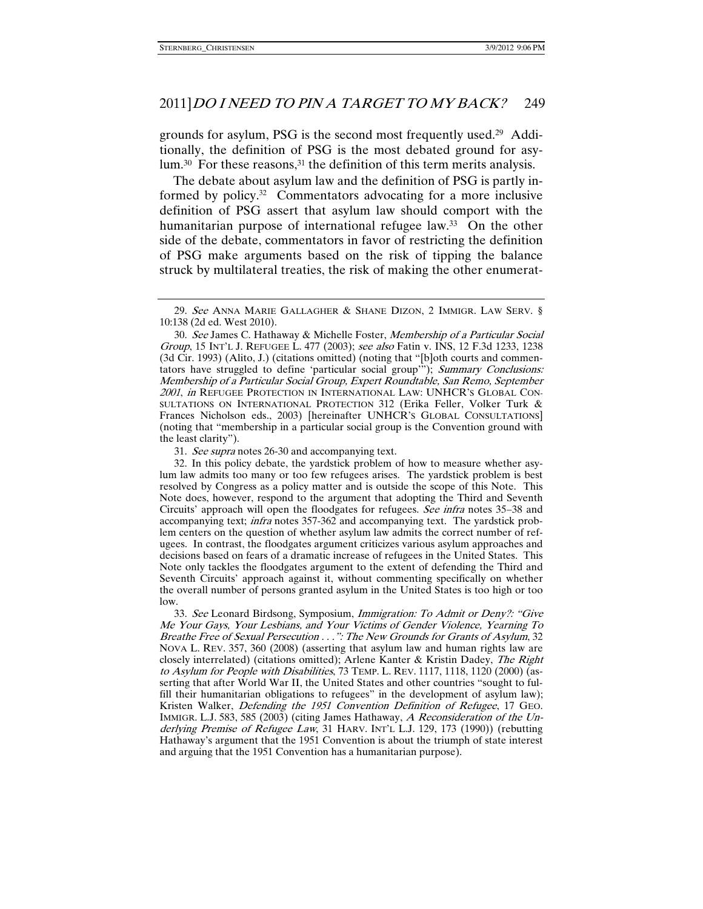grounds for asylum, PSG is the second most frequently used.29 Additionally, the definition of PSG is the most debated ground for asylum.<sup>30</sup> For these reasons,<sup>31</sup> the definition of this term merits analysis.

The debate about asylum law and the definition of PSG is partly informed by policy.32 Commentators advocating for a more inclusive definition of PSG assert that asylum law should comport with the humanitarian purpose of international refugee law.<sup>33</sup> On the other side of the debate, commentators in favor of restricting the definition of PSG make arguments based on the risk of tipping the balance struck by multilateral treaties, the risk of making the other enumerat-

31. See supra notes 26-30 and accompanying text.

 32. In this policy debate, the yardstick problem of how to measure whether asylum law admits too many or too few refugees arises. The yardstick problem is best resolved by Congress as a policy matter and is outside the scope of this Note. This Note does, however, respond to the argument that adopting the Third and Seventh Circuits' approach will open the floodgates for refugees. See infra notes 35–38 and accompanying text; infra notes 357-362 and accompanying text. The yardstick problem centers on the question of whether asylum law admits the correct number of refugees. In contrast, the floodgates argument criticizes various asylum approaches and decisions based on fears of a dramatic increase of refugees in the United States. This Note only tackles the floodgates argument to the extent of defending the Third and Seventh Circuits' approach against it, without commenting specifically on whether the overall number of persons granted asylum in the United States is too high or too low.

 33. See Leonard Birdsong, Symposium, Immigration: To Admit or Deny?: "Give Me Your Gays, Your Lesbians, and Your Victims of Gender Violence, Yearning To Breathe Free of Sexual Persecution . . .": The New Grounds for Grants of Asylum, 32 NOVA L. REV. 357, 360 (2008) (asserting that asylum law and human rights law are closely interrelated) (citations omitted); Arlene Kanter & Kristin Dadey, The Right to Asylum for People with Disabilities, 73 TEMP. L. REV. 1117, 1118, 1120 (2000) (asserting that after World War II, the United States and other countries "sought to fulfill their humanitarian obligations to refugees" in the development of asylum law); Kristen Walker, Defending the 1951 Convention Definition of Refugee, 17 GEO. IMMIGR. L.J. 583, 585 (2003) (citing James Hathaway, A Reconsideration of the Underlying Premise of Refugee Law, 31 HARV. INT'L L.J. 129, 173 (1990)) (rebutting Hathaway's argument that the 1951 Convention is about the triumph of state interest and arguing that the 1951 Convention has a humanitarian purpose).

 <sup>29.</sup> See ANNA MARIE GALLAGHER & SHANE DIZON, 2 IMMIGR. LAW SERV. § 10:138 (2d ed. West 2010).

 <sup>30.</sup> See James C. Hathaway & Michelle Foster, Membership of a Particular Social Group, 15 INT'L J. REFUGEE L. 477 (2003); see also Fatin v. INS, 12 F.3d 1233, 1238 (3d Cir. 1993) (Alito, J.) (citations omitted) (noting that "[b]oth courts and commentators have struggled to define 'particular social group'"); Summary Conclusions: Membership of a Particular Social Group, Expert Roundtable, San Remo, September 2001, in REFUGEE PROTECTION IN INTERNATIONAL LAW: UNHCR'S GLOBAL CON-SULTATIONS ON INTERNATIONAL PROTECTION 312 (Erika Feller, Volker Turk & Frances Nicholson eds., 2003) [hereinafter UNHCR'S GLOBAL CONSULTATIONS] (noting that "membership in a particular social group is the Convention ground with the least clarity").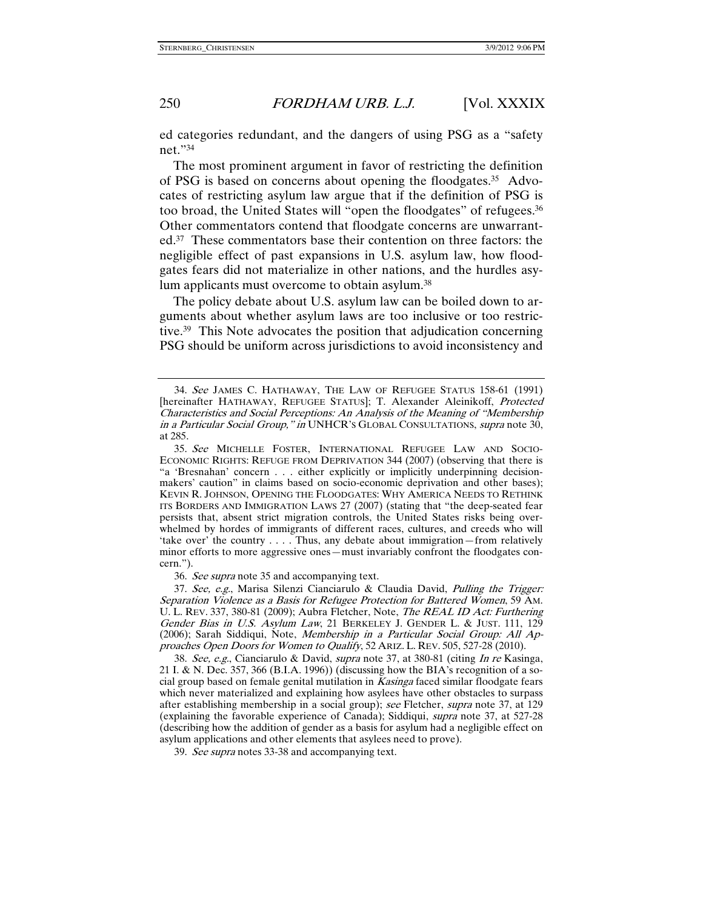ed categories redundant, and the dangers of using PSG as a "safety net."34

The most prominent argument in favor of restricting the definition of PSG is based on concerns about opening the floodgates.35 Advocates of restricting asylum law argue that if the definition of PSG is too broad, the United States will "open the floodgates" of refugees.36 Other commentators contend that floodgate concerns are unwarranted.37 These commentators base their contention on three factors: the negligible effect of past expansions in U.S. asylum law, how floodgates fears did not materialize in other nations, and the hurdles asylum applicants must overcome to obtain asylum.38

The policy debate about U.S. asylum law can be boiled down to arguments about whether asylum laws are too inclusive or too restrictive.39 This Note advocates the position that adjudication concerning PSG should be uniform across jurisdictions to avoid inconsistency and

36. See supra note 35 and accompanying text.

 37. See, e.g., Marisa Silenzi Cianciarulo & Claudia David, Pulling the Trigger: Separation Violence as a Basis for Refugee Protection for Battered Women, 59 AM. U.L. REV. 337, 380-81 (2009); Aubra Fletcher, Note, The REAL ID Act: Furthering Gender Bias in U.S. Asylum Law, 21 BERKELEY J. GENDER L. & JUST. 111, 129 (2006); Sarah Siddiqui, Note, Membership in a Particular Social Group: All Approaches Open Doors for Women to Qualify, 52 ARIZ. L. REV. 505, 527-28 (2010).

 38. See, e.g., Cianciarulo & David, supra note 37, at 380-81 (citing In re Kasinga, 21 I. & N. Dec. 357, 366 (B.I.A. 1996)) (discussing how the BIA's recognition of a social group based on female genital mutilation in  $Kasinga$  faced similar floodgate fears which never materialized and explaining how asylees have other obstacles to surpass after establishing membership in a social group); see Fletcher, supra note 37, at 129 (explaining the favorable experience of Canada); Siddiqui, supra note 37, at 527-28 (describing how the addition of gender as a basis for asylum had a negligible effect on asylum applications and other elements that asylees need to prove).

39. See supra notes 33-38 and accompanying text.

 <sup>34.</sup> See JAMES C. HATHAWAY, THE LAW OF REFUGEE STATUS 158-61 (1991) [hereinafter HATHAWAY, REFUGEE STATUS]; T. Alexander Aleinikoff, Protected Characteristics and Social Perceptions: An Analysis of the Meaning of "Membership in a Particular Social Group," in UNHCR's GLOBAL CONSULTATIONS, supra note 30, at 285.

 <sup>35.</sup> See MICHELLE FOSTER, INTERNATIONAL REFUGEE LAW AND SOCIO-ECONOMIC RIGHTS: REFUGE FROM DEPRIVATION 344 (2007) (observing that there is "a 'Bresnahan' concern . . . either explicitly or implicitly underpinning decisionmakers' caution" in claims based on socio-economic deprivation and other bases); KEVIN R. JOHNSON, OPENING THE FLOODGATES: WHY AMERICA NEEDS TO RETHINK ITS BORDERS AND IMMIGRATION LAWS 27 (2007) (stating that "the deep-seated fear persists that, absent strict migration controls, the United States risks being overwhelmed by hordes of immigrants of different races, cultures, and creeds who will 'take over' the country . . . . Thus, any debate about immigration—from relatively minor efforts to more aggressive ones—must invariably confront the floodgates concern.").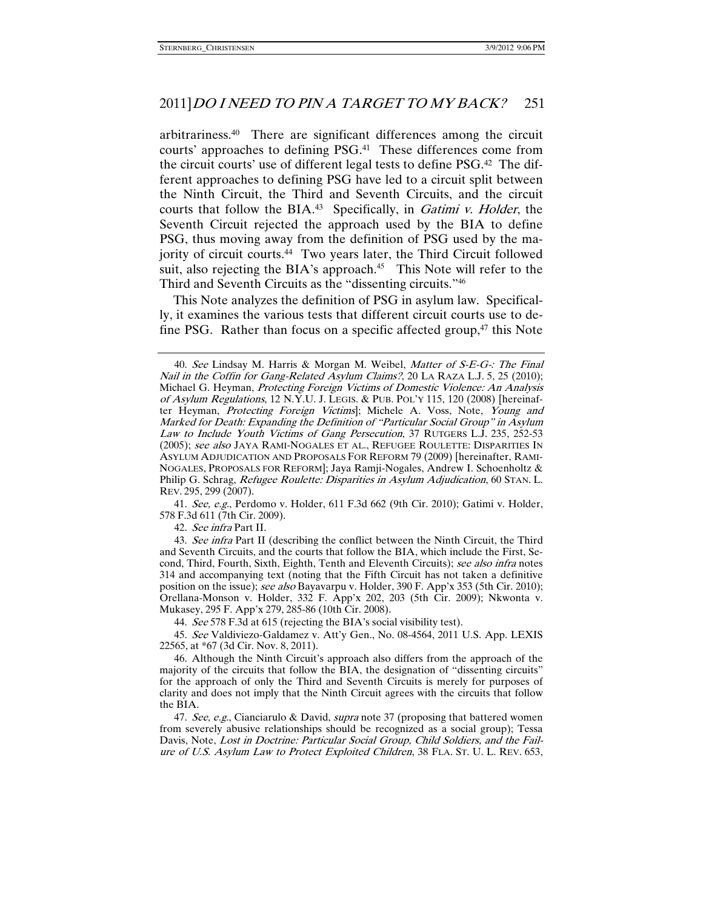arbitrariness.40 There are significant differences among the circuit courts' approaches to defining PSG.41 These differences come from the circuit courts' use of different legal tests to define PSG.42 The different approaches to defining PSG have led to a circuit split between the Ninth Circuit, the Third and Seventh Circuits, and the circuit courts that follow the BIA.<sup>43</sup> Specifically, in *Gatimi v. Holder*, the Seventh Circuit rejected the approach used by the BIA to define PSG, thus moving away from the definition of PSG used by the majority of circuit courts.44 Two years later, the Third Circuit followed suit, also rejecting the BIA's approach.<sup>45</sup> This Note will refer to the Third and Seventh Circuits as the "dissenting circuits."46

This Note analyzes the definition of PSG in asylum law. Specifically, it examines the various tests that different circuit courts use to define PSG. Rather than focus on a specific affected group,<sup>47</sup> this Note

 41. See, e.g., Perdomo v. Holder, 611 F.3d 662 (9th Cir. 2010); Gatimi v. Holder, 578 F.3d 611 (7th Cir. 2009).

42. See infra Part II.

43. See infra Part II (describing the conflict between the Ninth Circuit, the Third and Seventh Circuits, and the courts that follow the BIA, which include the First, Second, Third, Fourth, Sixth, Eighth, Tenth and Eleventh Circuits); see also infra notes 314 and accompanying text (noting that the Fifth Circuit has not taken a definitive position on the issue); see also Bayavarpu v. Holder, 390 F. App'x 353 (5th Cir. 2010); Orellana-Monson v. Holder, 332 F. App'x 202, 203 (5th Cir. 2009); Nkwonta v. Mukasey, 295 F. App'x 279, 285-86 (10th Cir. 2008).

44. See 578 F.3d at 615 (rejecting the BIA's social visibility test).

 45. See Valdiviezo-Galdamez v. Att'y Gen., No. 08-4564, 2011 U.S. App. LEXIS 22565, at \*67 (3d Cir. Nov. 8, 2011).

47. See, e.g., Cianciarulo & David, *supra* note 37 (proposing that battered women from severely abusive relationships should be recognized as a social group); Tessa Davis, Note, Lost in Doctrine: Particular Social Group, Child Soldiers, and the Failure of U.S. Asylum Law to Protect Exploited Children, 38 FLA. ST. U. L. REV. 653,

<sup>40.</sup> See Lindsay M. Harris & Morgan M. Weibel, Matter of S-E-G-: The Final Nail in the Coffin for Gang-Related Asylum Claims?, 20 LA RAZA L.J. 5, 25 (2010); Michael G. Heyman, Protecting Foreign Victims of Domestic Violence: An Analysis of Asylum Regulations, 12 N.Y.U. J. LEGIS. & PUB. POL'Y 115, 120 (2008) [hereinafter Heyman, Protecting Foreign Victims]; Michele A. Voss, Note, Young and Marked for Death: Expanding the Definition of "Particular Social Group" in Asylum Law to Include Youth Victims of Gang Persecution, 37 RUTGERS L.J. 235, 252-53 (2005); see also JAYA RAMI-NOGALES ET AL., REFUGEE ROULETTE: DISPARITIES IN ASYLUM ADJUDICATION AND PROPOSALS FOR REFORM 79 (2009) [hereinafter, RAMI-NOGALES, PROPOSALS FOR REFORM]; Jaya Ramji-Nogales, Andrew I. Schoenholtz & Philip G. Schrag, Refugee Roulette: Disparities in Asylum Adjudication, 60 STAN. L. REV. 295, 299 (2007).

 <sup>46.</sup> Although the Ninth Circuit's approach also differs from the approach of the majority of the circuits that follow the BIA, the designation of "dissenting circuits" for the approach of only the Third and Seventh Circuits is merely for purposes of clarity and does not imply that the Ninth Circuit agrees with the circuits that follow the BIA.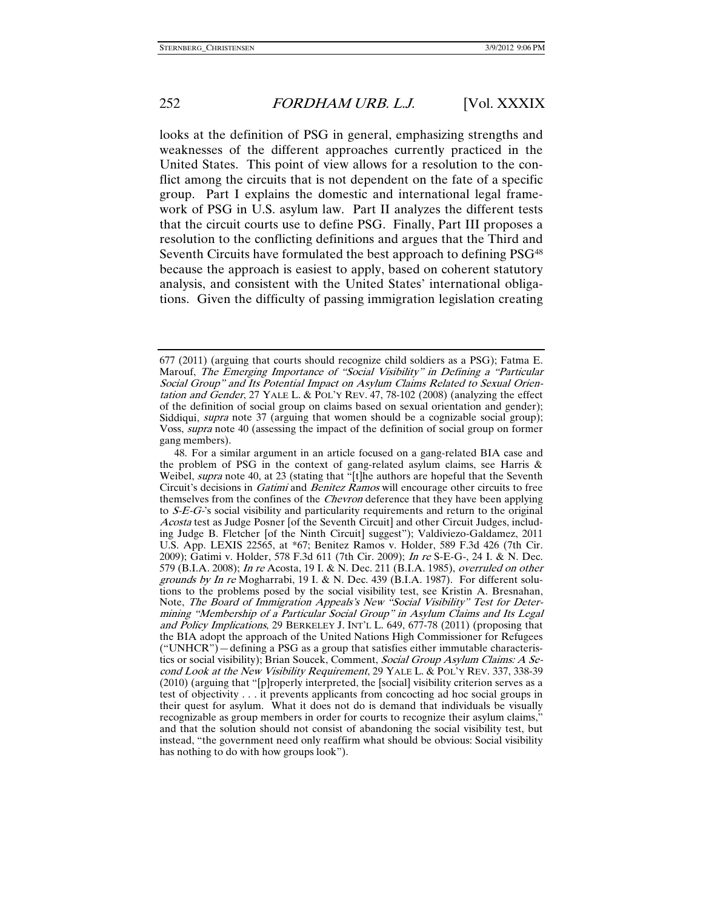looks at the definition of PSG in general, emphasizing strengths and weaknesses of the different approaches currently practiced in the United States. This point of view allows for a resolution to the conflict among the circuits that is not dependent on the fate of a specific group. Part I explains the domestic and international legal framework of PSG in U.S. asylum law. Part II analyzes the different tests that the circuit courts use to define PSG. Finally, Part III proposes a resolution to the conflicting definitions and argues that the Third and Seventh Circuits have formulated the best approach to defining PSG<sup>48</sup> because the approach is easiest to apply, based on coherent statutory analysis, and consistent with the United States' international obligations. Given the difficulty of passing immigration legislation creating

<sup>677 (2011) (</sup>arguing that courts should recognize child soldiers as a PSG); Fatma E. Marouf, The Emerging Importance of "Social Visibility" in Defining a "Particular Social Group" and Its Potential Impact on Asylum Claims Related to Sexual Orientation and Gender, 27 YALE L. & POL'Y REV. 47, 78-102 (2008) (analyzing the effect of the definition of social group on claims based on sexual orientation and gender); Siddiqui, *supra* note 37 (arguing that women should be a cognizable social group); Voss, supra note 40 (assessing the impact of the definition of social group on former gang members).

 <sup>48.</sup> For a similar argument in an article focused on a gang-related BIA case and the problem of PSG in the context of gang-related asylum claims, see Harris & Weibel, *supra* note 40, at 23 (stating that "[t]he authors are hopeful that the Seventh Circuit's decisions in *Gatimi* and *Benitez Ramos* will encourage other circuits to free themselves from the confines of the *Chevron* deference that they have been applying to S-E-G-'s social visibility and particularity requirements and return to the original Acosta test as Judge Posner [of the Seventh Circuit] and other Circuit Judges, including Judge B. Fletcher [of the Ninth Circuit] suggest"); Valdiviezo-Galdamez, 2011 U.S. App. LEXIS 22565, at \*67; Benitez Ramos v. Holder, 589 F.3d 426 (7th Cir. 2009); Gatimi v. Holder, 578 F.3d 611 (7th Cir. 2009); In re S-E-G-, 24 I. & N. Dec. 579 (B.I.A. 2008); In re Acosta, 19 I. & N. Dec. 211 (B.I.A. 1985), overruled on other grounds by In re Mogharrabi, 19 I. & N. Dec. 439 (B.I.A. 1987). For different solutions to the problems posed by the social visibility test, see Kristin A. Bresnahan, Note, The Board of Immigration Appeals's New "Social Visibility" Test for Determining "Membership of a Particular Social Group" in Asylum Claims and Its Legal and Policy Implications, 29 BERKELEY J. INT'L L. 649, 677-78 (2011) (proposing that the BIA adopt the approach of the United Nations High Commissioner for Refugees ("UNHCR")—defining a PSG as a group that satisfies either immutable characteristics or social visibility); Brian Soucek, Comment, Social Group Asylum Claims: A Second Look at the New Visibility Requirement, 29 YALE L. & POL'Y REV. 337, 338-39 (2010) (arguing that "[p]roperly interpreted, the [social] visibility criterion serves as a test of objectivity . . . it prevents applicants from concocting ad hoc social groups in their quest for asylum. What it does not do is demand that individuals be visually recognizable as group members in order for courts to recognize their asylum claims," and that the solution should not consist of abandoning the social visibility test, but instead, "the government need only reaffirm what should be obvious: Social visibility has nothing to do with how groups look").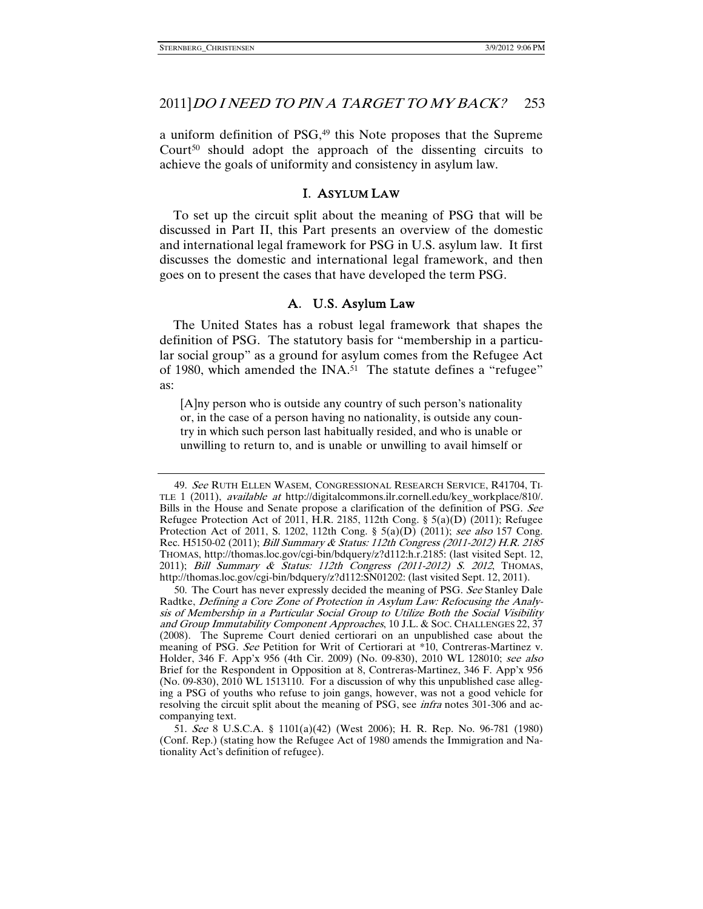a uniform definition of PSG,<sup>49</sup> this Note proposes that the Supreme Court<sup>50</sup> should adopt the approach of the dissenting circuits to achieve the goals of uniformity and consistency in asylum law.

### I. ASYLUM LAW

To set up the circuit split about the meaning of PSG that will be discussed in Part II, this Part presents an overview of the domestic and international legal framework for PSG in U.S. asylum law. It first discusses the domestic and international legal framework, and then goes on to present the cases that have developed the term PSG.

# A. U.S. Asylum Law

The United States has a robust legal framework that shapes the definition of PSG. The statutory basis for "membership in a particular social group" as a ground for asylum comes from the Refugee Act of 1980, which amended the INA.<sup>51</sup> The statute defines a "refugee" as:

[A]ny person who is outside any country of such person's nationality or, in the case of a person having no nationality, is outside any country in which such person last habitually resided, and who is unable or unwilling to return to, and is unable or unwilling to avail himself or

 <sup>49.</sup> See RUTH ELLEN WASEM, CONGRESSIONAL RESEARCH SERVICE, R41704, TI-TLE 1 (2011), available at http://digitalcommons.ilr.cornell.edu/key\_workplace/810/. Bills in the House and Senate propose a clarification of the definition of PSG. See Refugee Protection Act of 2011, H.R. 2185, 112th Cong. § 5(a)(D) (2011); Refugee Protection Act of 2011, S. 1202, 112th Cong. § 5(a)(D) (2011); see also 157 Cong. Rec. H5150-02 (2011); Bill Summary & Status: 112th Congress (2011-2012) H.R. 2185 THOMAS, http://thomas.loc.gov/cgi-bin/bdquery/z?d112:h.r.2185: (last visited Sept. 12, 2011); Bill Summary & Status: 112th Congress (2011-2012) S. 2012, THOMAS, http://thomas.loc.gov/cgi-bin/bdquery/z?d112:SN01202: (last visited Sept. 12, 2011).

 <sup>50.</sup> The Court has never expressly decided the meaning of PSG. See Stanley Dale Radtke, Defining a Core Zone of Protection in Asylum Law: Refocusing the Analysis of Membership in a Particular Social Group to Utilize Both the Social Visibility and Group Immutability Component Approaches, 10 J.L. & SOC. CHALLENGES 22, 37 (2008). The Supreme Court denied certiorari on an unpublished case about the meaning of PSG. See Petition for Writ of Certiorari at \*10, Contreras-Martinez v. Holder, 346 F. App'x 956 (4th Cir. 2009) (No. 09-830), 2010 WL 128010; see also Brief for the Respondent in Opposition at 8, Contreras-Martinez, 346 F. App'x 956 (No. 09-830), 2010 WL 1513110. For a discussion of why this unpublished case alleging a PSG of youths who refuse to join gangs, however, was not a good vehicle for resolving the circuit split about the meaning of PSG, see *infra* notes 301-306 and accompanying text.

 <sup>51.</sup> See 8 U.S.C.A. § 1101(a)(42) (West 2006); H. R. Rep. No. 96-781 (1980) (Conf. Rep.) (stating how the Refugee Act of 1980 amends the Immigration and Nationality Act's definition of refugee).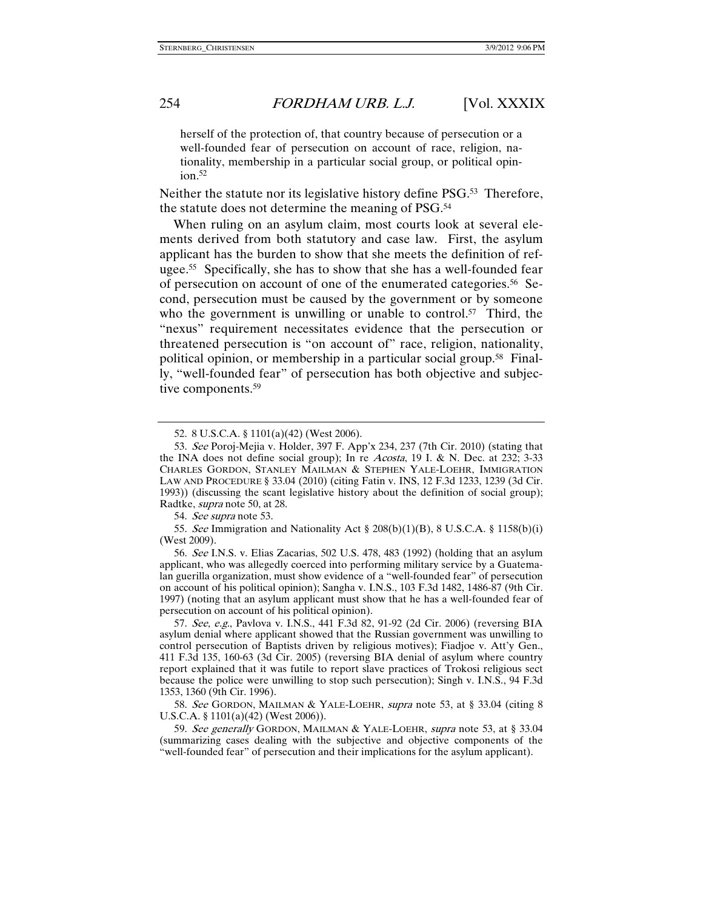herself of the protection of, that country because of persecution or a well-founded fear of persecution on account of race, religion, nationality, membership in a particular social group, or political opin $ion.<sup>52</sup>$ 

Neither the statute nor its legislative history define PSG.<sup>53</sup> Therefore, the statute does not determine the meaning of PSG.54

When ruling on an asylum claim, most courts look at several elements derived from both statutory and case law. First, the asylum applicant has the burden to show that she meets the definition of refugee.55 Specifically, she has to show that she has a well-founded fear of persecution on account of one of the enumerated categories.56 Second, persecution must be caused by the government or by someone who the government is unwilling or unable to control.<sup>57</sup> Third, the "nexus" requirement necessitates evidence that the persecution or threatened persecution is "on account of" race, religion, nationality, political opinion, or membership in a particular social group.58 Finally, "well-founded fear" of persecution has both objective and subjective components.<sup>59</sup>

54. See supra note 53.

 56. See I.N.S. v. Elias Zacarias, 502 U.S. 478, 483 (1992) (holding that an asylum applicant, who was allegedly coerced into performing military service by a Guatemalan guerilla organization, must show evidence of a "well-founded fear" of persecution on account of his political opinion); Sangha v. I.N.S., 103 F.3d 1482, 1486-87 (9th Cir. 1997) (noting that an asylum applicant must show that he has a well-founded fear of persecution on account of his political opinion).

57. See, e.g., Pavlova v. I.N.S., 441 F.3d 82, 91-92 (2d Cir. 2006) (reversing BIA asylum denial where applicant showed that the Russian government was unwilling to control persecution of Baptists driven by religious motives); Fiadjoe v. Att'y Gen., 411 F.3d 135, 160-63 (3d Cir. 2005) (reversing BIA denial of asylum where country report explained that it was futile to report slave practices of Trokosi religious sect because the police were unwilling to stop such persecution); Singh v. I.N.S., 94 F.3d 1353, 1360 (9th Cir. 1996).

 58. See GORDON, MAILMAN & YALE-LOEHR, supra note 53, at § 33.04 (citing 8 U.S.C.A. § 1101(a)(42) (West 2006)).

 59. See generally GORDON, MAILMAN & YALE-LOEHR, supra note 53, at § 33.04 (summarizing cases dealing with the subjective and objective components of the "well-founded fear" of persecution and their implications for the asylum applicant).

 <sup>52. 8</sup> U.S.C.A. § 1101(a)(42) (West 2006).

 <sup>53.</sup> See Poroj-Mejia v. Holder, 397 F. App'x 234, 237 (7th Cir. 2010) (stating that the INA does not define social group); In re Acosta, 19 I. & N. Dec. at 232; 3-33 CHARLES GORDON, STANLEY MAILMAN & STEPHEN YALE-LOEHR, IMMIGRATION LAW AND PROCEDURE § 33.04 (2010) (citing Fatin v. INS, 12 F.3d 1233, 1239 (3d Cir. 1993)) (discussing the scant legislative history about the definition of social group); Radtke, supra note 50, at 28.

<sup>55.</sup> See Immigration and Nationality Act  $\S 208(b)(1)(B)$ , 8 U.S.C.A.  $\S 1158(b)(i)$ (West 2009).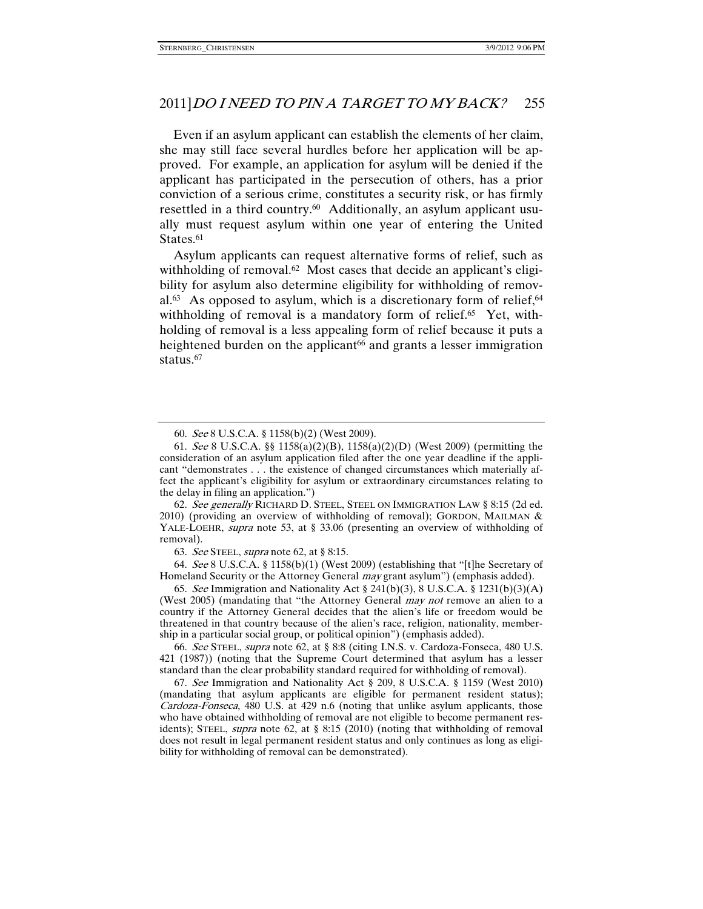Even if an asylum applicant can establish the elements of her claim, she may still face several hurdles before her application will be approved. For example, an application for asylum will be denied if the applicant has participated in the persecution of others, has a prior conviction of a serious crime, constitutes a security risk, or has firmly resettled in a third country.<sup>60</sup> Additionally, an asylum applicant usually must request asylum within one year of entering the United States.<sup>61</sup>

Asylum applicants can request alternative forms of relief, such as withholding of removal.<sup>62</sup> Most cases that decide an applicant's eligibility for asylum also determine eligibility for withholding of removal.<sup>63</sup> As opposed to asylum, which is a discretionary form of relief,  $64$ withholding of removal is a mandatory form of relief.<sup>65</sup> Yet, withholding of removal is a less appealing form of relief because it puts a heightened burden on the applicant<sup>66</sup> and grants a lesser immigration status.<sup>67</sup>

 62. See generally RICHARD D. STEEL, STEEL ON IMMIGRATION LAW § 8:15 (2d ed. 2010) (providing an overview of withholding of removal); GORDON, MAILMAN & YALE-LOEHR, *supra* note 53, at § 33.06 (presenting an overview of withholding of removal).

63. See STEEL, supra note 62, at § 8:15.

 64. See 8 U.S.C.A. § 1158(b)(1) (West 2009) (establishing that "[t]he Secretary of Homeland Security or the Attorney General *may* grant asylum") (emphasis added).

 65. See Immigration and Nationality Act § 241(b)(3), 8 U.S.C.A. § 1231(b)(3)(A) (West 2005) (mandating that "the Attorney General *may not* remove an alien to a country if the Attorney General decides that the alien's life or freedom would be threatened in that country because of the alien's race, religion, nationality, membership in a particular social group, or political opinion") (emphasis added).

 66. See STEEL, supra note 62, at § 8:8 (citing I.N.S. v. Cardoza-Fonseca, 480 U.S. 421 (1987)) (noting that the Supreme Court determined that asylum has a lesser standard than the clear probability standard required for withholding of removal).

 67. See Immigration and Nationality Act § 209, 8 U.S.C.A. § 1159 (West 2010) (mandating that asylum applicants are eligible for permanent resident status); Cardoza-Fonseca, 480 U.S. at 429 n.6 (noting that unlike asylum applicants, those who have obtained withholding of removal are not eligible to become permanent residents); STEEL, *supra* note 62, at § 8:15 (2010) (noting that withholding of removal does not result in legal permanent resident status and only continues as long as eligibility for withholding of removal can be demonstrated).

 <sup>60.</sup> See 8 U.S.C.A. § 1158(b)(2) (West 2009).

 <sup>61.</sup> See 8 U.S.C.A. §§ 1158(a)(2)(B), 1158(a)(2)(D) (West 2009) (permitting the consideration of an asylum application filed after the one year deadline if the applicant "demonstrates . . . the existence of changed circumstances which materially affect the applicant's eligibility for asylum or extraordinary circumstances relating to the delay in filing an application.")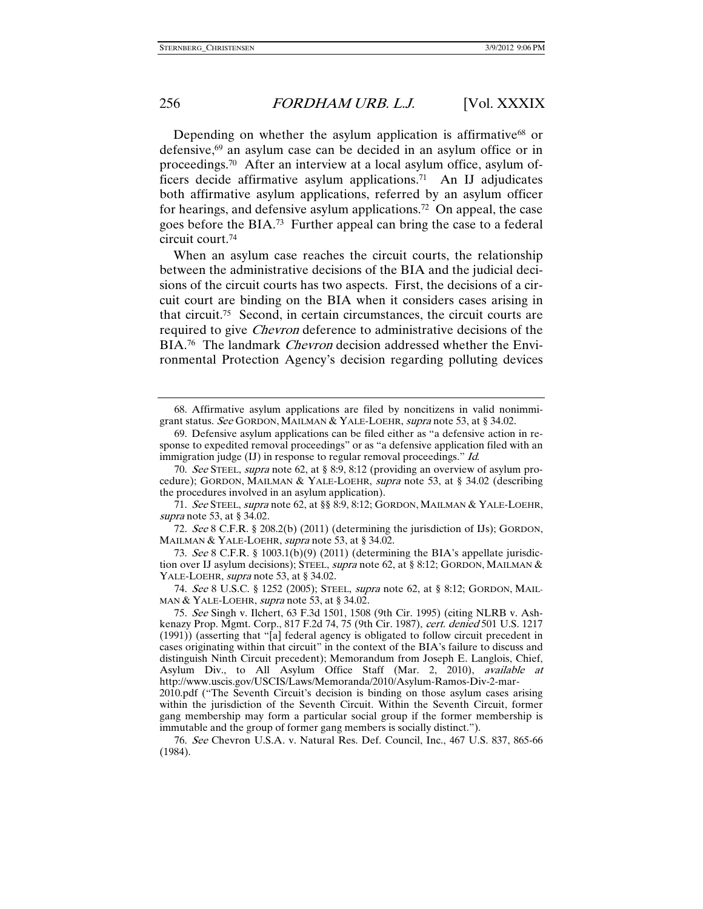Depending on whether the asylum application is affirmative<sup>68</sup> or defensive,69 an asylum case can be decided in an asylum office or in proceedings.<sup>70</sup> After an interview at a local asylum office, asylum officers decide affirmative asylum applications.71 An IJ adjudicates both affirmative asylum applications, referred by an asylum officer for hearings, and defensive asylum applications.72 On appeal, the case goes before the BIA.73 Further appeal can bring the case to a federal circuit court.74

When an asylum case reaches the circuit courts, the relationship between the administrative decisions of the BIA and the judicial decisions of the circuit courts has two aspects. First, the decisions of a circuit court are binding on the BIA when it considers cases arising in that circuit.75 Second, in certain circumstances, the circuit courts are required to give Chevron deference to administrative decisions of the BIA.<sup>76</sup> The landmark *Chevron* decision addressed whether the Environmental Protection Agency's decision regarding polluting devices

 70. See STEEL, supra note 62, at § 8:9, 8:12 (providing an overview of asylum procedure); GORDON, MAILMAN & YALE-LOEHR, supra note 53, at § 34.02 (describing the procedures involved in an asylum application).

71. See STEEL, supra note 62, at §§ 8:9, 8:12; GORDON, MAILMAN & YALE-LOEHR, supra note 53, at § 34.02.

 72. See 8 C.F.R. § 208.2(b) (2011) (determining the jurisdiction of IJs); GORDON, MAILMAN & YALE-LOEHR, *supra* note 53, at § 34.02.

 73. See 8 C.F.R. § 1003.1(b)(9) (2011) (determining the BIA's appellate jurisdiction over IJ asylum decisions); STEEL, supra note 62, at § 8:12; GORDON, MAILMAN & YALE-LOEHR, *supra* note 53, at § 34.02.

 74. See 8 U.S.C. § 1252 (2005); STEEL, supra note 62, at § 8:12; GORDON, MAIL-MAN & YALE-LOEHR, *supra* note 53, at § 34.02.

 75. See Singh v. Ilchert, 63 F.3d 1501, 1508 (9th Cir. 1995) (citing NLRB v. Ashkenazy Prop. Mgmt. Corp., 817 F.2d 74, 75 (9th Cir. 1987), cert. denied 501 U.S. 1217 (1991)) (asserting that "[a] federal agency is obligated to follow circuit precedent in cases originating within that circuit" in the context of the BIA's failure to discuss and distinguish Ninth Circuit precedent); Memorandum from Joseph E. Langlois, Chief, Asylum Div., to All Asylum Office Staff (Mar. 2, 2010), available at http://www.uscis.gov/USCIS/Laws/Memoranda/2010/Asylum-Ramos-Div-2-mar-

2010.pdf ("The Seventh Circuit's decision is binding on those asylum cases arising within the jurisdiction of the Seventh Circuit. Within the Seventh Circuit, former gang membership may form a particular social group if the former membership is immutable and the group of former gang members is socially distinct.").

 76. See Chevron U.S.A. v. Natural Res. Def. Council, Inc., 467 U.S. 837, 865-66 (1984).

 <sup>68.</sup> Affirmative asylum applications are filed by noncitizens in valid nonimmigrant status. See GORDON, MAILMAN & YALE-LOEHR, supra note 53, at § 34.02.

 <sup>69.</sup> Defensive asylum applications can be filed either as "a defensive action in response to expedited removal proceedings" or as "a defensive application filed with an immigration judge (IJ) in response to regular removal proceedings." *Id.*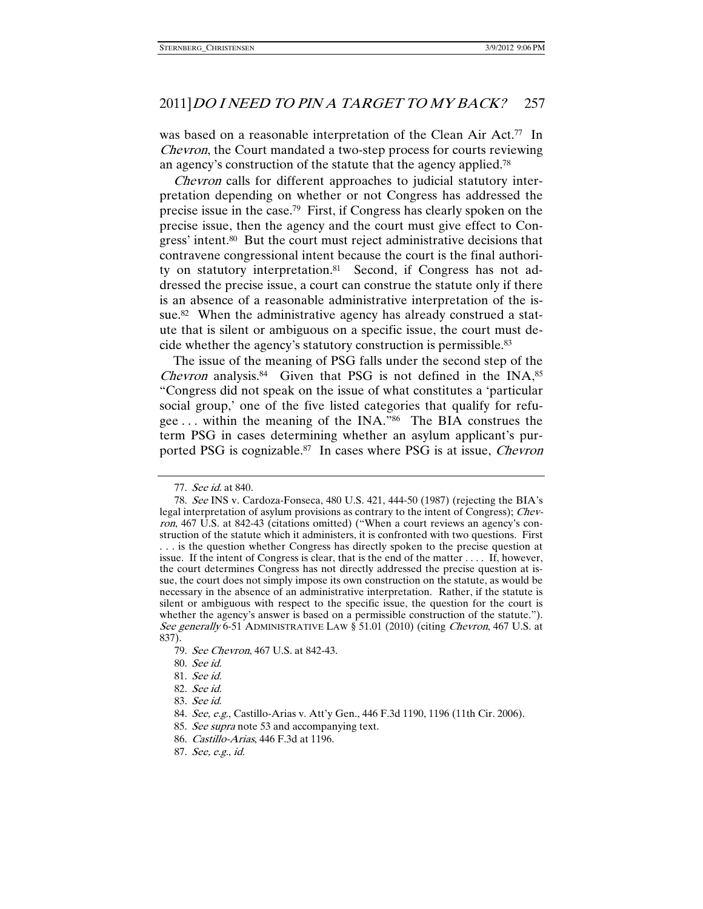was based on a reasonable interpretation of the Clean Air Act.<sup>77</sup> In Chevron, the Court mandated a two-step process for courts reviewing an agency's construction of the statute that the agency applied.78

Chevron calls for different approaches to judicial statutory interpretation depending on whether or not Congress has addressed the precise issue in the case.79 First, if Congress has clearly spoken on the precise issue, then the agency and the court must give effect to Congress' intent.<sup>80</sup> But the court must reject administrative decisions that contravene congressional intent because the court is the final authority on statutory interpretation.<sup>81</sup> Second, if Congress has not addressed the precise issue, a court can construe the statute only if there is an absence of a reasonable administrative interpretation of the issue.<sup>82</sup> When the administrative agency has already construed a statute that is silent or ambiguous on a specific issue, the court must decide whether the agency's statutory construction is permissible.83

The issue of the meaning of PSG falls under the second step of the *Chevron* analysis.<sup>84</sup> Given that PSG is not defined in the INA,<sup>85</sup> "Congress did not speak on the issue of what constitutes a 'particular social group,' one of the five listed categories that qualify for refugee . . . within the meaning of the INA."86 The BIA construes the term PSG in cases determining whether an asylum applicant's purported PSG is cognizable.<sup>87</sup> In cases where PSG is at issue, *Chevron* 

 <sup>77.</sup> See id. at 840.

 <sup>78.</sup> See INS v. Cardoza-Fonseca, 480 U.S. 421, 444-50 (1987) (rejecting the BIA's legal interpretation of asylum provisions as contrary to the intent of Congress); Chevron, 467 U.S. at 842-43 (citations omitted) ("When a court reviews an agency's construction of the statute which it administers, it is confronted with two questions. First . . . is the question whether Congress has directly spoken to the precise question at issue. If the intent of Congress is clear, that is the end of the matter . . . . If, however, the court determines Congress has not directly addressed the precise question at issue, the court does not simply impose its own construction on the statute, as would be necessary in the absence of an administrative interpretation. Rather, if the statute is silent or ambiguous with respect to the specific issue, the question for the court is whether the agency's answer is based on a permissible construction of the statute."). See generally 6-51 ADMINISTRATIVE LAW § 51.01 (2010) (citing Chevron, 467 U.S. at 837).

 <sup>79.</sup> See Chevron, 467 U.S. at 842-43.

 <sup>80.</sup> See id.

 <sup>81.</sup> See id.

 <sup>82.</sup> See id.

 <sup>83.</sup> See id.

 <sup>84.</sup> See, e.g., Castillo-Arias v. Att'y Gen., 446 F.3d 1190, 1196 (11th Cir. 2006).

 <sup>85.</sup> See supra note 53 and accompanying text.

 <sup>86.</sup> Castillo-Arias, 446 F.3d at 1196.

 <sup>87.</sup> See, e.g., id.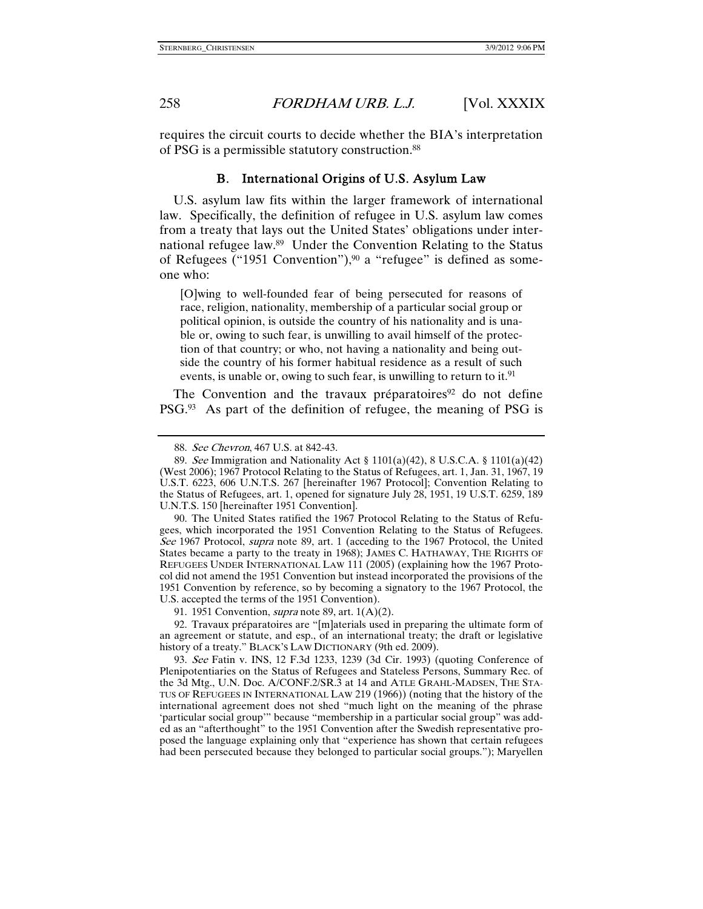requires the circuit courts to decide whether the BIA's interpretation of PSG is a permissible statutory construction.88

### B. International Origins of U.S. Asylum Law

U.S. asylum law fits within the larger framework of international law. Specifically, the definition of refugee in U.S. asylum law comes from a treaty that lays out the United States' obligations under international refugee law.89 Under the Convention Relating to the Status of Refugees ("1951 Convention"),  $90$  a "refugee" is defined as someone who:

[O]wing to well-founded fear of being persecuted for reasons of race, religion, nationality, membership of a particular social group or political opinion, is outside the country of his nationality and is unable or, owing to such fear, is unwilling to avail himself of the protection of that country; or who, not having a nationality and being outside the country of his former habitual residence as a result of such events, is unable or, owing to such fear, is unwilling to return to it.<sup>91</sup>

The Convention and the travaux préparatoires<sup>92</sup> do not define PSG.93 As part of the definition of refugee, the meaning of PSG is

 90. The United States ratified the 1967 Protocol Relating to the Status of Refugees, which incorporated the 1951 Convention Relating to the Status of Refugees. See 1967 Protocol, supra note 89, art. 1 (acceding to the 1967 Protocol, the United States became a party to the treaty in 1968); JAMES C. HATHAWAY, THE RIGHTS OF REFUGEES UNDER INTERNATIONAL LAW 111 (2005) (explaining how the 1967 Protocol did not amend the 1951 Convention but instead incorporated the provisions of the 1951 Convention by reference, so by becoming a signatory to the 1967 Protocol, the U.S. accepted the terms of the 1951 Convention).

91. 1951 Convention, *supra* note 89, art.  $1(A)(2)$ .

 92. Travaux préparatoires are "[m]aterials used in preparing the ultimate form of an agreement or statute, and esp., of an international treaty; the draft or legislative history of a treaty." BLACK'S LAW DICTIONARY (9th ed. 2009).

 93. See Fatin v. INS, 12 F.3d 1233, 1239 (3d Cir. 1993) (quoting Conference of Plenipotentiaries on the Status of Refugees and Stateless Persons, Summary Rec. of the 3d Mtg., U.N. Doc. A/CONF.2/SR.3 at 14 and ATLE GRAHL-MADSEN, THE STA-TUS OF REFUGEES IN INTERNATIONAL LAW 219 (1966)) (noting that the history of the international agreement does not shed "much light on the meaning of the phrase 'particular social group'" because "membership in a particular social group" was added as an "afterthought" to the 1951 Convention after the Swedish representative proposed the language explaining only that "experience has shown that certain refugees had been persecuted because they belonged to particular social groups."); Maryellen

 <sup>88.</sup> See Chevron, 467 U.S. at 842-43.

 <sup>89.</sup> See Immigration and Nationality Act § 1101(a)(42), 8 U.S.C.A. § 1101(a)(42) (West 2006); 1967 Protocol Relating to the Status of Refugees, art. 1, Jan. 31, 1967, 19 U.S.T. 6223, 606 U.N.T.S. 267 [hereinafter 1967 Protocol]; Convention Relating to the Status of Refugees, art. 1, opened for signature July 28, 1951, 19 U.S.T. 6259, 189 U.N.T.S. 150 [hereinafter 1951 Convention].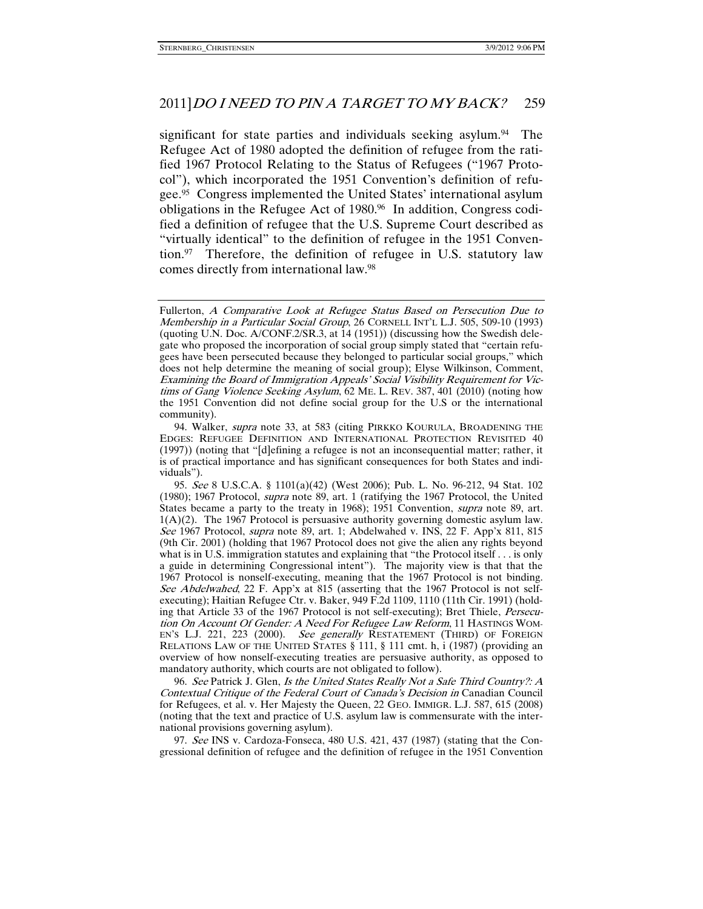significant for state parties and individuals seeking asylum.<sup>94</sup> The Refugee Act of 1980 adopted the definition of refugee from the ratified 1967 Protocol Relating to the Status of Refugees ("1967 Protocol"), which incorporated the 1951 Convention's definition of refugee.95 Congress implemented the United States' international asylum obligations in the Refugee Act of 1980.96 In addition, Congress codified a definition of refugee that the U.S. Supreme Court described as "virtually identical" to the definition of refugee in the 1951 Convention.97 Therefore, the definition of refugee in U.S. statutory law comes directly from international law.98

96. See Patrick J. Glen, Is the United States Really Not a Safe Third Country?: A Contextual Critique of the Federal Court of Canada's Decision in Canadian Council for Refugees, et al. v. Her Majesty the Queen, 22 GEO. IMMIGR. L.J. 587, 615 (2008) (noting that the text and practice of U.S. asylum law is commensurate with the international provisions governing asylum).

 97. See INS v. Cardoza-Fonseca, 480 U.S. 421, 437 (1987) (stating that the Congressional definition of refugee and the definition of refugee in the 1951 Convention

Fullerton, A Comparative Look at Refugee Status Based on Persecution Due to Membership in a Particular Social Group, 26 CORNELL INT'L L.J. 505, 509-10 (1993) (quoting U.N. Doc. A/CONF.2/SR.3, at 14 (1951)) (discussing how the Swedish delegate who proposed the incorporation of social group simply stated that "certain refugees have been persecuted because they belonged to particular social groups," which does not help determine the meaning of social group); Elyse Wilkinson, Comment, Examining the Board of Immigration Appeals' Social Visibility Requirement for Victims of Gang Violence Seeking Asylum, 62 ME. L. REV. 387, 401 (2010) (noting how the 1951 Convention did not define social group for the U.S or the international community).

<sup>94.</sup> Walker, *supra* note 33, at 583 (citing PIRKKO KOURULA, BROADENING THE EDGES: REFUGEE DEFINITION AND INTERNATIONAL PROTECTION REVISITED 40 (1997)) (noting that "[d]efining a refugee is not an inconsequential matter; rather, it is of practical importance and has significant consequences for both States and individuals").

 <sup>95.</sup> See 8 U.S.C.A. § 1101(a)(42) (West 2006); Pub. L. No. 96-212, 94 Stat. 102 (1980); 1967 Protocol, supra note 89, art. 1 (ratifying the 1967 Protocol, the United States became a party to the treaty in 1968); 1951 Convention, supra note 89, art.  $1(A)(2)$ . The 1967 Protocol is persuasive authority governing domestic asylum law. See 1967 Protocol, *supra* note 89, art. 1; Abdelwahed v. INS, 22 F. App'x 811, 815 (9th Cir. 2001) (holding that 1967 Protocol does not give the alien any rights beyond what is in U.S. immigration statutes and explaining that "the Protocol itself . . . is only a guide in determining Congressional intent"). The majority view is that that the 1967 Protocol is nonself-executing, meaning that the 1967 Protocol is not binding. See Abdelwahed, 22 F. App'x at 815 (asserting that the 1967 Protocol is not selfexecuting); Haitian Refugee Ctr. v. Baker, 949 F.2d 1109, 1110 (11th Cir. 1991) (holding that Article 33 of the 1967 Protocol is not self-executing); Bret Thiele, Persecution On Account Of Gender: A Need For Refugee Law Reform, 11 HASTINGS WOM-EN'S L.J. 221, 223 (2000). See generally RESTATEMENT (THIRD) OF FOREIGN RELATIONS LAW OF THE UNITED STATES § 111, § 111 cmt. h, i (1987) (providing an overview of how nonself-executing treaties are persuasive authority, as opposed to mandatory authority, which courts are not obligated to follow).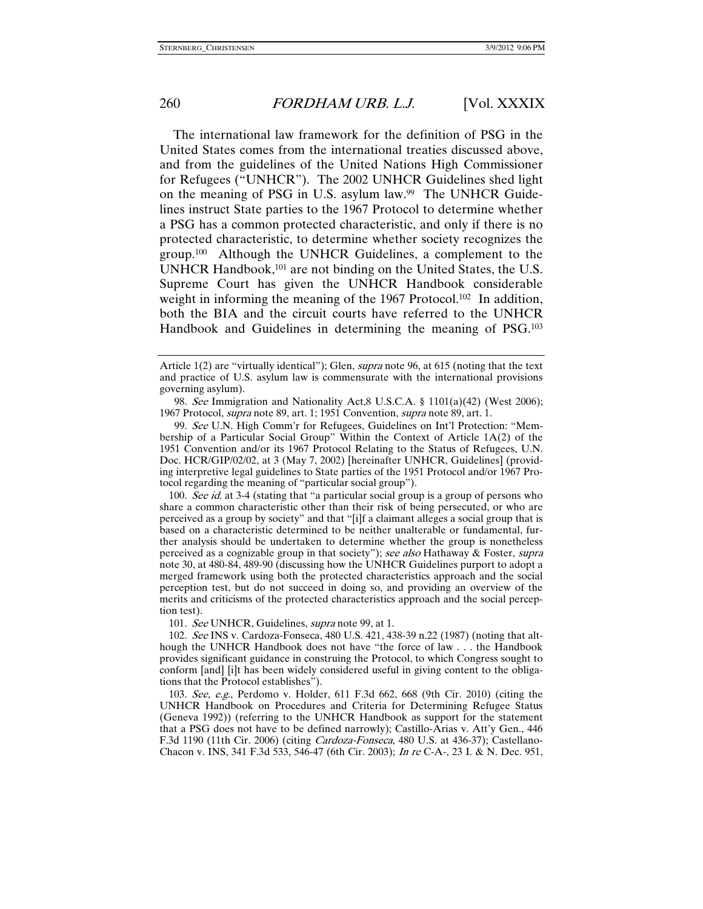The international law framework for the definition of PSG in the United States comes from the international treaties discussed above, and from the guidelines of the United Nations High Commissioner for Refugees ("UNHCR"). The 2002 UNHCR Guidelines shed light on the meaning of PSG in U.S. asylum law.<sup>99</sup> The UNHCR Guidelines instruct State parties to the 1967 Protocol to determine whether a PSG has a common protected characteristic, and only if there is no protected characteristic, to determine whether society recognizes the group.100 Although the UNHCR Guidelines, a complement to the UNHCR Handbook,<sup>101</sup> are not binding on the United States, the U.S. Supreme Court has given the UNHCR Handbook considerable weight in informing the meaning of the 1967 Protocol.<sup>102</sup> In addition, both the BIA and the circuit courts have referred to the UNHCR Handbook and Guidelines in determining the meaning of PSG.<sup>103</sup>

 98. See Immigration and Nationality Act,8 U.S.C.A. § 1101(a)(42) (West 2006); 1967 Protocol, supra note 89, art. 1; 1951 Convention, supra note 89, art. 1.

 99. See U.N. High Comm'r for Refugees, Guidelines on Int'l Protection: "Membership of a Particular Social Group" Within the Context of Article 1A(2) of the 1951 Convention and/or its 1967 Protocol Relating to the Status of Refugees, U.N. Doc. HCR/GIP/02/02, at 3 (May 7, 2002) [hereinafter UNHCR, Guidelines] (providing interpretive legal guidelines to State parties of the 1951 Protocol and/or 1967 Protocol regarding the meaning of "particular social group").

100. See id. at 3-4 (stating that "a particular social group is a group of persons who share a common characteristic other than their risk of being persecuted, or who are perceived as a group by society" and that "[i]f a claimant alleges a social group that is based on a characteristic determined to be neither unalterable or fundamental, further analysis should be undertaken to determine whether the group is nonetheless perceived as a cognizable group in that society"); see also Hathaway & Foster, supra note 30, at 480-84, 489-90 (discussing how the UNHCR Guidelines purport to adopt a merged framework using both the protected characteristics approach and the social perception test, but do not succeed in doing so, and providing an overview of the merits and criticisms of the protected characteristics approach and the social perception test).

101. See UNHCR, Guidelines, *supra* note 99, at 1.

 102. See INS v. Cardoza-Fonseca, 480 U.S. 421, 438-39 n.22 (1987) (noting that although the UNHCR Handbook does not have "the force of law . . . the Handbook provides significant guidance in construing the Protocol, to which Congress sought to conform [and] [i]t has been widely considered useful in giving content to the obligations that the Protocol establishes").

 103. See, e.g., Perdomo v. Holder, 611 F.3d 662, 668 (9th Cir. 2010) (citing the UNHCR Handbook on Procedures and Criteria for Determining Refugee Status (Geneva 1992)) (referring to the UNHCR Handbook as support for the statement that a PSG does not have to be defined narrowly); Castillo-Arias v. Att'y Gen., 446 F.3d 1190 (11th Cir. 2006) (citing Cardoza-Fonseca, 480 U.S. at 436-37); Castellano-Chacon v. INS, 341 F.3d 533, 546-47 (6th Cir. 2003); In re C-A-, 23 I. & N. Dec. 951,

Article 1(2) are "virtually identical"); Glen, supra note 96, at 615 (noting that the text and practice of U.S. asylum law is commensurate with the international provisions governing asylum).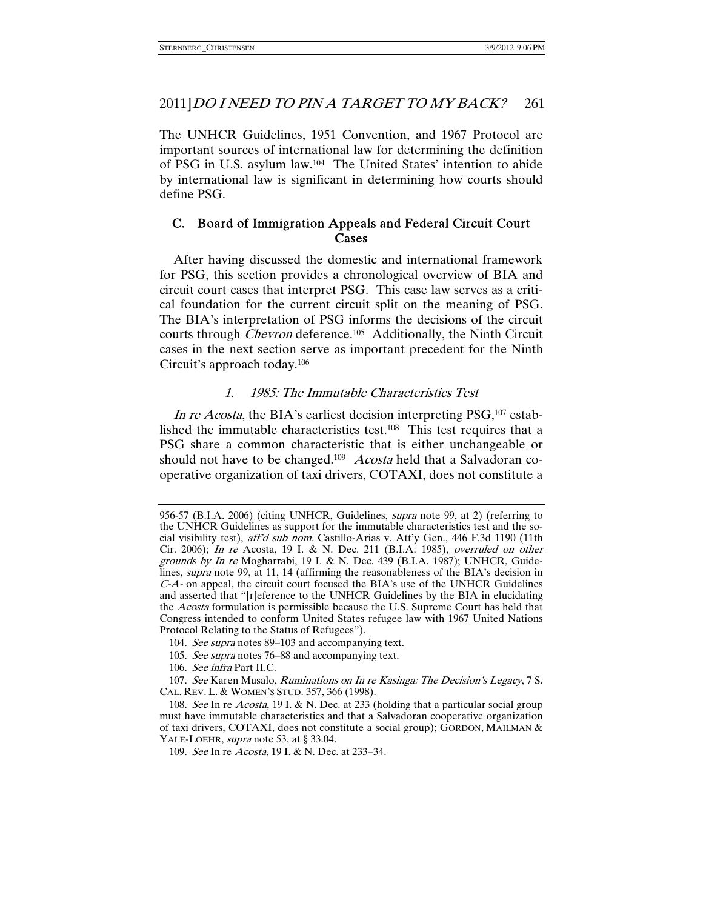The UNHCR Guidelines, 1951 Convention, and 1967 Protocol are important sources of international law for determining the definition of PSG in U.S. asylum law.104 The United States' intention to abide by international law is significant in determining how courts should define PSG.

# C. Board of Immigration Appeals and Federal Circuit Court Cases

After having discussed the domestic and international framework for PSG, this section provides a chronological overview of BIA and circuit court cases that interpret PSG. This case law serves as a critical foundation for the current circuit split on the meaning of PSG. The BIA's interpretation of PSG informs the decisions of the circuit courts through *Chevron* deference.<sup>105</sup> Additionally, the Ninth Circuit cases in the next section serve as important precedent for the Ninth Circuit's approach today.106

### 1. 1985: The Immutable Characteristics Test

In re Acosta, the BIA's earliest decision interpreting PSG,<sup>107</sup> established the immutable characteristics test.108 This test requires that a PSG share a common characteristic that is either unchangeable or should not have to be changed.<sup>109</sup> Acosta held that a Salvadoran cooperative organization of taxi drivers, COTAXI, does not constitute a

106. See infra Part II.C.

<sup>956-57 (</sup>B.I.A. 2006) (citing UNHCR, Guidelines, *supra* note 99, at 2) (referring to the UNHCR Guidelines as support for the immutable characteristics test and the social visibility test), aff'd sub nom. Castillo-Arias v. Att'y Gen., 446 F.3d 1190 (11th Cir. 2006); In re Acosta, 19 I. & N. Dec. 211 (B.I.A. 1985), overruled on other grounds by In re Mogharrabi, 19 I. & N. Dec. 439 (B.I.A. 1987); UNHCR, Guidelines, supra note 99, at 11, 14 (affirming the reasonableness of the BIA's decision in C-A- on appeal, the circuit court focused the BIA's use of the UNHCR Guidelines and asserted that "[r]eference to the UNHCR Guidelines by the BIA in elucidating the Acosta formulation is permissible because the U.S. Supreme Court has held that Congress intended to conform United States refugee law with 1967 United Nations Protocol Relating to the Status of Refugees").

<sup>104.</sup> See supra notes 89-103 and accompanying text.

<sup>105.</sup> See supra notes 76–88 and accompanying text.

<sup>107.</sup> See Karen Musalo, Ruminations on In re Kasinga: The Decision's Legacy, 7 S. CAL. REV. L. & WOMEN'S STUD. 357, 366 (1998).

<sup>108.</sup> See In re Acosta, 19 I. & N. Dec. at 233 (holding that a particular social group must have immutable characteristics and that a Salvadoran cooperative organization of taxi drivers, COTAXI, does not constitute a social group); GORDON, MAILMAN & YALE-LOEHR, *supra* note 53, at § 33.04.

 <sup>109.</sup> See In re Acosta, 19 I. & N. Dec. at 233–34.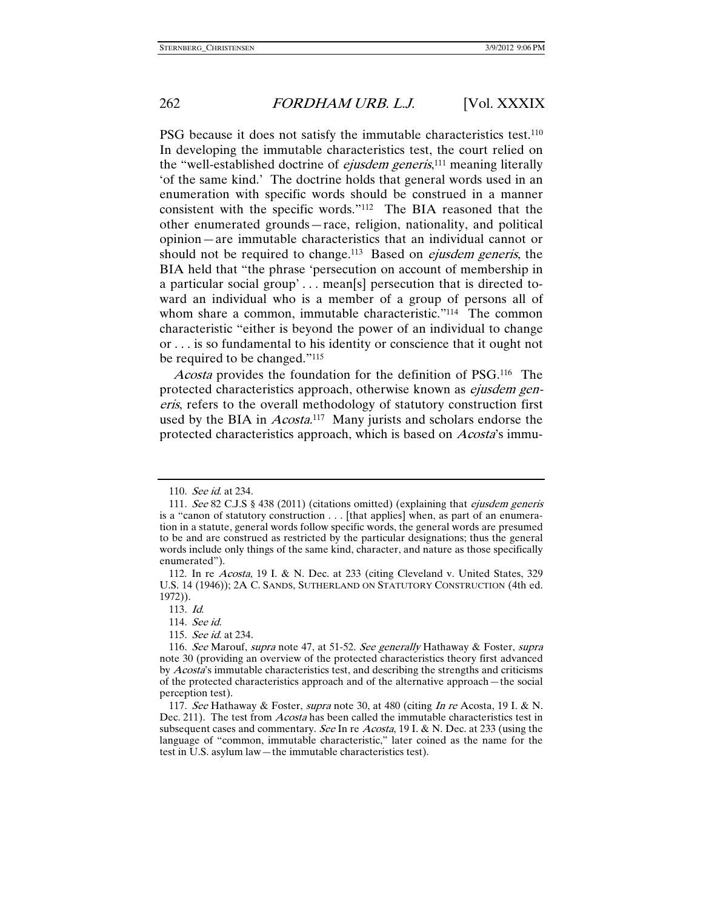PSG because it does not satisfy the immutable characteristics test.<sup>110</sup> In developing the immutable characteristics test, the court relied on the "well-established doctrine of *ejusdem generis*,<sup>111</sup> meaning literally 'of the same kind.' The doctrine holds that general words used in an enumeration with specific words should be construed in a manner consistent with the specific words."112 The BIA reasoned that the other enumerated grounds—race, religion, nationality, and political opinion—are immutable characteristics that an individual cannot or should not be required to change.<sup>113</sup> Based on *ejusdem generis*, the BIA held that "the phrase 'persecution on account of membership in a particular social group' . . . mean[s] persecution that is directed toward an individual who is a member of a group of persons all of whom share a common, immutable characteristic."<sup>114</sup> The common characteristic "either is beyond the power of an individual to change or . . . is so fundamental to his identity or conscience that it ought not be required to be changed."115

Acosta provides the foundation for the definition of PSG.<sup>116</sup> The protected characteristics approach, otherwise known as *ejusdem gen*eris, refers to the overall methodology of statutory construction first used by the BIA in *Acosta*.<sup>117</sup> Many jurists and scholars endorse the protected characteristics approach, which is based on Acosta's immu-

114. See id.

 <sup>110.</sup> See id. at 234.

 <sup>111.</sup> See 82 C.J.S § 438 (2011) (citations omitted) (explaining that ejusdem generis is a "canon of statutory construction . . . [that applies] when, as part of an enumeration in a statute, general words follow specific words, the general words are presumed to be and are construed as restricted by the particular designations; thus the general words include only things of the same kind, character, and nature as those specifically enumerated").

 <sup>112.</sup> In re Acosta, 19 I. & N. Dec. at 233 (citing Cleveland v. United States, 329 U.S. 14 (1946)); 2A C. SANDS, SUTHERLAND ON STATUTORY CONSTRUCTION (4th ed. 1972)).

 <sup>113.</sup> Id.

 <sup>115.</sup> See id. at 234.

<sup>116.</sup> See Marouf, supra note 47, at 51-52. See generally Hathaway & Foster, supra note 30 (providing an overview of the protected characteristics theory first advanced by Acosta's immutable characteristics test, and describing the strengths and criticisms of the protected characteristics approach and of the alternative approach—the social perception test).

<sup>117.</sup> See Hathaway & Foster, supra note 30, at 480 (citing In re Acosta, 19 I. & N. Dec. 211). The test from *Acosta* has been called the immutable characteristics test in subsequent cases and commentary. See In re Acosta, 19 I. & N. Dec. at 233 (using the language of "common, immutable characteristic," later coined as the name for the test in U.S. asylum law—the immutable characteristics test).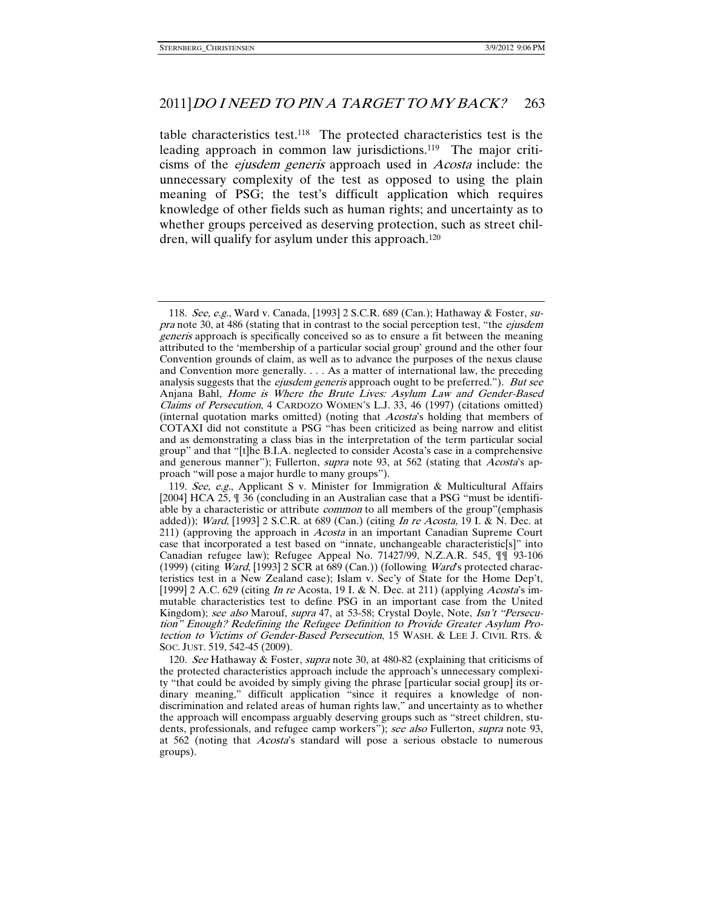table characteristics test.118 The protected characteristics test is the leading approach in common law jurisdictions.119 The major criticisms of the ejusdem generis approach used in Acosta include: the unnecessary complexity of the test as opposed to using the plain meaning of PSG; the test's difficult application which requires knowledge of other fields such as human rights; and uncertainty as to whether groups perceived as deserving protection, such as street children, will qualify for asylum under this approach.<sup>120</sup>

 <sup>118.</sup> See, e.g., Ward v. Canada, [1993] 2 S.C.R. 689 (Can.); Hathaway & Foster, supra note 30, at 486 (stating that in contrast to the social perception test, "the *ejusdem* generis approach is specifically conceived so as to ensure a fit between the meaning attributed to the 'membership of a particular social group' ground and the other four Convention grounds of claim, as well as to advance the purposes of the nexus clause and Convention more generally. . . . As a matter of international law, the preceding analysis suggests that the *ejusdem generis* approach ought to be preferred."). But see Anjana Bahl, Home is Where the Brute Lives: Asylum Law and Gender-Based Claims of Persecution, 4 CARDOZO WOMEN'S L.J. 33, 46 (1997) (citations omitted) (internal quotation marks omitted) (noting that Acosta's holding that members of COTAXI did not constitute a PSG "has been criticized as being narrow and elitist and as demonstrating a class bias in the interpretation of the term particular social group" and that "[t]he B.I.A. neglected to consider Acosta's case in a comprehensive and generous manner"); Fullerton, *supra* note 93, at 562 (stating that *Acosta's* approach "will pose a major hurdle to many groups").

 <sup>119.</sup> See, e.g., Applicant S v. Minister for Immigration & Multicultural Affairs [2004] HCA 25, ¶ 36 (concluding in an Australian case that a PSG "must be identifiable by a characteristic or attribute *common* to all members of the group"(emphasis added)); Ward, [1993] 2 S.C.R. at 689 (Can.) (citing In re Acosta, 19 I. & N. Dec. at 211) (approving the approach in *Acosta* in an important Canadian Supreme Court case that incorporated a test based on "innate, unchangeable characteristic[s]" into Canadian refugee law); Refugee Appeal No. 71427/99, N.Z.A.R. 545,  $\P$  $\P$  93-106 (1999) (citing Ward, [1993] 2 SCR at 689 (Can.)) (following Ward's protected characteristics test in a New Zealand case); Islam v. Sec'y of State for the Home Dep't, [1999] 2 A.C. 629 (citing In re Acosta, 19 I. & N. Dec. at 211) (applying Acosta's immutable characteristics test to define PSG in an important case from the United Kingdom); see also Marouf, supra 47, at 53-58; Crystal Doyle, Note, Isn't "Persecution" Enough? Redefining the Refugee Definition to Provide Greater Asylum Protection to Victims of Gender-Based Persecution, 15 WASH. & LEE J. CIVIL RTS. & SOC. JUST. 519, 542-45 (2009).

 <sup>120.</sup> See Hathaway & Foster, supra note 30, at 480-82 (explaining that criticisms of the protected characteristics approach include the approach's unnecessary complexity "that could be avoided by simply giving the phrase [particular social group] its ordinary meaning," difficult application "since it requires a knowledge of nondiscrimination and related areas of human rights law," and uncertainty as to whether the approach will encompass arguably deserving groups such as "street children, students, professionals, and refugee camp workers"); see also Fullerton, supra note 93, at 562 (noting that Acosta's standard will pose a serious obstacle to numerous groups).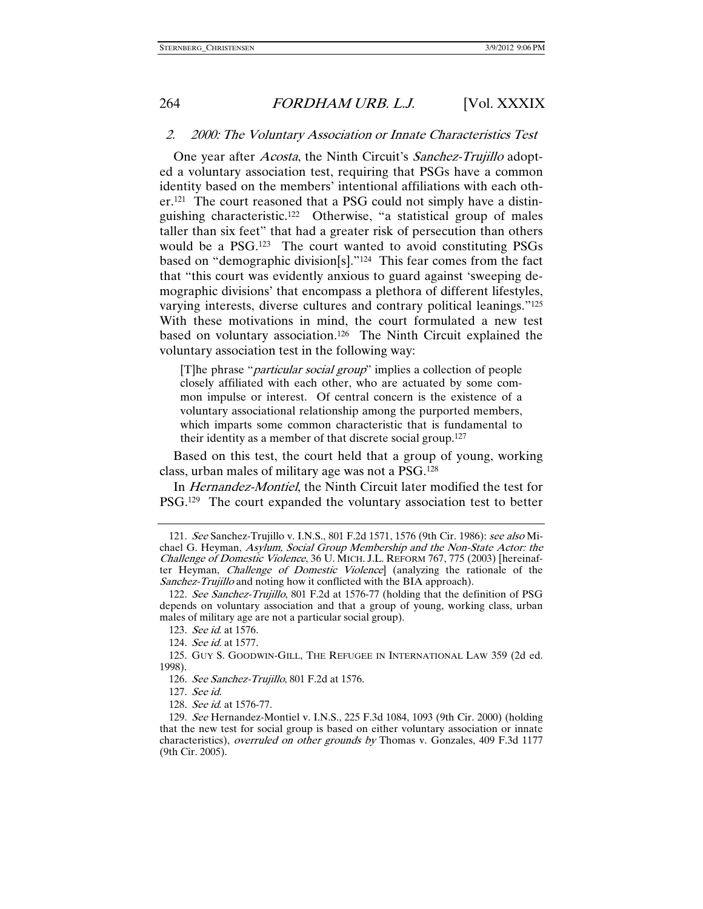### 2. 2000: The Voluntary Association or Innate Characteristics Test

One year after *Acosta*, the Ninth Circuit's *Sanchez-Trujillo* adopted a voluntary association test, requiring that PSGs have a common identity based on the members' intentional affiliations with each other.121 The court reasoned that a PSG could not simply have a distinguishing characteristic.122 Otherwise, "a statistical group of males taller than six feet" that had a greater risk of persecution than others would be a PSG.123 The court wanted to avoid constituting PSGs based on "demographic division[s]."124 This fear comes from the fact that "this court was evidently anxious to guard against 'sweeping demographic divisions' that encompass a plethora of different lifestyles, varying interests, diverse cultures and contrary political leanings."125 With these motivations in mind, the court formulated a new test based on voluntary association.126 The Ninth Circuit explained the voluntary association test in the following way:

[T]he phrase "particular social group" implies a collection of people closely affiliated with each other, who are actuated by some common impulse or interest. Of central concern is the existence of a voluntary associational relationship among the purported members, which imparts some common characteristic that is fundamental to their identity as a member of that discrete social group.127

Based on this test, the court held that a group of young, working class, urban males of military age was not a PSG.128

In Hernandez-Montiel, the Ninth Circuit later modified the test for PSG.129 The court expanded the voluntary association test to better

 <sup>121.</sup> See Sanchez-Trujillo v. I.N.S., 801 F.2d 1571, 1576 (9th Cir. 1986): see also Michael G. Heyman, Asylum, Social Group Membership and the Non-State Actor: the Challenge of Domestic Violence, 36 U. MICH. J.L. REFORM 767, 775 (2003) [hereinafter Heyman, Challenge of Domestic Violence] (analyzing the rationale of the Sanchez-Trujillo and noting how it conflicted with the BIA approach).

 <sup>122.</sup> See Sanchez-Trujillo, 801 F.2d at 1576-77 (holding that the definition of PSG depends on voluntary association and that a group of young, working class, urban males of military age are not a particular social group).

 <sup>123.</sup> See id. at 1576.

 <sup>124.</sup> See id. at 1577.

 <sup>125.</sup> GUY S. GOODWIN-GILL, THE REFUGEE IN INTERNATIONAL LAW 359 (2d ed. 1998).

 <sup>126.</sup> See Sanchez-Trujillo, 801 F.2d at 1576.

 <sup>127.</sup> See id.

 <sup>128.</sup> See id. at 1576-77.

 <sup>129.</sup> See Hernandez-Montiel v. I.N.S., 225 F.3d 1084, 1093 (9th Cir. 2000) (holding that the new test for social group is based on either voluntary association or innate characteristics), overruled on other grounds by Thomas v. Gonzales, 409 F.3d 1177 (9th Cir. 2005).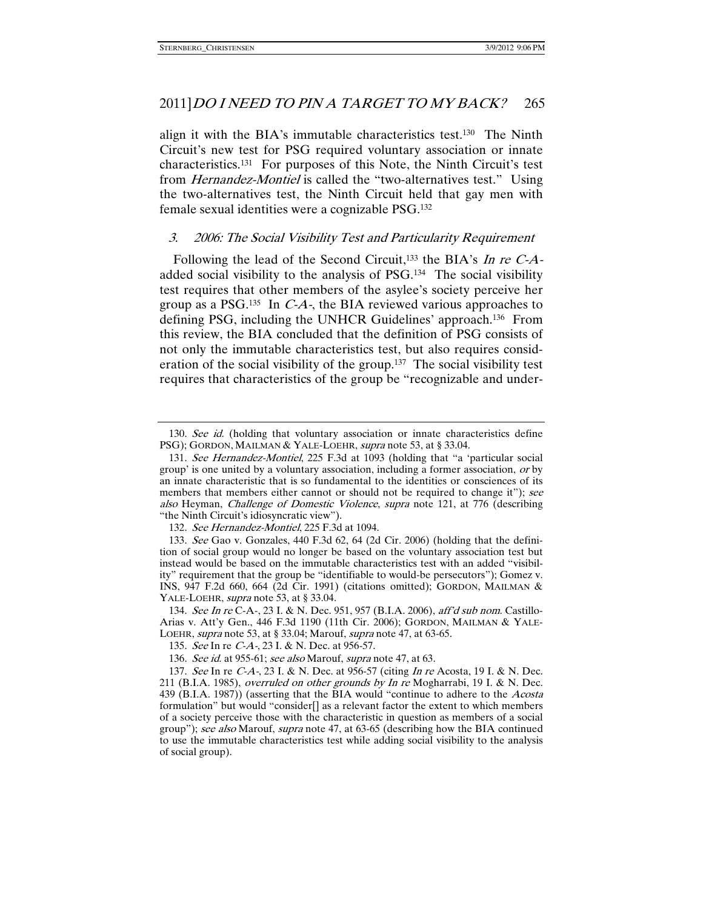align it with the BIA's immutable characteristics test.130 The Ninth Circuit's new test for PSG required voluntary association or innate characteristics.131 For purposes of this Note, the Ninth Circuit's test from *Hernandez-Montiel* is called the "two-alternatives test." Using the two-alternatives test, the Ninth Circuit held that gay men with female sexual identities were a cognizable PSG.132

### 3. 2006: The Social Visibility Test and Particularity Requirement

Following the lead of the Second Circuit,<sup>133</sup> the BIA's In re C-Aadded social visibility to the analysis of PSG.134 The social visibility test requires that other members of the asylee's society perceive her group as a PSG.<sup>135</sup> In  $C-A$ , the BIA reviewed various approaches to defining PSG, including the UNHCR Guidelines' approach.136 From this review, the BIA concluded that the definition of PSG consists of not only the immutable characteristics test, but also requires consideration of the social visibility of the group.137 The social visibility test requires that characteristics of the group be "recognizable and under-

<sup>130.</sup> See id. (holding that voluntary association or innate characteristics define PSG); GORDON, MAILMAN & YALE-LOEHR, *supra* note 53, at § 33.04.

 <sup>131.</sup> See Hernandez-Montiel, 225 F.3d at 1093 (holding that "a 'particular social group' is one united by a voluntary association, including a former association, or by an innate characteristic that is so fundamental to the identities or consciences of its members that members either cannot or should not be required to change it"); see also Heyman, Challenge of Domestic Violence, supra note 121, at 776 (describing "the Ninth Circuit's idiosyncratic view").

 <sup>132.</sup> See Hernandez-Montiel, 225 F.3d at 1094.

 <sup>133.</sup> See Gao v. Gonzales, 440 F.3d 62, 64 (2d Cir. 2006) (holding that the definition of social group would no longer be based on the voluntary association test but instead would be based on the immutable characteristics test with an added "visibility" requirement that the group be "identifiable to would-be persecutors"); Gomez v. INS, 947 F.2d 660, 664 (2d Cir. 1991) (citations omitted); GORDON, MAILMAN & YALE-LOEHR, *supra* note 53, at § 33.04.

 <sup>134.</sup> See In re C-A-, 23 I. & N. Dec. 951, 957 (B.I.A. 2006), aff'd sub nom. Castillo-Arias v. Att'y Gen., 446 F.3d 1190 (11th Cir. 2006); GORDON, MAILMAN & YALE-LOEHR, supra note 53, at § 33.04; Marouf, supra note 47, at 63-65.

 <sup>135.</sup> See In re C-A-, 23 I. & N. Dec. at 956-57.

<sup>136.</sup> See id. at 955-61; see also Marouf, supra note 47, at 63.

 <sup>137.</sup> See In re C-A-, 23 I. & N. Dec. at 956-57 (citing In re Acosta, 19 I. & N. Dec. 211 (B.I.A. 1985), overruled on other grounds by In re Mogharrabi, 19 I. & N. Dec. 439 (B.I.A. 1987)) (asserting that the BIA would "continue to adhere to the Acosta formulation" but would "consider[] as a relevant factor the extent to which members of a society perceive those with the characteristic in question as members of a social group"); see also Marouf, supra note 47, at 63-65 (describing how the BIA continued to use the immutable characteristics test while adding social visibility to the analysis of social group).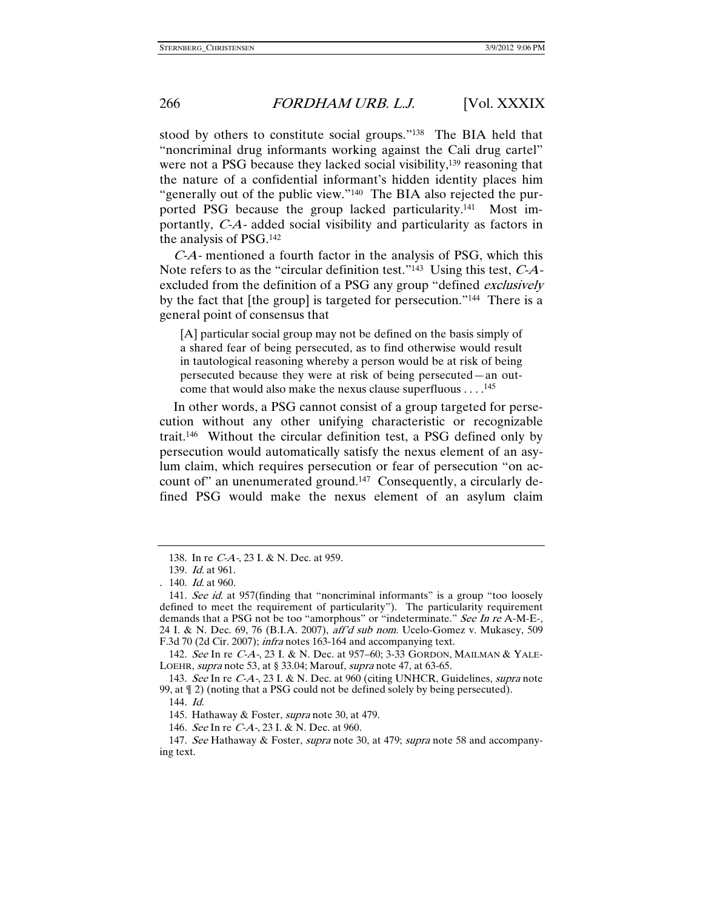stood by others to constitute social groups."138 The BIA held that "noncriminal drug informants working against the Cali drug cartel" were not a PSG because they lacked social visibility,<sup>139</sup> reasoning that the nature of a confidential informant's hidden identity places him "generally out of the public view."140 The BIA also rejected the purported PSG because the group lacked particularity.141 Most importantly, C-A- added social visibility and particularity as factors in the analysis of PSG.142

C-A- mentioned a fourth factor in the analysis of PSG, which this Note refers to as the "circular definition test."<sup>143</sup> Using this test,  $C-A$ excluded from the definition of a PSG any group "defined *exclusively* by the fact that [the group] is targeted for persecution."144 There is a general point of consensus that

[A] particular social group may not be defined on the basis simply of a shared fear of being persecuted, as to find otherwise would result in tautological reasoning whereby a person would be at risk of being persecuted because they were at risk of being persecuted—an outcome that would also make the nexus clause superfluous . . . .145

In other words, a PSG cannot consist of a group targeted for persecution without any other unifying characteristic or recognizable trait.146 Without the circular definition test, a PSG defined only by persecution would automatically satisfy the nexus element of an asylum claim, which requires persecution or fear of persecution "on account of" an unenumerated ground.147 Consequently, a circularly defined PSG would make the nexus element of an asylum claim

 <sup>138.</sup> In re C-A-, 23 I. & N. Dec. at 959.

 <sup>139.</sup> Id. at 961.

<sup>. 140.</sup> Id. at 960.

<sup>141.</sup> See id. at 957(finding that "noncriminal informants" is a group "too loosely defined to meet the requirement of particularity"). The particularity requirement demands that a PSG not be too "amorphous" or "indeterminate." See In re A-M-E-, 24 I. & N. Dec. 69, 76 (B.I.A. 2007), aff'd sub nom. Ucelo-Gomez v. Mukasey, 509 F.3d 70 (2d Cir. 2007); infra notes 163-164 and accompanying text.

 <sup>142.</sup> See In re C-A-, 23 I. & N. Dec. at 957–60; 3-33 GORDON, MAILMAN & YALE-LOEHR, supra note 53, at § 33.04; Marouf, supra note 47, at 63-65.

 <sup>143.</sup> See In re C-A-, 23 I. & N. Dec. at 960 (citing UNHCR, Guidelines, supra note 99, at ¶ 2) (noting that a PSG could not be defined solely by being persecuted).

 <sup>144.</sup> Id.

<sup>145.</sup> Hathaway & Foster, *supra* note 30, at 479.

 <sup>146.</sup> See In re C-A-, 23 I. & N. Dec. at 960.

<sup>147.</sup> See Hathaway & Foster, *supra* note 30, at 479; *supra* note 58 and accompanying text.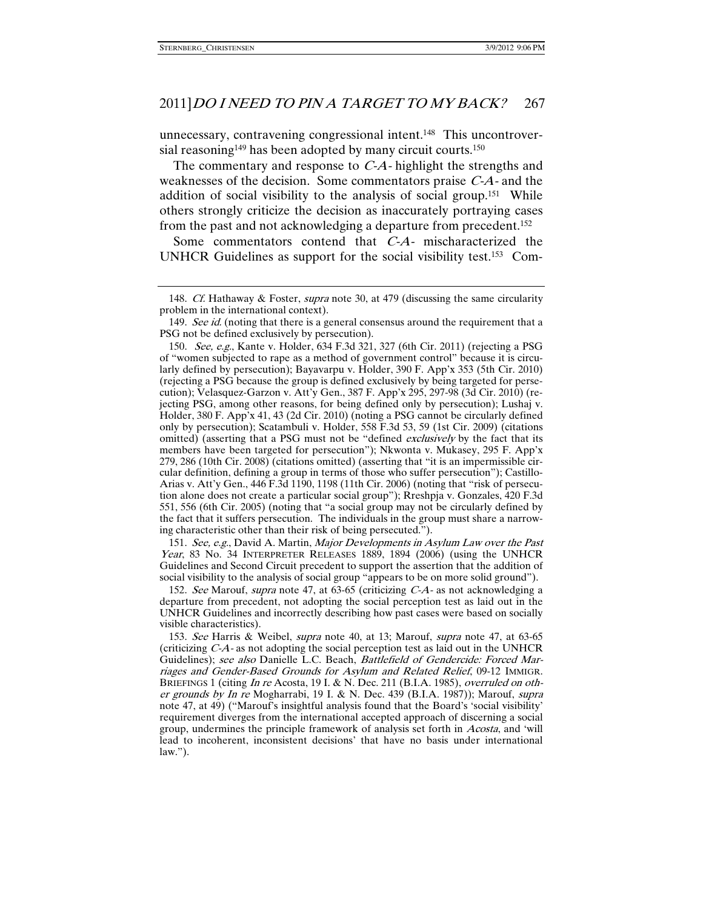unnecessary, contravening congressional intent.148 This uncontroversial reasoning<sup>149</sup> has been adopted by many circuit courts.<sup>150</sup>

The commentary and response to C-A- highlight the strengths and weaknesses of the decision. Some commentators praise C-A- and the addition of social visibility to the analysis of social group.151 While others strongly criticize the decision as inaccurately portraying cases from the past and not acknowledging a departure from precedent.152

Some commentators contend that C-A- mischaracterized the UNHCR Guidelines as support for the social visibility test.153 Com-

 151. See, e.g., David A. Martin, Major Developments in Asylum Law over the Past Year, 83 No. 34 INTERPRETER RELEASES 1889, 1894 (2006) (using the UNHCR Guidelines and Second Circuit precedent to support the assertion that the addition of social visibility to the analysis of social group "appears to be on more solid ground").

 152. See Marouf, supra note 47, at 63-65 (criticizing C-A- as not acknowledging a departure from precedent, not adopting the social perception test as laid out in the UNHCR Guidelines and incorrectly describing how past cases were based on socially visible characteristics).

 153. See Harris & Weibel, supra note 40, at 13; Marouf, supra note 47, at 63-65 (criticizing C-A- as not adopting the social perception test as laid out in the UNHCR Guidelines); see also Danielle L.C. Beach, Battlefield of Gendercide: Forced Marriages and Gender-Based Grounds for Asylum and Related Relief, 09-12 IMMIGR. BRIEFINGS 1 (citing In re Acosta, 19 I. & N. Dec. 211 (B.I.A. 1985), overruled on other grounds by In re Mogharrabi, 19 I. & N. Dec. 439 (B.I.A. 1987)); Marouf, supra note 47, at 49) ("Marouf's insightful analysis found that the Board's 'social visibility' requirement diverges from the international accepted approach of discerning a social group, undermines the principle framework of analysis set forth in *Acosta*, and 'will lead to incoherent, inconsistent decisions' that have no basis under international law.").

<sup>148.</sup> Cf. Hathaway & Foster, *supra* note 30, at 479 (discussing the same circularity problem in the international context).

<sup>149.</sup> See id. (noting that there is a general consensus around the requirement that a PSG not be defined exclusively by persecution).

 <sup>150.</sup> See, e.g., Kante v. Holder, 634 F.3d 321, 327 (6th Cir. 2011) (rejecting a PSG of "women subjected to rape as a method of government control" because it is circularly defined by persecution); Bayavarpu v. Holder, 390 F. App'x 353 (5th Cir. 2010) (rejecting a PSG because the group is defined exclusively by being targeted for persecution); Velasquez-Garzon v. Att'y Gen., 387 F. App'x 295, 297-98 (3d Cir. 2010) (rejecting PSG, among other reasons, for being defined only by persecution); Lushaj v. Holder, 380 F. App'x 41, 43 (2d Cir. 2010) (noting a PSG cannot be circularly defined only by persecution); Scatambuli v. Holder, 558 F.3d 53, 59 (1st Cir. 2009) (citations omitted) (asserting that a PSG must not be "defined *exclusively* by the fact that its members have been targeted for persecution"); Nkwonta v. Mukasey, 295 F. App'x 279, 286 (10th Cir. 2008) (citations omitted) (asserting that "it is an impermissible circular definition, defining a group in terms of those who suffer persecution"); Castillo-Arias v. Att'y Gen., 446 F.3d 1190, 1198 (11th Cir. 2006) (noting that "risk of persecution alone does not create a particular social group"); Rreshpja v. Gonzales, 420 F.3d 551, 556 (6th Cir. 2005) (noting that "a social group may not be circularly defined by the fact that it suffers persecution. The individuals in the group must share a narrowing characteristic other than their risk of being persecuted.").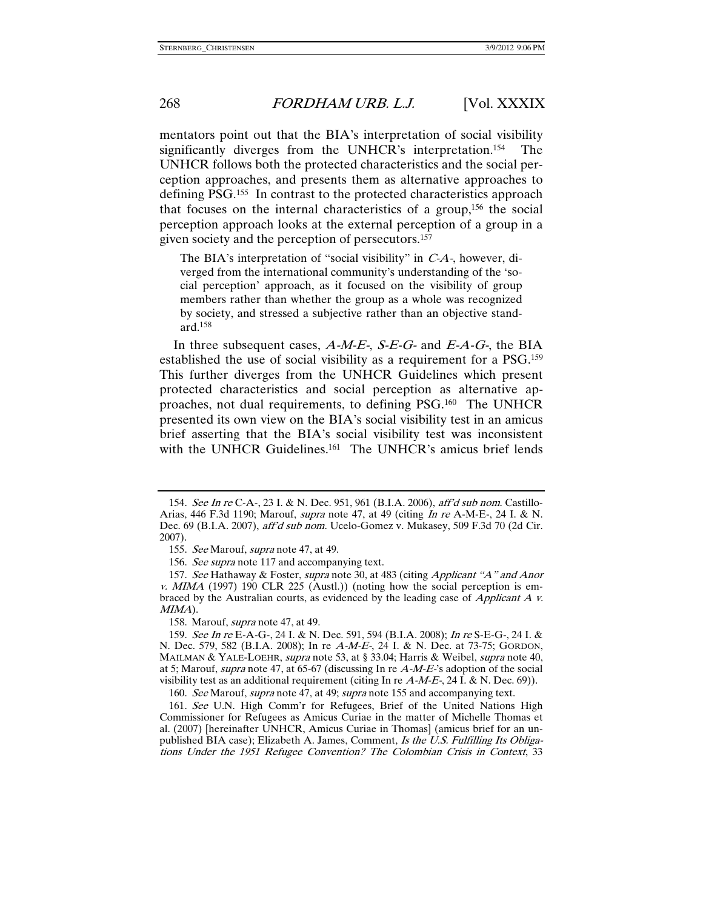mentators point out that the BIA's interpretation of social visibility significantly diverges from the UNHCR's interpretation.154 The UNHCR follows both the protected characteristics and the social perception approaches, and presents them as alternative approaches to defining PSG.155 In contrast to the protected characteristics approach that focuses on the internal characteristics of a group,156 the social perception approach looks at the external perception of a group in a given society and the perception of persecutors.157

The BIA's interpretation of "social visibility" in C-A-, however, diverged from the international community's understanding of the 'social perception' approach, as it focused on the visibility of group members rather than whether the group as a whole was recognized by society, and stressed a subjective rather than an objective standard.158

In three subsequent cases,  $A-M-E$ -,  $S-E-G$ - and  $E-A-G$ -, the BIA established the use of social visibility as a requirement for a PSG.159 This further diverges from the UNHCR Guidelines which present protected characteristics and social perception as alternative approaches, not dual requirements, to defining PSG.160 The UNHCR presented its own view on the BIA's social visibility test in an amicus brief asserting that the BIA's social visibility test was inconsistent with the UNHCR Guidelines.<sup>161</sup> The UNHCR's amicus brief lends

158. Marouf, *supra* note 47, at 49.

 <sup>154.</sup> See In re C-A-, 23 I. & N. Dec. 951, 961 (B.I.A. 2006), aff'd sub nom. Castillo-Arias, 446 F.3d 1190; Marouf, supra note 47, at 49 (citing In re A-M-E-, 24 I. & N. Dec. 69 (B.I.A. 2007), aff'd sub nom. Ucelo-Gomez v. Mukasey, 509 F.3d 70 (2d Cir. 2007).

<sup>155.</sup> See Marouf, supra note 47, at 49.

 <sup>156.</sup> See supra note 117 and accompanying text.

 <sup>157.</sup> See Hathaway & Foster, supra note 30, at 483 (citing Applicant "A" and Anor v. MIMA (1997) 190 CLR 225 (Austl.)) (noting how the social perception is embraced by the Australian courts, as evidenced by the leading case of Applicant A v. MIMA).

 <sup>159.</sup> See In re E-A-G-, 24 I. & N. Dec. 591, 594 (B.I.A. 2008); In re S-E-G-, 24 I. & N. Dec. 579, 582 (B.I.A. 2008); In re A-M-E-, 24 I. & N. Dec. at 73-75; GORDON, MAILMAN & YALE-LOEHR, supra note 53, at § 33.04; Harris & Weibel, supra note 40, at 5; Marouf, *supra* note 47, at 65-67 (discussing In re  $A-M-E$ <sup>2</sup> s adoption of the social visibility test as an additional requirement (citing In re  $A-M-E$ , 24 I. & N. Dec. 69)).

<sup>160.</sup> See Marouf, supra note 47, at 49; supra note 155 and accompanying text.

 <sup>161.</sup> See U.N. High Comm'r for Refugees, Brief of the United Nations High Commissioner for Refugees as Amicus Curiae in the matter of Michelle Thomas et al. (2007) [hereinafter UNHCR, Amicus Curiae in Thomas] (amicus brief for an unpublished BIA case); Elizabeth A. James, Comment, Is the U.S. Fulfilling Its Obligations Under the 1951 Refugee Convention? The Colombian Crisis in Context, 33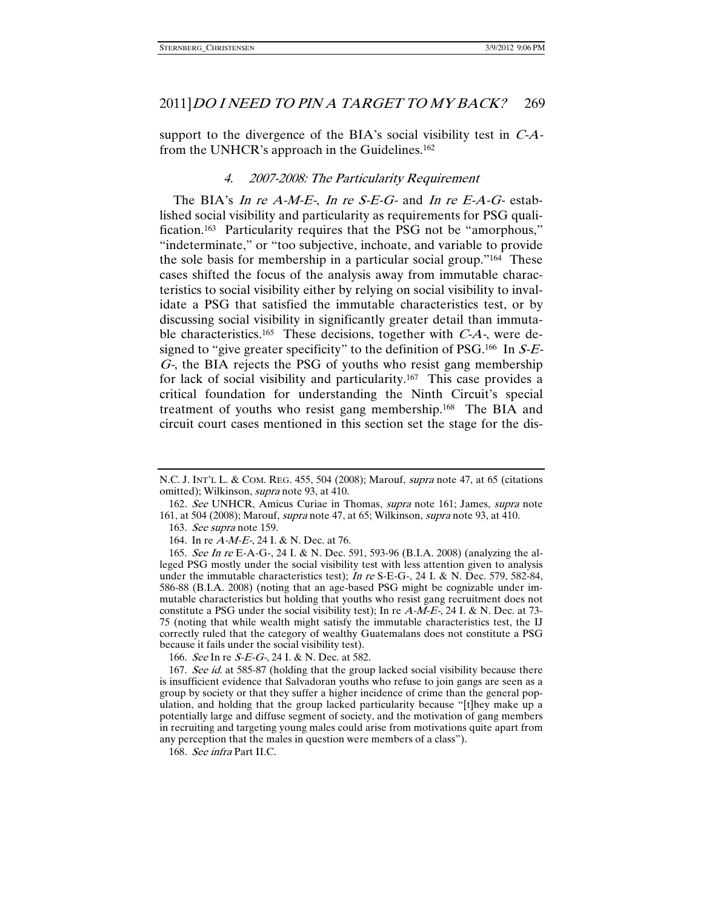support to the divergence of the BIA's social visibility test in  $C-A$ from the UNHCR's approach in the Guidelines.162

### 4. 2007-2008: The Particularity Requirement

The BIA's In re  $A-M-E$ , In re S-E-G- and In re E-A-G- established social visibility and particularity as requirements for PSG qualification.163 Particularity requires that the PSG not be "amorphous," "indeterminate," or "too subjective, inchoate, and variable to provide the sole basis for membership in a particular social group."164 These cases shifted the focus of the analysis away from immutable characteristics to social visibility either by relying on social visibility to invalidate a PSG that satisfied the immutable characteristics test, or by discussing social visibility in significantly greater detail than immutable characteristics.<sup>165</sup> These decisions, together with  $C-A$ -, were designed to "give greater specificity" to the definition of PSG.<sup>166</sup> In  $S-E$ -G-, the BIA rejects the PSG of youths who resist gang membership for lack of social visibility and particularity.167 This case provides a critical foundation for understanding the Ninth Circuit's special treatment of youths who resist gang membership.168 The BIA and circuit court cases mentioned in this section set the stage for the dis-

163. See supra note 159.

164. In re A-M-E-, 24 I. & N. Dec. at 76.

166. See In re S-E-G-, 24 I. & N. Dec. at 582.

167. See id. at 585-87 (holding that the group lacked social visibility because there is insufficient evidence that Salvadoran youths who refuse to join gangs are seen as a group by society or that they suffer a higher incidence of crime than the general population, and holding that the group lacked particularity because "[t]hey make up a potentially large and diffuse segment of society, and the motivation of gang members in recruiting and targeting young males could arise from motivations quite apart from any perception that the males in question were members of a class").

168. See infra Part II.C.

N.C. J. INT'L L. & COM. REG. 455, 504 (2008); Marouf, supra note 47, at 65 (citations omitted); Wilkinson, *supra* note 93, at 410.

 <sup>162.</sup> See UNHCR, Amicus Curiae in Thomas, supra note 161; James, supra note 161, at 504 (2008); Marouf, supra note 47, at 65; Wilkinson, supra note 93, at 410.

 <sup>165.</sup> See In re E-A-G-, 24 I. & N. Dec. 591, 593-96 (B.I.A. 2008) (analyzing the alleged PSG mostly under the social visibility test with less attention given to analysis under the immutable characteristics test); In re S-E-G-, 24 I. & N. Dec. 579, 582-84, 586-88 (B.I.A. 2008) (noting that an age-based PSG might be cognizable under immutable characteristics but holding that youths who resist gang recruitment does not constitute a PSG under the social visibility test); In re  $A-M-E$ , 24 I. & N. Dec. at 73-75 (noting that while wealth might satisfy the immutable characteristics test, the IJ correctly ruled that the category of wealthy Guatemalans does not constitute a PSG because it fails under the social visibility test).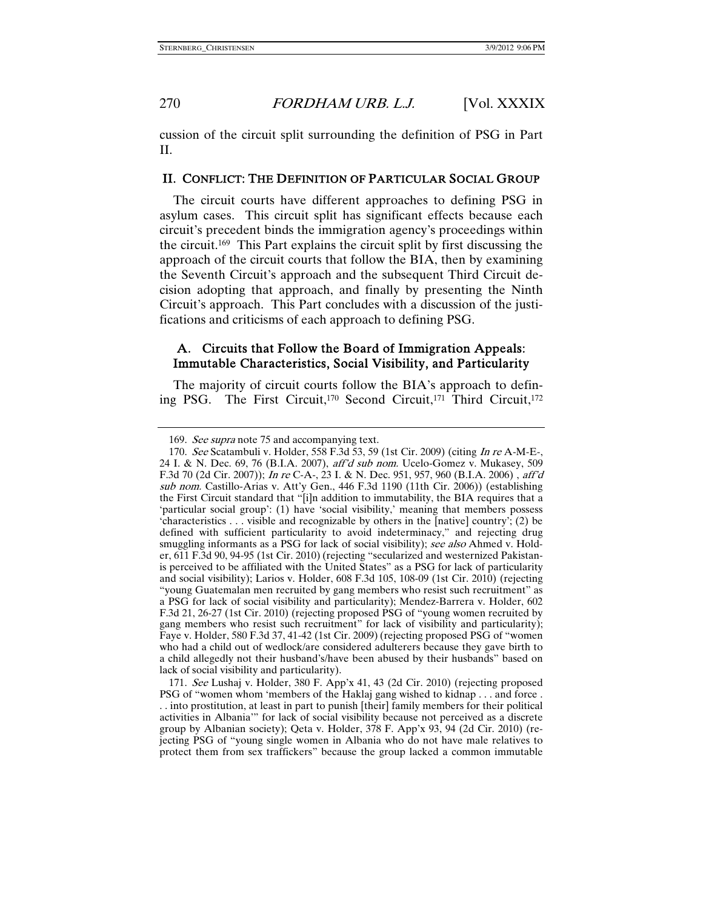cussion of the circuit split surrounding the definition of PSG in Part II.

# II. CONFLICT: THE DEFINITION OF PARTICULAR SOCIAL GROUP

The circuit courts have different approaches to defining PSG in asylum cases. This circuit split has significant effects because each circuit's precedent binds the immigration agency's proceedings within the circuit.169 This Part explains the circuit split by first discussing the approach of the circuit courts that follow the BIA, then by examining the Seventh Circuit's approach and the subsequent Third Circuit decision adopting that approach, and finally by presenting the Ninth Circuit's approach. This Part concludes with a discussion of the justifications and criticisms of each approach to defining PSG.

# A. Circuits that Follow the Board of Immigration Appeals: Immutable Characteristics, Social Visibility, and Particularity

The majority of circuit courts follow the BIA's approach to defining PSG. The First Circuit,170 Second Circuit,171 Third Circuit,172

 171. See Lushaj v. Holder, 380 F. App'x 41, 43 (2d Cir. 2010) (rejecting proposed PSG of "women whom 'members of the Haklaj gang wished to kidnap . . . and force . . . into prostitution, at least in part to punish [their] family members for their political activities in Albania'" for lack of social visibility because not perceived as a discrete group by Albanian society); Qeta v. Holder, 378 F. App'x 93, 94 (2d Cir. 2010) (rejecting PSG of "young single women in Albania who do not have male relatives to protect them from sex traffickers" because the group lacked a common immutable

<sup>169.</sup> See supra note 75 and accompanying text.

 <sup>170.</sup> See Scatambuli v. Holder, 558 F.3d 53, 59 (1st Cir. 2009) (citing In re A-M-E-, 24 I. & N. Dec. 69, 76 (B.I.A. 2007), aff'd sub nom. Ucelo-Gomez v. Mukasey, 509 F.3d 70 (2d Cir. 2007)); In re C-A-, 23 I. & N. Dec. 951, 957, 960 (B.I.A. 2006) , aff'd sub nom. Castillo-Arias v. Att'y Gen., 446 F.3d 1190 (11th Cir. 2006)) (establishing the First Circuit standard that "[i]n addition to immutability, the BIA requires that a 'particular social group': (1) have 'social visibility,' meaning that members possess 'characteristics . . . visible and recognizable by others in the [native] country'; (2) be defined with sufficient particularity to avoid indeterminacy," and rejecting drug smuggling informants as a PSG for lack of social visibility); see also Ahmed v. Holder, 611 F.3d 90, 94-95 (1st Cir. 2010)(rejecting "secularized and westernized Pakistanis perceived to be affiliated with the United States" as a PSG for lack of particularity and social visibility); Larios v. Holder, 608 F.3d 105, 108-09 (1st Cir. 2010) (rejecting "young Guatemalan men recruited by gang members who resist such recruitment" as a PSG for lack of social visibility and particularity); Mendez-Barrera v. Holder, 602 F.3d 21, 26-27 (1st Cir. 2010) (rejecting proposed PSG of "young women recruited by gang members who resist such recruitment" for lack of visibility and particularity); Faye v. Holder, 580 F.3d 37, 41-42 (1st Cir. 2009)(rejecting proposed PSG of "women who had a child out of wedlock/are considered adulterers because they gave birth to a child allegedly not their husband's/have been abused by their husbands" based on lack of social visibility and particularity).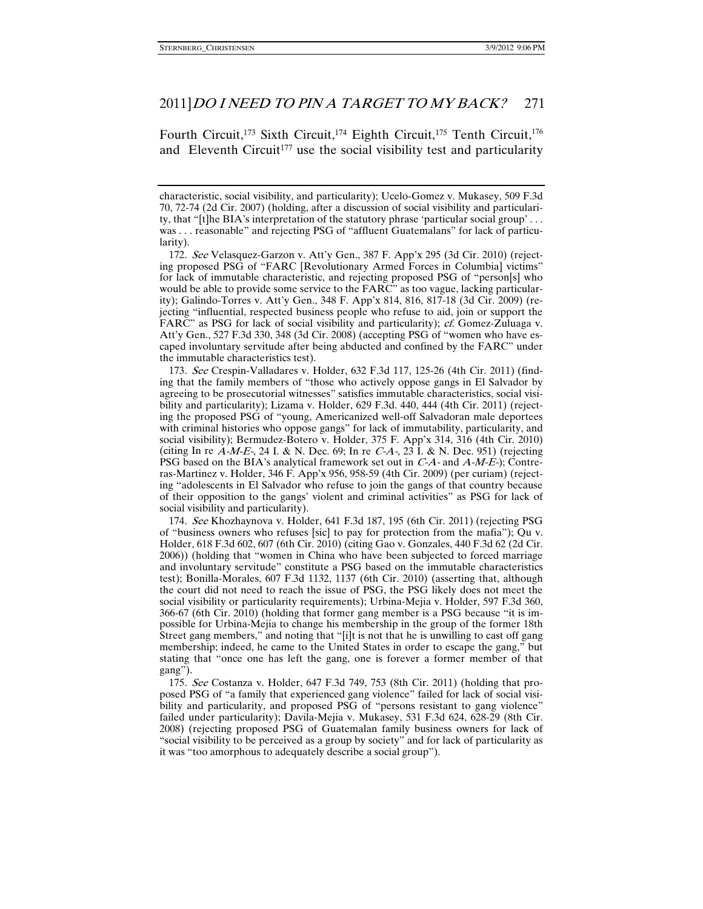Fourth Circuit,<sup>173</sup> Sixth Circuit,<sup>174</sup> Eighth Circuit,<sup>175</sup> Tenth Circuit,<sup>176</sup> and Eleventh Circuit<sup>177</sup> use the social visibility test and particularity

 173. See Crespin-Valladares v. Holder, 632 F.3d 117, 125-26 (4th Cir. 2011) (finding that the family members of "those who actively oppose gangs in El Salvador by agreeing to be prosecutorial witnesses" satisfies immutable characteristics, social visibility and particularity); Lizama v. Holder, 629 F.3d. 440, 444 (4th Cir. 2011) (rejecting the proposed PSG of "young, Americanized well-off Salvadoran male deportees with criminal histories who oppose gangs" for lack of immutability, particularity, and social visibility); Bermudez-Botero v. Holder, 375 F. App'x 314, 316 (4th Cir. 2010) (citing In re  $A-M-E$ , 24 I. & N. Dec. 69; In re  $C-A$ , 23 I. & N. Dec. 951) (rejecting PSG based on the BIA's analytical framework set out in  $C-A$ - and  $A-M-E$ -); Contreras-Martinez v. Holder, 346 F. App'x 956, 958-59 (4th Cir. 2009) (per curiam) (rejecting "adolescents in El Salvador who refuse to join the gangs of that country because of their opposition to the gangs' violent and criminal activities" as PSG for lack of social visibility and particularity).

 174. See Khozhaynova v. Holder, 641 F.3d 187, 195 (6th Cir. 2011) (rejecting PSG of "business owners who refuses [sic] to pay for protection from the mafia"); Qu v. Holder, 618 F.3d 602, 607 (6th Cir. 2010) (citing Gao v. Gonzales, 440 F.3d 62 (2d Cir. 2006)) (holding that "women in China who have been subjected to forced marriage and involuntary servitude" constitute a PSG based on the immutable characteristics test); Bonilla-Morales, 607 F.3d 1132, 1137 (6th Cir. 2010) (asserting that, although the court did not need to reach the issue of PSG, the PSG likely does not meet the social visibility or particularity requirements); Urbina-Mejia v. Holder, 597 F.3d 360, 366-67 (6th Cir. 2010) (holding that former gang member is a PSG because "it is impossible for Urbina-Mejia to change his membership in the group of the former 18th Street gang members," and noting that "[i]t is not that he is unwilling to cast off gang membership; indeed, he came to the United States in order to escape the gang," but stating that "once one has left the gang, one is forever a former member of that gang").

 175. See Costanza v. Holder, 647 F.3d 749, 753 (8th Cir. 2011) (holding that proposed PSG of "a family that experienced gang violence" failed for lack of social visibility and particularity, and proposed PSG of "persons resistant to gang violence" failed under particularity); Davila-Mejia v. Mukasey, 531 F.3d 624, 628-29 (8th Cir. 2008) (rejecting proposed PSG of Guatemalan family business owners for lack of "social visibility to be perceived as a group by society" and for lack of particularity as it was "too amorphous to adequately describe a social group").

characteristic, social visibility, and particularity); Ucelo-Gomez v. Mukasey, 509 F.3d 70, 72-74 (2d Cir. 2007) (holding, after a discussion of social visibility and particularity, that "[t]he BIA's interpretation of the statutory phrase 'particular social group' . . . was . . . reasonable" and rejecting PSG of "affluent Guatemalans" for lack of particularity).

 <sup>172.</sup> See Velasquez-Garzon v. Att'y Gen., 387 F. App'x 295 (3d Cir. 2010) (rejecting proposed PSG of "FARC [Revolutionary Armed Forces in Columbia] victims" for lack of immutable characteristic, and rejecting proposed PSG of "person[s] who would be able to provide some service to the FARC" as too vague, lacking particularity); Galindo-Torres v. Att'y Gen., 348 F. App'x 814, 816, 817-18 (3d Cir. 2009) (rejecting "influential, respected business people who refuse to aid, join or support the FARC" as PSG for lack of social visibility and particularity); *cf.* Gomez-Zuluaga v. Att'y Gen., 527 F.3d 330, 348 (3d Cir. 2008) (accepting PSG of "women who have escaped involuntary servitude after being abducted and confined by the FARC" under the immutable characteristics test).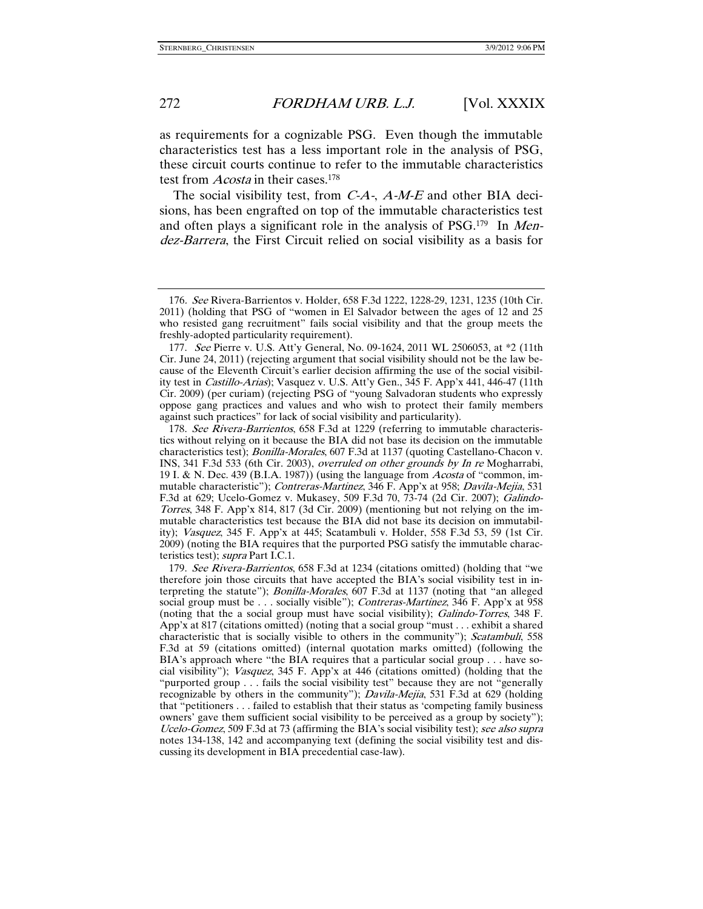as requirements for a cognizable PSG. Even though the immutable characteristics test has a less important role in the analysis of PSG, these circuit courts continue to refer to the immutable characteristics test from *Acosta* in their cases.<sup>178</sup>

The social visibility test, from  $C-A$ -,  $A-M-E$  and other BIA decisions, has been engrafted on top of the immutable characteristics test and often plays a significant role in the analysis of PSG.<sup>179</sup> In *Men*dez-Barrera, the First Circuit relied on social visibility as a basis for

<sup>176</sup>. See Rivera-Barrientos v. Holder, 658 F.3d 1222, 1228-29, 1231, 1235 (10th Cir. 2011) (holding that PSG of "women in El Salvador between the ages of 12 and 25 who resisted gang recruitment" fails social visibility and that the group meets the freshly-adopted particularity requirement).

 <sup>177.</sup> See Pierre v. U.S. Att'y General, No. 09-1624, 2011 WL 2506053, at \*2 (11th Cir. June 24, 2011) (rejecting argument that social visibility should not be the law because of the Eleventh Circuit's earlier decision affirming the use of the social visibility test in Castillo-Arias); Vasquez v. U.S. Att'y Gen., 345 F. App'x 441, 446-47 (11th Cir. 2009) (per curiam) (rejecting PSG of "young Salvadoran students who expressly oppose gang practices and values and who wish to protect their family members against such practices" for lack of social visibility and particularity).

<sup>178.</sup> See Rivera-Barrientos, 658 F.3d at 1229 (referring to immutable characteristics without relying on it because the BIA did not base its decision on the immutable characteristics test); Bonilla-Morales, 607 F.3d at 1137 (quoting Castellano-Chacon v. INS, 341 F.3d 533 (6th Cir. 2003), overruled on other grounds by In re Mogharrabi, 19 I. & N. Dec. 439 (B.I.A. 1987)) (using the language from *Acosta* of "common, immutable characteristic"); Contreras-Martinez, 346 F. App'x at 958; Davila-Mejia, 531 F.3d at 629; Ucelo-Gomez v. Mukasey, 509 F.3d 70, 73-74 (2d Cir. 2007); *Galindo-*Torres, 348 F. App'x 814, 817 (3d Cir. 2009) (mentioning but not relying on the immutable characteristics test because the BIA did not base its decision on immutability); Vasquez, 345 F. App'x at 445; Scatambuli v. Holder, 558 F.3d 53, 59 (1st Cir. 2009) (noting the BIA requires that the purported PSG satisfy the immutable characteristics test); supra Part I.C.1.

 <sup>179.</sup> See Rivera-Barrientos, 658 F.3d at 1234 (citations omitted) (holding that "we therefore join those circuits that have accepted the BIA's social visibility test in interpreting the statute"); Bonilla-Morales, 607 F.3d at 1137 (noting that "an alleged social group must be . . . socially visible"); *Contreras-Martinez*, 346 F. App'x at 958 (noting that the a social group must have social visibility); Galindo-Torres, 348 F. App'x at 817 (citations omitted) (noting that a social group "must . . . exhibit a shared characteristic that is socially visible to others in the community"); Scatambuli, 558 F.3d at 59 (citations omitted) (internal quotation marks omitted) (following the BIA's approach where "the BIA requires that a particular social group . . . have social visibility"); Vasquez, 345 F. App'x at 446 (citations omitted) (holding that the "purported group . . . fails the social visibility test" because they are not "generally recognizable by others in the community"); Davila-Mejia, 531 F.3d at 629 (holding that "petitioners . . . failed to establish that their status as 'competing family business owners' gave them sufficient social visibility to be perceived as a group by society"); Ucelo-Gomez, 509 F.3d at 73 (affirming the BIA's social visibility test); see also supra notes 134-138, 142 and accompanying text (defining the social visibility test and discussing its development in BIA precedential case-law).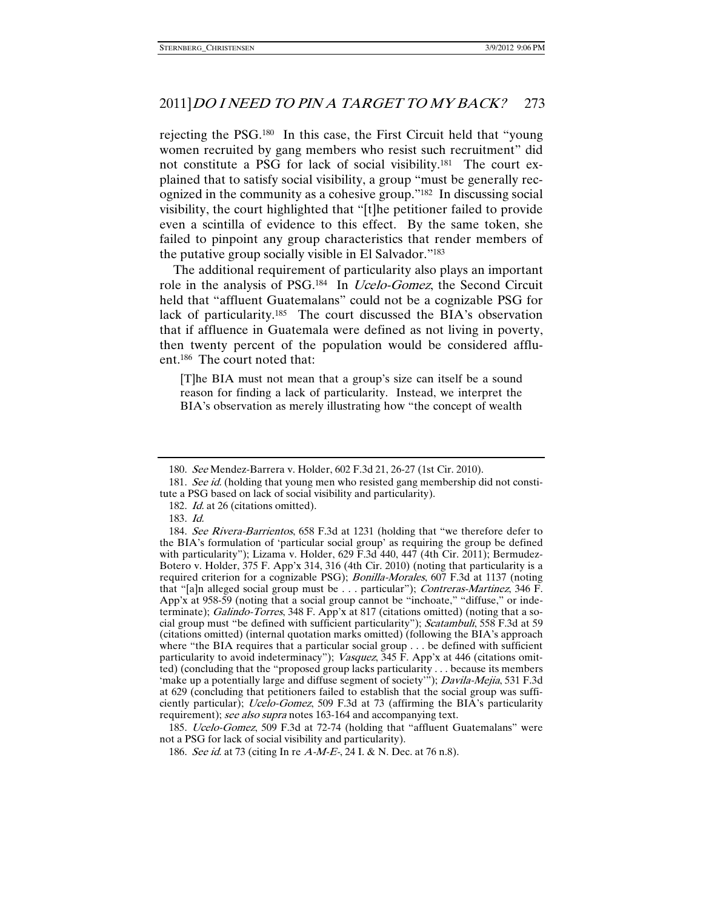rejecting the PSG.180 In this case, the First Circuit held that "young women recruited by gang members who resist such recruitment" did not constitute a PSG for lack of social visibility.181 The court explained that to satisfy social visibility, a group "must be generally recognized in the community as a cohesive group."182 In discussing social visibility, the court highlighted that "[t]he petitioner failed to provide even a scintilla of evidence to this effect. By the same token, she failed to pinpoint any group characteristics that render members of the putative group socially visible in El Salvador."183

The additional requirement of particularity also plays an important role in the analysis of PSG.<sup>184</sup> In *Ucelo-Gomez*, the Second Circuit held that "affluent Guatemalans" could not be a cognizable PSG for lack of particularity.185 The court discussed the BIA's observation that if affluence in Guatemala were defined as not living in poverty, then twenty percent of the population would be considered affluent.186 The court noted that:

[T]he BIA must not mean that a group's size can itself be a sound reason for finding a lack of particularity. Instead, we interpret the BIA's observation as merely illustrating how "the concept of wealth

185. *Ucelo-Gomez*, 509 F.3d at 72-74 (holding that "affluent Guatemalans" were not a PSG for lack of social visibility and particularity).

 <sup>180.</sup> See Mendez-Barrera v. Holder, 602 F.3d 21, 26-27 (1st Cir. 2010).

<sup>181.</sup> See id. (holding that young men who resisted gang membership did not constitute a PSG based on lack of social visibility and particularity).

<sup>182.</sup> *Id.* at 26 (citations omitted).

 <sup>183.</sup> Id.

 <sup>184.</sup> See Rivera-Barrientos, 658 F.3d at 1231 (holding that "we therefore defer to the BIA's formulation of 'particular social group' as requiring the group be defined with particularity"); Lizama v. Holder, 629 F.3d 440, 447 (4th Cir. 2011); Bermudez-Botero v. Holder, 375 F. App'x 314, 316 (4th Cir. 2010) (noting that particularity is a required criterion for a cognizable PSG); Bonilla-Morales, 607 F.3d at 1137 (noting that "[a]n alleged social group must be . . . particular"); Contreras-Martinez, 346 F. App'x at 958-59 (noting that a social group cannot be "inchoate," "diffuse," or indeterminate); Galindo-Torres, 348 F. App'x at 817 (citations omitted) (noting that a social group must "be defined with sufficient particularity"); Scatambuli, 558 F.3d at 59 (citations omitted) (internal quotation marks omitted) (following the BIA's approach where "the BIA requires that a particular social group . . . be defined with sufficient particularity to avoid indeterminacy"); Vasquez, 345 F. App'x at 446 (citations omitted) (concluding that the "proposed group lacks particularity . . . because its members 'make up a potentially large and diffuse segment of society'"); Davila-Mejia, 531 F.3d at 629 (concluding that petitioners failed to establish that the social group was sufficiently particular); *Ucelo-Gomez*, 509 F.3d at 73 (affirming the BIA's particularity requirement); see also supra notes 163-164 and accompanying text.

<sup>186.</sup> See id. at 73 (citing In re A-M-E-, 24 I. & N. Dec. at 76 n.8).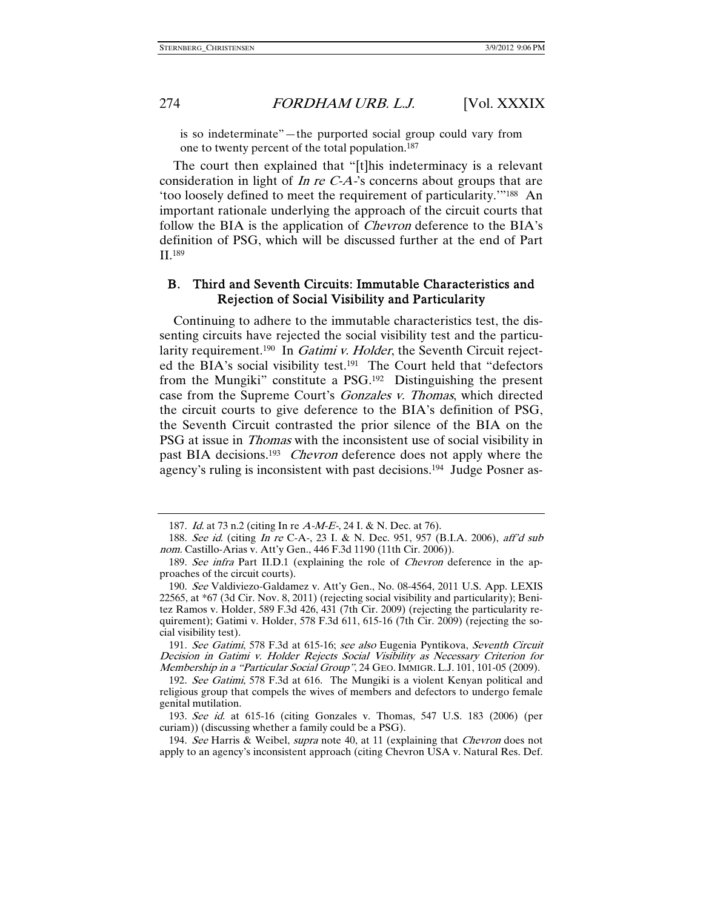is so indeterminate"—the purported social group could vary from one to twenty percent of the total population.187

The court then explained that "[t]his indeterminacy is a relevant consideration in light of In re  $C-A$ -'s concerns about groups that are 'too loosely defined to meet the requirement of particularity.'"188 An important rationale underlying the approach of the circuit courts that follow the BIA is the application of *Chevron* deference to the BIA's definition of PSG, which will be discussed further at the end of Part II.189

# B. Third and Seventh Circuits: Immutable Characteristics and Rejection of Social Visibility and Particularity

Continuing to adhere to the immutable characteristics test, the dissenting circuits have rejected the social visibility test and the particularity requirement.<sup>190</sup> In *Gatimi v. Holder*, the Seventh Circuit rejected the BIA's social visibility test.<sup>191</sup> The Court held that "defectors" from the Mungiki" constitute a PSG.192 Distinguishing the present case from the Supreme Court's Gonzales v. Thomas, which directed the circuit courts to give deference to the BIA's definition of PSG, the Seventh Circuit contrasted the prior silence of the BIA on the PSG at issue in Thomas with the inconsistent use of social visibility in past BIA decisions.193 Chevron deference does not apply where the agency's ruling is inconsistent with past decisions.194 Judge Posner as-

 191. See Gatimi, 578 F.3d at 615-16; see also Eugenia Pyntikova, Seventh Circuit Decision in Gatimi v. Holder Rejects Social Visibility as Necessary Criterion for Membership in a "Particular Social Group", 24 GEO. IMMIGR. L.J. 101, 101-05 (2009).

 <sup>187.</sup> Id. at 73 n.2 (citing In re A-M-E-, 24 I. & N. Dec. at 76).

 <sup>188.</sup> See id. (citing In re C-A-, 23 I. & N. Dec. 951, 957 (B.I.A. 2006), aff'd sub nom. Castillo-Arias v. Att'y Gen., 446 F.3d 1190 (11th Cir. 2006)).

<sup>189.</sup> See infra Part II.D.1 (explaining the role of *Chevron* deference in the approaches of the circuit courts).

 <sup>190.</sup> See Valdiviezo-Galdamez v. Att'y Gen., No. 08-4564, 2011 U.S. App. LEXIS 22565, at \*67 (3d Cir. Nov. 8, 2011) (rejecting social visibility and particularity); Benitez Ramos v. Holder, 589 F.3d 426, 431 (7th Cir. 2009) (rejecting the particularity requirement); Gatimi v. Holder, 578 F.3d 611, 615-16 (7th Cir. 2009) (rejecting the social visibility test).

<sup>192.</sup> See Gatimi, 578 F.3d at 616. The Mungiki is a violent Kenyan political and religious group that compels the wives of members and defectors to undergo female genital mutilation.

 <sup>193.</sup> See id. at 615-16 (citing Gonzales v. Thomas, 547 U.S. 183 (2006) (per curiam)) (discussing whether a family could be a PSG).

<sup>194.</sup> See Harris & Weibel, *supra* note 40, at 11 (explaining that *Chevron* does not apply to an agency's inconsistent approach (citing Chevron USA v. Natural Res. Def.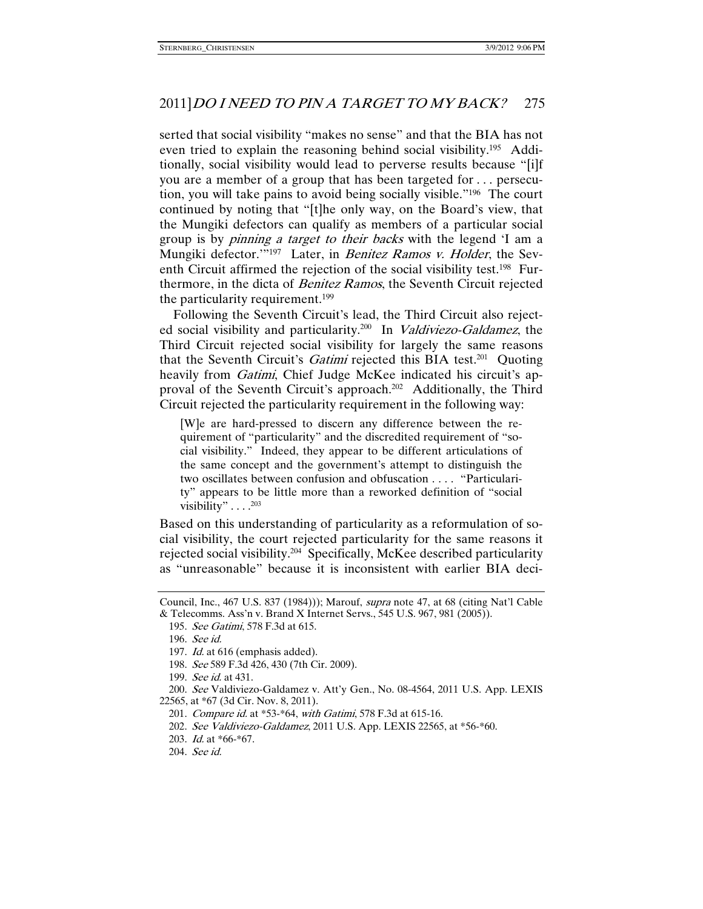serted that social visibility "makes no sense" and that the BIA has not even tried to explain the reasoning behind social visibility.195 Additionally, social visibility would lead to perverse results because "[i]f you are a member of a group that has been targeted for . . . persecution, you will take pains to avoid being socially visible."196 The court continued by noting that "[t]he only way, on the Board's view, that the Mungiki defectors can qualify as members of a particular social group is by *pinning a target to their backs* with the legend 'I am a Mungiki defector."<sup>197</sup> Later, in *Benitez Ramos v. Holder*, the Seventh Circuit affirmed the rejection of the social visibility test.198 Furthermore, in the dicta of Benitez Ramos, the Seventh Circuit rejected the particularity requirement.199

Following the Seventh Circuit's lead, the Third Circuit also rejected social visibility and particularity.<sup>200</sup> In *Valdiviezo-Galdamez*, the Third Circuit rejected social visibility for largely the same reasons that the Seventh Circuit's *Gatimi* rejected this BIA test.<sup>201</sup> Quoting heavily from *Gatimi*, Chief Judge McKee indicated his circuit's approval of the Seventh Circuit's approach.<sup>202</sup> Additionally, the Third Circuit rejected the particularity requirement in the following way:

[W]e are hard-pressed to discern any difference between the requirement of "particularity" and the discredited requirement of "social visibility." Indeed, they appear to be different articulations of the same concept and the government's attempt to distinguish the two oscillates between confusion and obfuscation . . . . "Particularity" appears to be little more than a reworked definition of "social visibility" . . . . <sup>203</sup>

Based on this understanding of particularity as a reformulation of social visibility, the court rejected particularity for the same reasons it rejected social visibility.204 Specifically, McKee described particularity as "unreasonable" because it is inconsistent with earlier BIA deci-

198. See 589 F.3d 426, 430 (7th Cir. 2009).

Council, Inc., 467 U.S. 837 (1984))); Marouf, supra note 47, at 68 (citing Nat'l Cable & Telecomms. Ass'n v. Brand X Internet Servs., 545 U.S. 967, 981 (2005)).

 <sup>195.</sup> See Gatimi, 578 F.3d at 615.

 <sup>196.</sup> See id.

 <sup>197.</sup> Id. at 616 (emphasis added).

 <sup>199.</sup> See id. at 431.

 <sup>200.</sup> See Valdiviezo-Galdamez v. Att'y Gen., No. 08-4564, 2011 U.S. App. LEXIS 22565, at \*67 (3d Cir. Nov. 8, 2011).

<sup>201.</sup> Compare id. at \*53-\*64, with Gatimi, 578 F.3d at 615-16.

 <sup>202.</sup> See Valdiviezo-Galdamez, 2011 U.S. App. LEXIS 22565, at \*56-\*60.

 <sup>203.</sup> Id. at \*66-\*67.

 <sup>204.</sup> See id.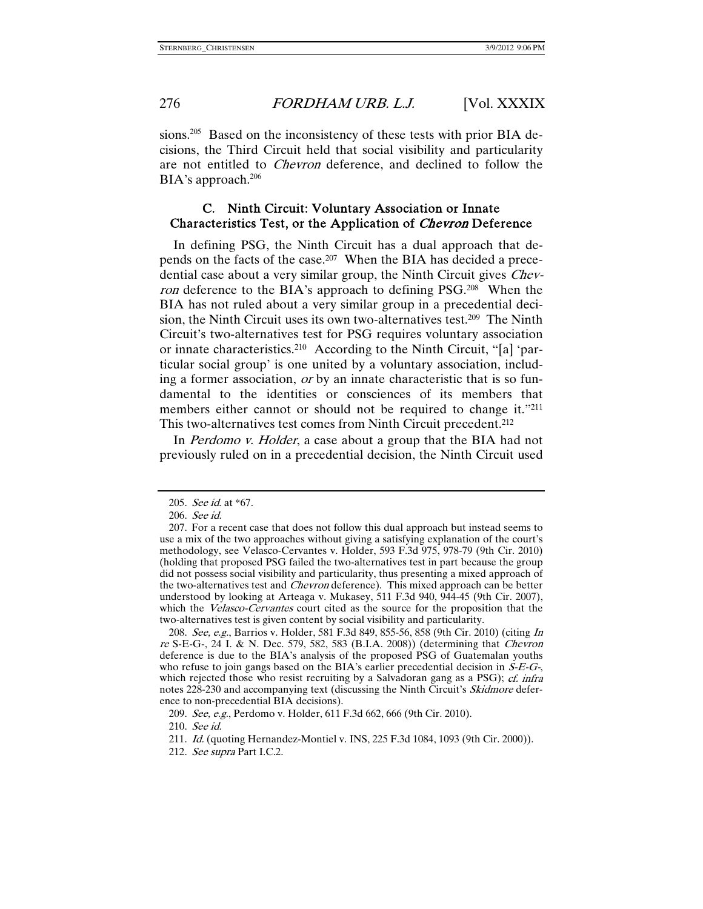sions.<sup>205</sup> Based on the inconsistency of these tests with prior BIA decisions, the Third Circuit held that social visibility and particularity are not entitled to Chevron deference, and declined to follow the BIA's approach.<sup>206</sup>

# C. Ninth Circuit: Voluntary Association or Innate Characteristics Test, or the Application of Chevron Deference

In defining PSG, the Ninth Circuit has a dual approach that depends on the facts of the case.207 When the BIA has decided a precedential case about a very similar group, the Ninth Circuit gives Chevron deference to the BIA's approach to defining PSG.<sup>208</sup> When the BIA has not ruled about a very similar group in a precedential decision, the Ninth Circuit uses its own two-alternatives test.209 The Ninth Circuit's two-alternatives test for PSG requires voluntary association or innate characteristics.210 According to the Ninth Circuit, "[a] 'particular social group' is one united by a voluntary association, including a former association, or by an innate characteristic that is so fundamental to the identities or consciences of its members that members either cannot or should not be required to change it."211 This two-alternatives test comes from Ninth Circuit precedent.212

In *Perdomo v. Holder*, a case about a group that the BIA had not previously ruled on in a precedential decision, the Ninth Circuit used

 <sup>205.</sup> See id. at \*67.

 <sup>206.</sup> See id.

 <sup>207.</sup> For a recent case that does not follow this dual approach but instead seems to use a mix of the two approaches without giving a satisfying explanation of the court's methodology, see Velasco-Cervantes v. Holder, 593 F.3d 975, 978-79 (9th Cir. 2010) (holding that proposed PSG failed the two-alternatives test in part because the group did not possess social visibility and particularity, thus presenting a mixed approach of the two-alternatives test and Chevron deference). This mixed approach can be better understood by looking at Arteaga v. Mukasey, 511 F.3d 940, 944-45 (9th Cir. 2007), which the *Velasco-Cervantes* court cited as the source for the proposition that the two-alternatives test is given content by social visibility and particularity.

<sup>208.</sup> See, e.g., Barrios v. Holder, 581 F.3d 849, 855-56, 858 (9th Cir. 2010) (citing In re S-E-G-, 24 I. & N. Dec. 579, 582, 583 (B.I.A. 2008)) (determining that Chevron deference is due to the BIA's analysis of the proposed PSG of Guatemalan youths who refuse to join gangs based on the BIA's earlier precedential decision in  $\dot{S}-E-G$ , which rejected those who resist recruiting by a Salvadoran gang as a PSG); *cf. infra* notes 228-230 and accompanying text (discussing the Ninth Circuit's *Skidmore* deference to non-precedential BIA decisions).

 <sup>209.</sup> See, e.g., Perdomo v. Holder, 611 F.3d 662, 666 (9th Cir. 2010).

 <sup>210.</sup> See id.

<sup>211.</sup> Id. (quoting Hernandez-Montiel v. INS, 225 F.3d 1084, 1093 (9th Cir. 2000)).

 <sup>212.</sup> See supra Part I.C.2.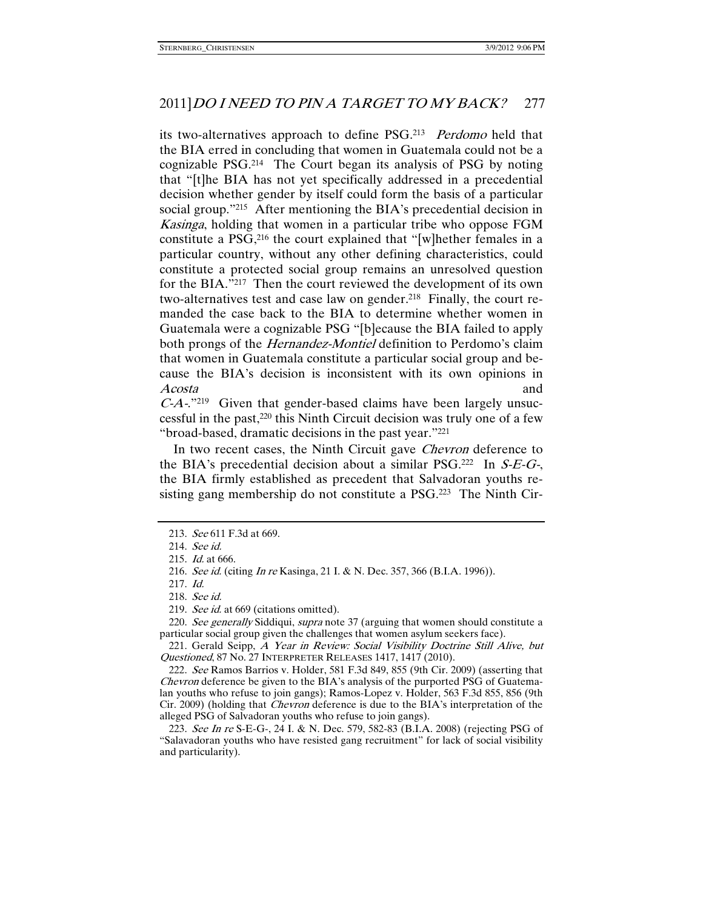its two-alternatives approach to define PSG.<sup>213</sup> Perdomo held that the BIA erred in concluding that women in Guatemala could not be a cognizable PSG.214 The Court began its analysis of PSG by noting that "[t]he BIA has not yet specifically addressed in a precedential decision whether gender by itself could form the basis of a particular social group."215 After mentioning the BIA's precedential decision in Kasinga, holding that women in a particular tribe who oppose FGM constitute a PSG,216 the court explained that "[w]hether females in a particular country, without any other defining characteristics, could constitute a protected social group remains an unresolved question for the BIA."217 Then the court reviewed the development of its own two-alternatives test and case law on gender.218 Finally, the court remanded the case back to the BIA to determine whether women in Guatemala were a cognizable PSG "[b]ecause the BIA failed to apply both prongs of the *Hernandez-Montiel* definition to Perdomo's claim that women in Guatemala constitute a particular social group and because the BIA's decision is inconsistent with its own opinions in Acosta and

C-A-."219 Given that gender-based claims have been largely unsuccessful in the past,220 this Ninth Circuit decision was truly one of a few "broad-based, dramatic decisions in the past year."221

In two recent cases, the Ninth Circuit gave *Chevron* deference to the BIA's precedential decision about a similar PSG.<sup>222</sup> In  $S-E-G$ , the BIA firmly established as precedent that Salvadoran youths resisting gang membership do not constitute a PSG.223 The Ninth Cir-

221. Gerald Seipp, A Year in Review: Social Visibility Doctrine Still Alive, but Questioned, 87 No. 27 INTERPRETER RELEASES 1417, 1417 (2010).

 <sup>213.</sup> See 611 F.3d at 669.

 <sup>214.</sup> See id.

 <sup>215.</sup> Id. at 666.

<sup>216.</sup> See id. (citing In re Kasinga, 21 I. & N. Dec. 357, 366 (B.I.A. 1996)).

 <sup>217.</sup> Id.

 <sup>218.</sup> See id.

<sup>219.</sup> See id. at 669 (citations omitted).

<sup>220.</sup> See generally Siddiqui, supra note 37 (arguing that women should constitute a particular social group given the challenges that women asylum seekers face).

 <sup>222.</sup> See Ramos Barrios v. Holder, 581 F.3d 849, 855 (9th Cir. 2009) (asserting that Chevron deference be given to the BIA's analysis of the purported PSG of Guatemalan youths who refuse to join gangs); Ramos-Lopez v. Holder, 563 F.3d 855, 856 (9th Cir. 2009) (holding that Chevron deference is due to the BIA's interpretation of the alleged PSG of Salvadoran youths who refuse to join gangs).

 <sup>223.</sup> See In re S-E-G-, 24 I. & N. Dec. 579, 582-83 (B.I.A. 2008) (rejecting PSG of "Salavadoran youths who have resisted gang recruitment" for lack of social visibility and particularity).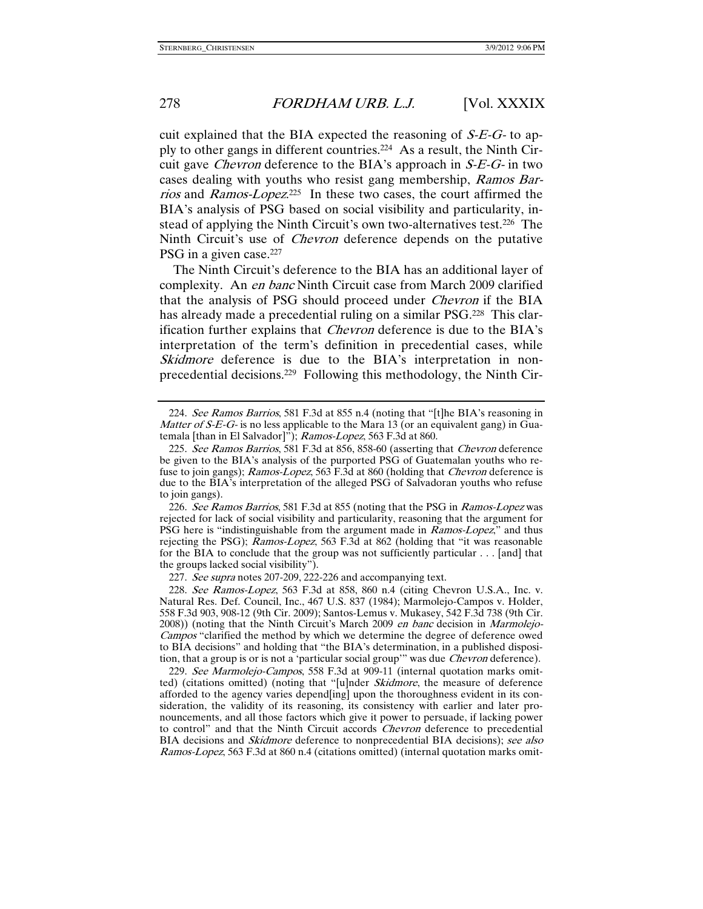cuit explained that the BIA expected the reasoning of  $S-E-G$ - to apply to other gangs in different countries.224 As a result, the Ninth Circuit gave *Chevron* deference to the BIA's approach in  $S-E-G$ - in two cases dealing with youths who resist gang membership, Ramos Barrios and Ramos-Lopez.<sup>225</sup> In these two cases, the court affirmed the BIA's analysis of PSG based on social visibility and particularity, instead of applying the Ninth Circuit's own two-alternatives test.226 The Ninth Circuit's use of Chevron deference depends on the putative PSG in a given case.<sup>227</sup>

The Ninth Circuit's deference to the BIA has an additional layer of complexity. An en banc Ninth Circuit case from March 2009 clarified that the analysis of PSG should proceed under Chevron if the BIA has already made a precedential ruling on a similar PSG.<sup>228</sup> This clarification further explains that Chevron deference is due to the BIA's interpretation of the term's definition in precedential cases, while Skidmore deference is due to the BIA's interpretation in nonprecedential decisions.229 Following this methodology, the Ninth Cir-

226. See Ramos Barrios, 581 F.3d at 855 (noting that the PSG in Ramos-Lopez was rejected for lack of social visibility and particularity, reasoning that the argument for PSG here is "indistinguishable from the argument made in *Ramos-Lopez*," and thus rejecting the PSG); Ramos-Lopez, 563 F.3d at 862 (holding that "it was reasonable for the BIA to conclude that the group was not sufficiently particular . . . [and] that the groups lacked social visibility").

227. See supra notes 207-209, 222-226 and accompanying text.

 228. See Ramos-Lopez, 563 F.3d at 858, 860 n.4 (citing Chevron U.S.A., Inc. v. Natural Res. Def. Council, Inc., 467 U.S. 837 (1984); Marmolejo-Campos v. Holder, 558 F.3d 903, 908-12 (9th Cir. 2009); Santos-Lemus v. Mukasey, 542 F.3d 738 (9th Cir. 2008)) (noting that the Ninth Circuit's March 2009 en banc decision in Marmolejo-Campos "clarified the method by which we determine the degree of deference owed to BIA decisions" and holding that "the BIA's determination, in a published disposition, that a group is or is not a 'particular social group'" was due *Chevron* deference).

229. See Marmolejo-Campos, 558 F.3d at 909-11 (internal quotation marks omitted) (citations omitted) (noting that "[u]nder *Skidmore*, the measure of deference afforded to the agency varies depend[ing] upon the thoroughness evident in its consideration, the validity of its reasoning, its consistency with earlier and later pronouncements, and all those factors which give it power to persuade, if lacking power to control" and that the Ninth Circuit accords Chevron deference to precedential BIA decisions and *Skidmore* deference to nonprecedential BIA decisions); see also Ramos-Lopez, 563 F.3d at 860 n.4 (citations omitted) (internal quotation marks omit-

<sup>224.</sup> See Ramos Barrios, 581 F.3d at 855 n.4 (noting that "[t]he BIA's reasoning in *Matter of S-E-G-* is no less applicable to the Mara 13 (or an equivalent gang) in Guatemala [than in El Salvador]"); Ramos-Lopez, 563 F.3d at 860.

<sup>225.</sup> See Ramos Barrios, 581 F.3d at 856, 858-60 (asserting that Chevron deference be given to the BIA's analysis of the purported PSG of Guatemalan youths who refuse to join gangs); Ramos-Lopez, 563 F.3d at 860 (holding that *Chevron* deference is due to the BIA's interpretation of the alleged PSG of Salvadoran youths who refuse to join gangs).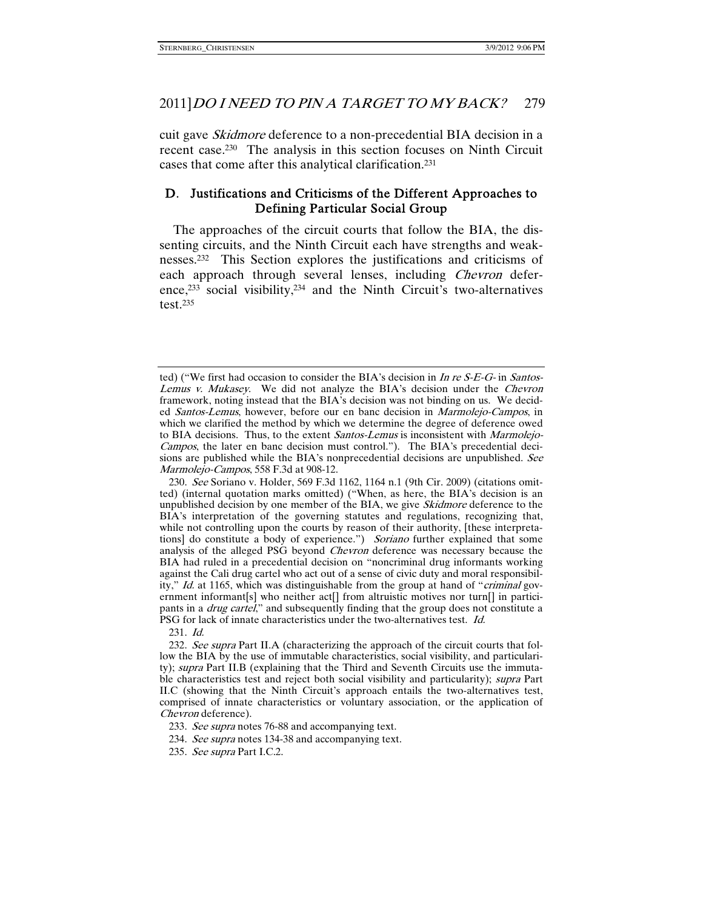cuit gave *Skidmore* deference to a non-precedential BIA decision in a recent case.230 The analysis in this section focuses on Ninth Circuit cases that come after this analytical clarification.231

# D. Justifications and Criticisms of the Different Approaches to Defining Particular Social Group

The approaches of the circuit courts that follow the BIA, the dissenting circuits, and the Ninth Circuit each have strengths and weaknesses.232 This Section explores the justifications and criticisms of each approach through several lenses, including Chevron deference,233 social visibility,234 and the Ninth Circuit's two-alternatives test. $235$ 

231. Id.

ted) ("We first had occasion to consider the BIA's decision in In re  $S-E-G$ - in Santos-Lemus v. Mukasey. We did not analyze the BIA's decision under the Chevron framework, noting instead that the BIA's decision was not binding on us. We decided Santos-Lemus, however, before our en banc decision in Marmolejo-Campos, in which we clarified the method by which we determine the degree of deference owed to BIA decisions. Thus, to the extent *Santos-Lemus* is inconsistent with *Marmolejo-*Campos, the later en banc decision must control."). The BIA's precedential decisions are published while the BIA's nonprecedential decisions are unpublished. See Marmolejo-Campos, 558 F.3d at 908-12.

 <sup>230.</sup> See Soriano v. Holder, 569 F.3d 1162, 1164 n.1 (9th Cir. 2009) (citations omitted) (internal quotation marks omitted) ("When, as here, the BIA's decision is an unpublished decision by one member of the BIA, we give *Skidmore* deference to the BIA's interpretation of the governing statutes and regulations, recognizing that, while not controlling upon the courts by reason of their authority, [these interpretations] do constitute a body of experience.") Soriano further explained that some analysis of the alleged PSG beyond *Chevron* deference was necessary because the BIA had ruled in a precedential decision on "noncriminal drug informants working against the Cali drug cartel who act out of a sense of civic duty and moral responsibility," Id. at 1165, which was distinguishable from the group at hand of "criminal government informant[s] who neither act[] from altruistic motives nor turn[] in participants in a *drug cartel*," and subsequently finding that the group does not constitute a PSG for lack of innate characteristics under the two-alternatives test. Id.

<sup>232.</sup> See supra Part II.A (characterizing the approach of the circuit courts that follow the BIA by the use of immutable characteristics, social visibility, and particularity); supra Part II.B (explaining that the Third and Seventh Circuits use the immutable characteristics test and reject both social visibility and particularity); *supra* Part II.C (showing that the Ninth Circuit's approach entails the two-alternatives test, comprised of innate characteristics or voluntary association, or the application of Chevron deference).

<sup>233.</sup> See supra notes 76-88 and accompanying text.

<sup>234.</sup> See supra notes 134-38 and accompanying text.

 <sup>235.</sup> See supra Part I.C.2.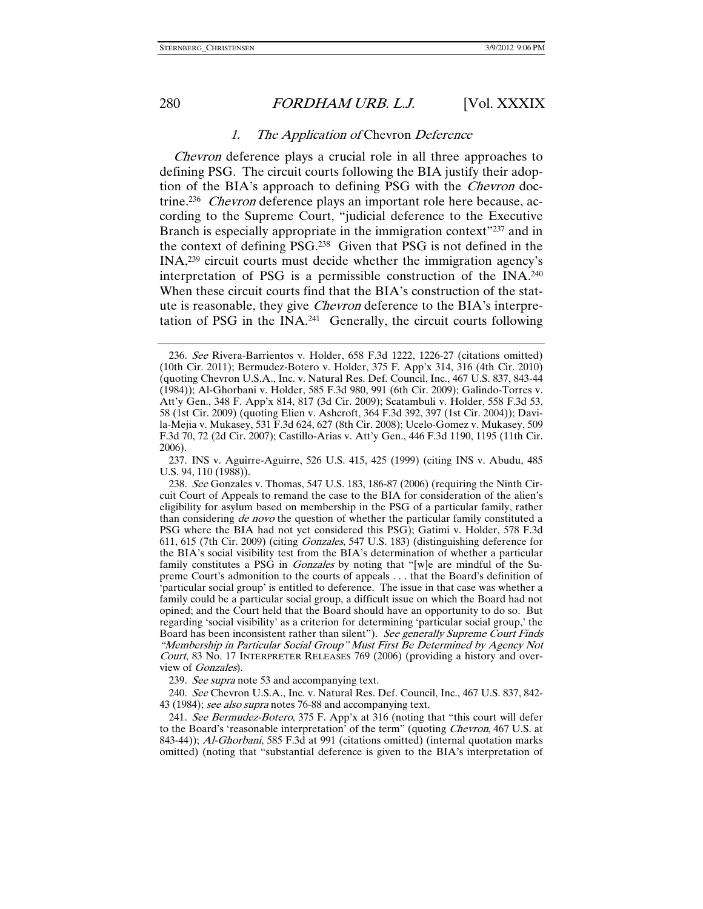### 1. The Application of Chevron Deference

Chevron deference plays a crucial role in all three approaches to defining PSG. The circuit courts following the BIA justify their adoption of the BIA's approach to defining PSG with the Chevron doctrine.236 Chevron deference plays an important role here because, according to the Supreme Court, "judicial deference to the Executive Branch is especially appropriate in the immigration context"237 and in the context of defining PSG.238 Given that PSG is not defined in the INA,239 circuit courts must decide whether the immigration agency's interpretation of PSG is a permissible construction of the INA.240 When these circuit courts find that the BIA's construction of the statute is reasonable, they give Chevron deference to the BIA's interpretation of PSG in the INA.241 Generally, the circuit courts following

 237. INS v. Aguirre-Aguirre, 526 U.S. 415, 425 (1999) (citing INS v. Abudu, 485 U.S. 94, 110 (1988)).

239. See supra note 53 and accompanying text.

 240. See Chevron U.S.A., Inc. v. Natural Res. Def. Council, Inc., 467 U.S. 837, 842- 43 (1984); see also supra notes 76-88 and accompanying text.

 241. See Bermudez-Botero, 375 F. App'x at 316 (noting that "this court will defer to the Board's 'reasonable interpretation' of the term" (quoting *Chevron*, 467 U.S. at 843-44)); Al-Ghorbani, 585 F.3d at 991 (citations omitted) (internal quotation marks omitted) (noting that "substantial deference is given to the BIA's interpretation of

 <sup>236.</sup> See Rivera-Barrientos v. Holder, 658 F.3d 1222, 1226-27 (citations omitted) (10th Cir. 2011); Bermudez-Botero v. Holder, 375 F. App'x 314, 316 (4th Cir. 2010) (quoting Chevron U.S.A., Inc. v. Natural Res. Def. Council, Inc., 467 U.S. 837, 843-44 (1984)); Al-Ghorbani v. Holder, 585 F.3d 980, 991 (6th Cir. 2009); Galindo-Torres v. Att'y Gen., 348 F. App'x 814, 817 (3d Cir. 2009); Scatambuli v. Holder, 558 F.3d 53, 58 (1st Cir. 2009) (quoting Elien v. Ashcroft, 364 F.3d 392, 397 (1st Cir. 2004)); Davila-Mejia v. Mukasey, 531 F.3d 624, 627 (8th Cir. 2008); Ucelo-Gomez v. Mukasey, 509 F.3d 70, 72 (2d Cir. 2007); Castillo-Arias v. Att'y Gen., 446 F.3d 1190, 1195 (11th Cir. 2006).

 <sup>238.</sup> See Gonzales v. Thomas, 547 U.S. 183, 186-87 (2006) (requiring the Ninth Circuit Court of Appeals to remand the case to the BIA for consideration of the alien's eligibility for asylum based on membership in the PSG of a particular family, rather than considering *de novo* the question of whether the particular family constituted a PSG where the BIA had not yet considered this PSG); Gatimi v. Holder, 578 F.3d 611, 615 (7th Cir. 2009) (citing Gonzales, 547 U.S. 183) (distinguishing deference for the BIA's social visibility test from the BIA's determination of whether a particular family constitutes a PSG in *Gonzales* by noting that "[w]e are mindful of the Supreme Court's admonition to the courts of appeals . . . that the Board's definition of 'particular social group' is entitled to deference. The issue in that case was whether a family could be a particular social group, a difficult issue on which the Board had not opined; and the Court held that the Board should have an opportunity to do so. But regarding 'social visibility' as a criterion for determining 'particular social group,' the Board has been inconsistent rather than silent"). See generally Supreme Court Finds "Membership in Particular Social Group" Must First Be Determined by Agency Not Court, 83 No. 17 INTERPRETER RELEASES 769 (2006) (providing a history and overview of Gonzales).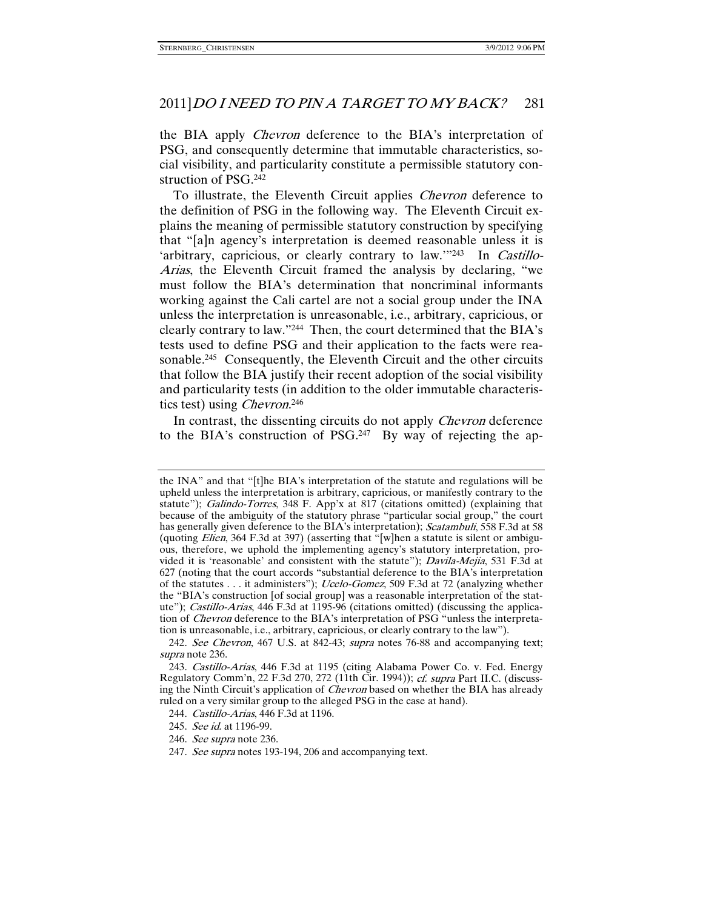the BIA apply *Chevron* deference to the BIA's interpretation of PSG, and consequently determine that immutable characteristics, social visibility, and particularity constitute a permissible statutory construction of PSG.242

To illustrate, the Eleventh Circuit applies Chevron deference to the definition of PSG in the following way. The Eleventh Circuit explains the meaning of permissible statutory construction by specifying that "[a]n agency's interpretation is deemed reasonable unless it is 'arbitrary, capricious, or clearly contrary to law.'"243 In Castillo-Arias, the Eleventh Circuit framed the analysis by declaring, "we must follow the BIA's determination that noncriminal informants working against the Cali cartel are not a social group under the INA unless the interpretation is unreasonable, i.e., arbitrary, capricious, or clearly contrary to law."244 Then, the court determined that the BIA's tests used to define PSG and their application to the facts were reasonable.<sup>245</sup> Consequently, the Eleventh Circuit and the other circuits that follow the BIA justify their recent adoption of the social visibility and particularity tests (in addition to the older immutable characteristics test) using *Chevron*.<sup>246</sup>

In contrast, the dissenting circuits do not apply *Chevron* deference to the BIA's construction of PSG.247 By way of rejecting the ap-

the INA" and that "[t]he BIA's interpretation of the statute and regulations will be upheld unless the interpretation is arbitrary, capricious, or manifestly contrary to the statute"); Galindo-Torres, 348 F. App'x at 817 (citations omitted) (explaining that because of the ambiguity of the statutory phrase "particular social group," the court has generally given deference to the BIA's interpretation); *Scatambuli*, 558 F.3d at 58 (quoting *Elien*, 364 F.3d at 397) (asserting that "[w]hen a statute is silent or ambiguous, therefore, we uphold the implementing agency's statutory interpretation, provided it is 'reasonable' and consistent with the statute"); Davila-Mejia, 531 F.3d at 627 (noting that the court accords "substantial deference to the BIA's interpretation of the statutes . . . it administers"); Ucelo-Gomez, 509 F.3d at 72 (analyzing whether the "BIA's construction [of social group] was a reasonable interpretation of the statute"); Castillo-Arias, 446 F.3d at 1195-96 (citations omitted) (discussing the application of Chevron deference to the BIA's interpretation of PSG "unless the interpretation is unreasonable, i.e., arbitrary, capricious, or clearly contrary to the law").

 <sup>242.</sup> See Chevron, 467 U.S. at 842-43; supra notes 76-88 and accompanying text; supra note 236.

 <sup>243.</sup> Castillo-Arias, 446 F.3d at 1195 (citing Alabama Power Co. v. Fed. Energy Regulatory Comm'n, 22 F.3d 270, 272 (11th Cir. 1994)); cf. supra Part II.C. (discussing the Ninth Circuit's application of *Chevron* based on whether the BIA has already ruled on a very similar group to the alleged PSG in the case at hand).

 <sup>244.</sup> Castillo-Arias, 446 F.3d at 1196.

 <sup>245.</sup> See id. at 1196-99.

<sup>246.</sup> See supra note 236.

<sup>247.</sup> See supra notes 193-194, 206 and accompanying text.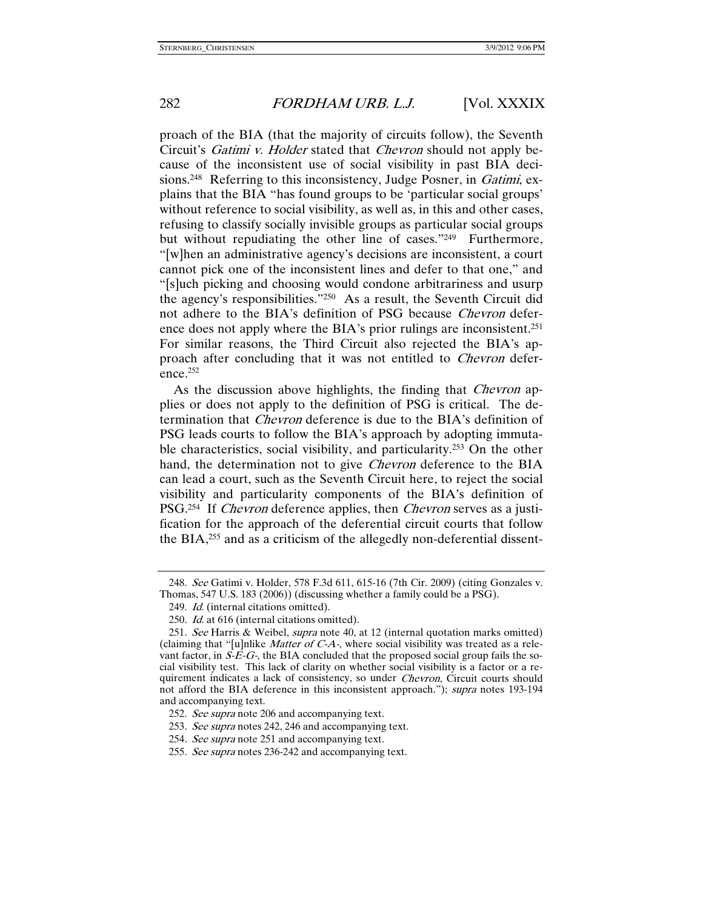proach of the BIA (that the majority of circuits follow), the Seventh Circuit's Gatimi v. Holder stated that Chevron should not apply because of the inconsistent use of social visibility in past BIA decisions.<sup>248</sup> Referring to this inconsistency, Judge Posner, in *Gatimi*, explains that the BIA "has found groups to be 'particular social groups' without reference to social visibility, as well as, in this and other cases, refusing to classify socially invisible groups as particular social groups but without repudiating the other line of cases."249 Furthermore, "[w]hen an administrative agency's decisions are inconsistent, a court cannot pick one of the inconsistent lines and defer to that one," and "[s]uch picking and choosing would condone arbitrariness and usurp the agency's responsibilities."250 As a result, the Seventh Circuit did not adhere to the BIA's definition of PSG because Chevron deference does not apply where the BIA's prior rulings are inconsistent.251 For similar reasons, the Third Circuit also rejected the BIA's approach after concluding that it was not entitled to *Chevron* deference.252

As the discussion above highlights, the finding that *Chevron* applies or does not apply to the definition of PSG is critical. The determination that Chevron deference is due to the BIA's definition of PSG leads courts to follow the BIA's approach by adopting immutable characteristics, social visibility, and particularity.253 On the other hand, the determination not to give *Chevron* deference to the BIA can lead a court, such as the Seventh Circuit here, to reject the social visibility and particularity components of the BIA's definition of PSG.<sup>254</sup> If *Chevron* deference applies, then *Chevron* serves as a justification for the approach of the deferential circuit courts that follow the BIA,255 and as a criticism of the allegedly non-deferential dissent-

 <sup>248.</sup> See Gatimi v. Holder, 578 F.3d 611, 615-16 (7th Cir. 2009) (citing Gonzales v. Thomas, 547 U.S. 183 (2006)) (discussing whether a family could be a PSG).

<sup>249.</sup> Id. (internal citations omitted).

<sup>250.</sup> Id. at 616 (internal citations omitted).

<sup>251.</sup> See Harris & Weibel, *supra* note 40, at 12 (internal quotation marks omitted) (claiming that "[u]nlike Matter of C-A-, where social visibility was treated as a relevant factor, in  $S\overrightarrow{E}-G$ , the BIA concluded that the proposed social group fails the social visibility test. This lack of clarity on whether social visibility is a factor or a requirement indicates a lack of consistency, so under *Chevron*, Circuit courts should not afford the BIA deference in this inconsistent approach."); *supra* notes 193-194 and accompanying text.

<sup>252.</sup> See supra note 206 and accompanying text.

<sup>253.</sup> See supra notes 242, 246 and accompanying text.

<sup>254.</sup> See supra note 251 and accompanying text.

<sup>255.</sup> See supra notes 236-242 and accompanying text.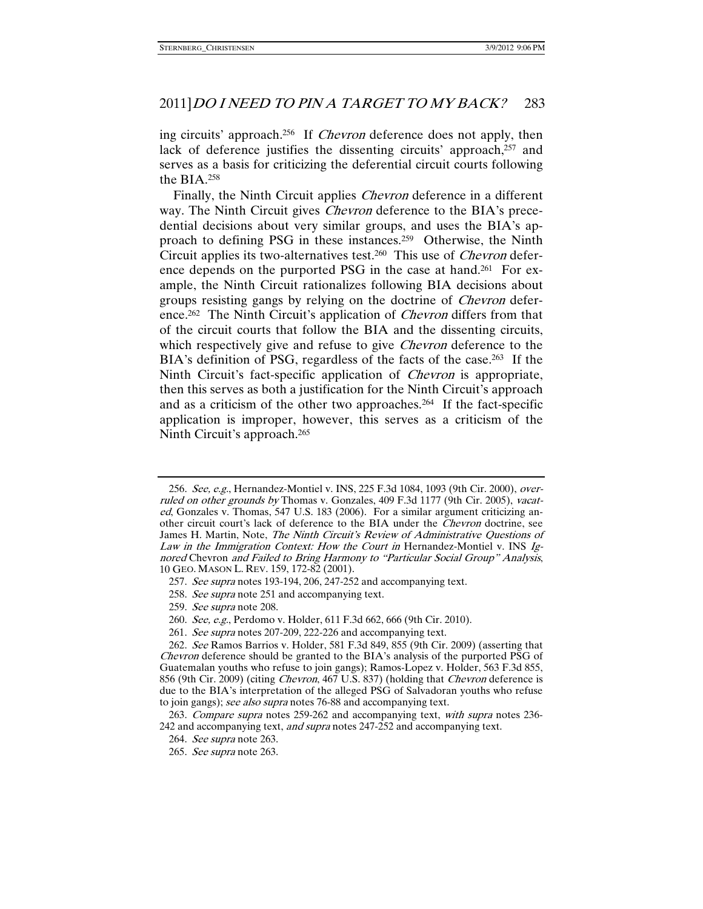ing circuits' approach.256 If Chevron deference does not apply, then lack of deference justifies the dissenting circuits' approach,<sup>257</sup> and serves as a basis for criticizing the deferential circuit courts following the BIA.258

Finally, the Ninth Circuit applies *Chevron* deference in a different way. The Ninth Circuit gives *Chevron* deference to the BIA's precedential decisions about very similar groups, and uses the BIA's approach to defining PSG in these instances.259 Otherwise, the Ninth Circuit applies its two-alternatives test.260 This use of Chevron deference depends on the purported PSG in the case at hand.<sup>261</sup> For example, the Ninth Circuit rationalizes following BIA decisions about groups resisting gangs by relying on the doctrine of *Chevron* deference.<sup>262</sup> The Ninth Circuit's application of *Chevron* differs from that of the circuit courts that follow the BIA and the dissenting circuits, which respectively give and refuse to give *Chevron* deference to the BIA's definition of PSG, regardless of the facts of the case.<sup>263</sup> If the Ninth Circuit's fact-specific application of Chevron is appropriate, then this serves as both a justification for the Ninth Circuit's approach and as a criticism of the other two approaches.264 If the fact-specific application is improper, however, this serves as a criticism of the Ninth Circuit's approach.265

- 257. See supra notes 193-194, 206, 247-252 and accompanying text.
- 258. See supra note 251 and accompanying text.
- 259. See supra note 208.
- 260. See, e.g., Perdomo v. Holder, 611 F.3d 662, 666 (9th Cir. 2010).
- 261. See supra notes 207-209, 222-226 and accompanying text.

<sup>256.</sup> See, e.g., Hernandez-Montiel v. INS, 225 F.3d 1084, 1093 (9th Cir. 2000), overruled on other grounds by Thomas v. Gonzales, 409 F.3d 1177 (9th Cir. 2005), vacated, Gonzales v. Thomas, 547 U.S. 183 (2006). For a similar argument criticizing another circuit court's lack of deference to the BIA under the Chevron doctrine, see James H. Martin, Note, The Ninth Circuit's Review of Administrative Questions of Law in the Immigration Context: How the Court in Hernandez-Montiel v. INS Ignored Chevron and Failed to Bring Harmony to "Particular Social Group" Analysis, 10 GEO. MASON L. REV. 159, 172-82 (2001).

 <sup>262.</sup> See Ramos Barrios v. Holder, 581 F.3d 849, 855 (9th Cir. 2009) (asserting that Chevron deference should be granted to the BIA's analysis of the purported PSG of Guatemalan youths who refuse to join gangs); Ramos-Lopez v. Holder, 563 F.3d 855, 856 (9th Cir. 2009) (citing *Chevron*, 467 U.S. 837) (holding that *Chevron* deference is due to the BIA's interpretation of the alleged PSG of Salvadoran youths who refuse to join gangs); see also supra notes 76-88 and accompanying text.

 <sup>263.</sup> Compare supra notes 259-262 and accompanying text, with supra notes 236- 242 and accompanying text, and supra notes 247-252 and accompanying text.

 <sup>264.</sup> See supra note 263.

 <sup>265.</sup> See supra note 263.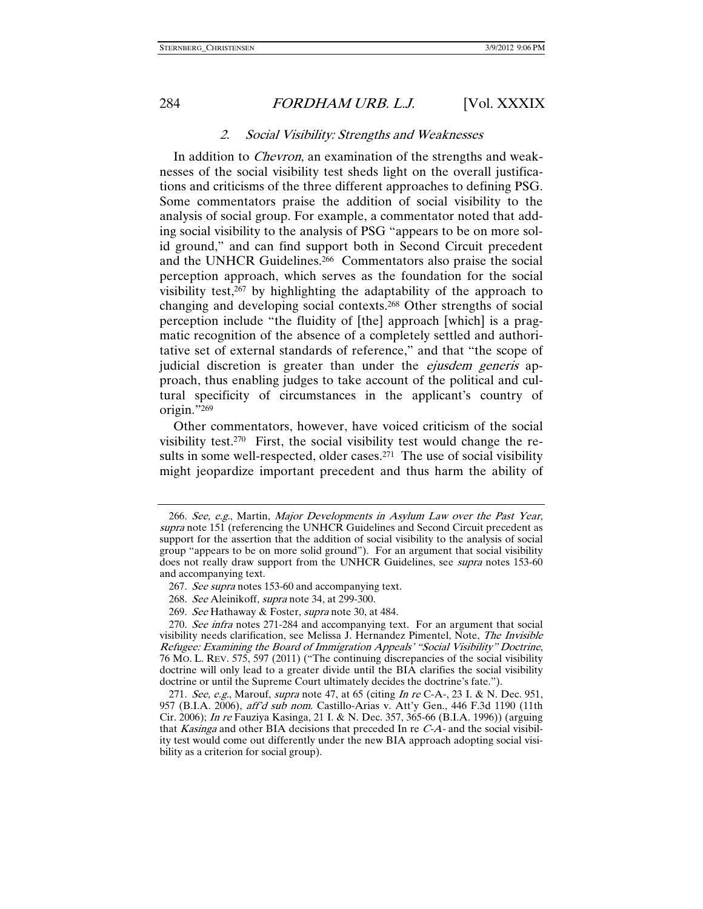### 2. Social Visibility: Strengths and Weaknesses

In addition to Chevron, an examination of the strengths and weaknesses of the social visibility test sheds light on the overall justifications and criticisms of the three different approaches to defining PSG. Some commentators praise the addition of social visibility to the analysis of social group. For example, a commentator noted that adding social visibility to the analysis of PSG "appears to be on more solid ground," and can find support both in Second Circuit precedent and the UNHCR Guidelines.266 Commentators also praise the social perception approach, which serves as the foundation for the social visibility test,267 by highlighting the adaptability of the approach to changing and developing social contexts.268 Other strengths of social perception include "the fluidity of [the] approach [which] is a pragmatic recognition of the absence of a completely settled and authoritative set of external standards of reference," and that "the scope of judicial discretion is greater than under the *ejusdem generis* approach, thus enabling judges to take account of the political and cultural specificity of circumstances in the applicant's country of origin."269

Other commentators, however, have voiced criticism of the social visibility test.270 First, the social visibility test would change the results in some well-respected, older cases.<sup>271</sup> The use of social visibility might jeopardize important precedent and thus harm the ability of

 <sup>266.</sup> See, e.g., Martin, Major Developments in Asylum Law over the Past Year, supra note 151 (referencing the UNHCR Guidelines and Second Circuit precedent as support for the assertion that the addition of social visibility to the analysis of social group "appears to be on more solid ground"). For an argument that social visibility does not really draw support from the UNHCR Guidelines, see *supra* notes 153-60 and accompanying text.

<sup>267.</sup> See supra notes 153-60 and accompanying text.

 <sup>268.</sup> See Aleinikoff, supra note 34, at 299-300.

<sup>269.</sup> See Hathaway & Foster, *supra* note 30, at 484.

<sup>270.</sup> See infra notes 271-284 and accompanying text. For an argument that social visibility needs clarification, see Melissa J. Hernandez Pimentel, Note, The Invisible Refugee: Examining the Board of Immigration Appeals' "Social Visibility" Doctrine, 76 MO. L. REV. 575, 597 (2011) ("The continuing discrepancies of the social visibility doctrine will only lead to a greater divide until the BIA clarifies the social visibility doctrine or until the Supreme Court ultimately decides the doctrine's fate.").

<sup>271.</sup> See, e.g., Marouf, supra note 47, at 65 (citing In re C-A-, 23 I. & N. Dec. 951, 957 (B.I.A. 2006), aff'd sub nom. Castillo-Arias v. Att'y Gen., 446 F.3d 1190 (11th Cir. 2006); In re Fauziya Kasinga, 21 I. & N. Dec. 357, 365-66 (B.I.A. 1996)) (arguing that *Kasinga* and other BIA decisions that preceded In re  $C-A$ - and the social visibility test would come out differently under the new BIA approach adopting social visibility as a criterion for social group).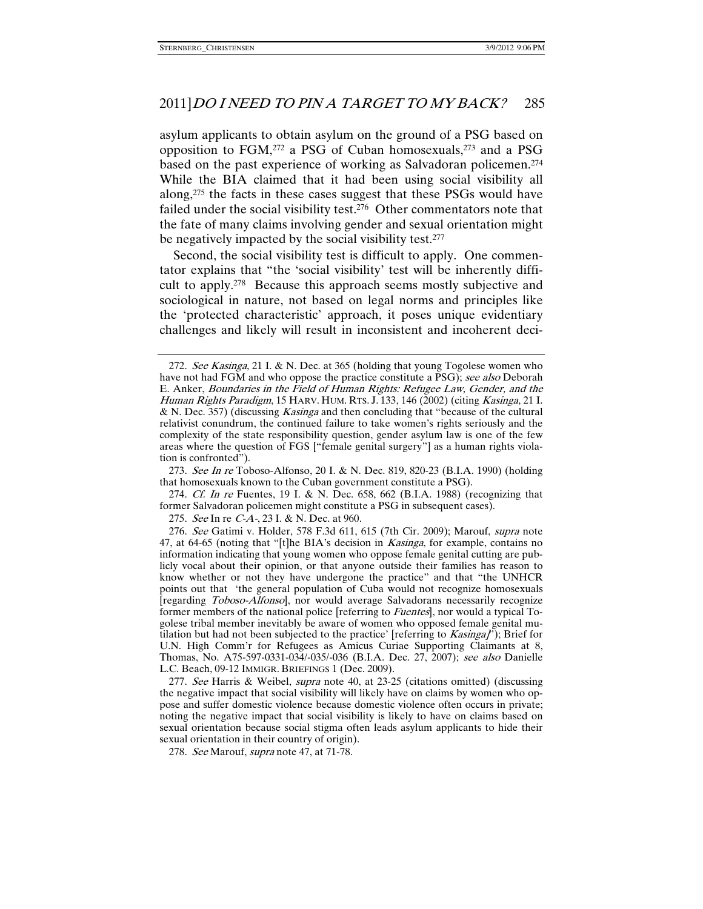asylum applicants to obtain asylum on the ground of a PSG based on opposition to  $FGM<sub>1</sub><sup>272</sup>$  a PSG of Cuban homosexuals,<sup>273</sup> and a PSG based on the past experience of working as Salvadoran policemen.274 While the BIA claimed that it had been using social visibility all along,275 the facts in these cases suggest that these PSGs would have failed under the social visibility test.276 Other commentators note that the fate of many claims involving gender and sexual orientation might be negatively impacted by the social visibility test.<sup>277</sup>

Second, the social visibility test is difficult to apply. One commentator explains that "the 'social visibility' test will be inherently difficult to apply.278 Because this approach seems mostly subjective and sociological in nature, not based on legal norms and principles like the 'protected characteristic' approach, it poses unique evidentiary challenges and likely will result in inconsistent and incoherent deci-

277. See Harris & Weibel, *supra* note 40, at 23-25 (citations omitted) (discussing the negative impact that social visibility will likely have on claims by women who oppose and suffer domestic violence because domestic violence often occurs in private; noting the negative impact that social visibility is likely to have on claims based on sexual orientation because social stigma often leads asylum applicants to hide their sexual orientation in their country of origin).

<sup>272.</sup> See Kasinga, 21 I. & N. Dec. at 365 (holding that young Togolese women who have not had FGM and who oppose the practice constitute a PSG); see also Deborah E. Anker, Boundaries in the Field of Human Rights: Refugee Law, Gender, and the Human Rights Paradigm, 15 HARV. HUM. RTS. J. 133, 146 (2002) (citing Kasinga, 21 I. & N. Dec. 357) (discussing Kasinga and then concluding that "because of the cultural relativist conundrum, the continued failure to take women's rights seriously and the complexity of the state responsibility question, gender asylum law is one of the few areas where the question of FGS ["female genital surgery"] as a human rights violation is confronted").

<sup>273.</sup> See In re Toboso-Alfonso, 20 I. & N. Dec. 819, 820-23 (B.I.A. 1990) (holding that homosexuals known to the Cuban government constitute a PSG).

<sup>274.</sup> Cf. In re Fuentes, 19 I. & N. Dec. 658, 662 (B.I.A. 1988) (recognizing that former Salvadoran policemen might constitute a PSG in subsequent cases).

<sup>275.</sup> See In re C-A-, 23 I. & N. Dec. at 960.

<sup>276.</sup> See Gatimi v. Holder, 578 F.3d 611, 615 (7th Cir. 2009); Marouf, supra note 47, at 64-65 (noting that "[t]he BIA's decision in *Kasinga*, for example, contains no information indicating that young women who oppose female genital cutting are publicly vocal about their opinion, or that anyone outside their families has reason to know whether or not they have undergone the practice" and that "the UNHCR points out that 'the general population of Cuba would not recognize homosexuals [regarding Toboso-Alfonso], nor would average Salvadorans necessarily recognize former members of the national police [referring to Fuentes], nor would a typical Togolese tribal member inevitably be aware of women who opposed female genital mutilation but had not been subjected to the practice' [referring to  $Kasinga\tilde{I}$ ]; Brief for U.N. High Comm'r for Refugees as Amicus Curiae Supporting Claimants at 8, Thomas, No. A75-597-0331-034/-035/-036 (B.I.A. Dec. 27, 2007); see also Danielle L.C. Beach, 09-12 IMMIGR. BRIEFINGS 1 (Dec. 2009).

<sup>278.</sup> See Marouf, supra note 47, at 71-78.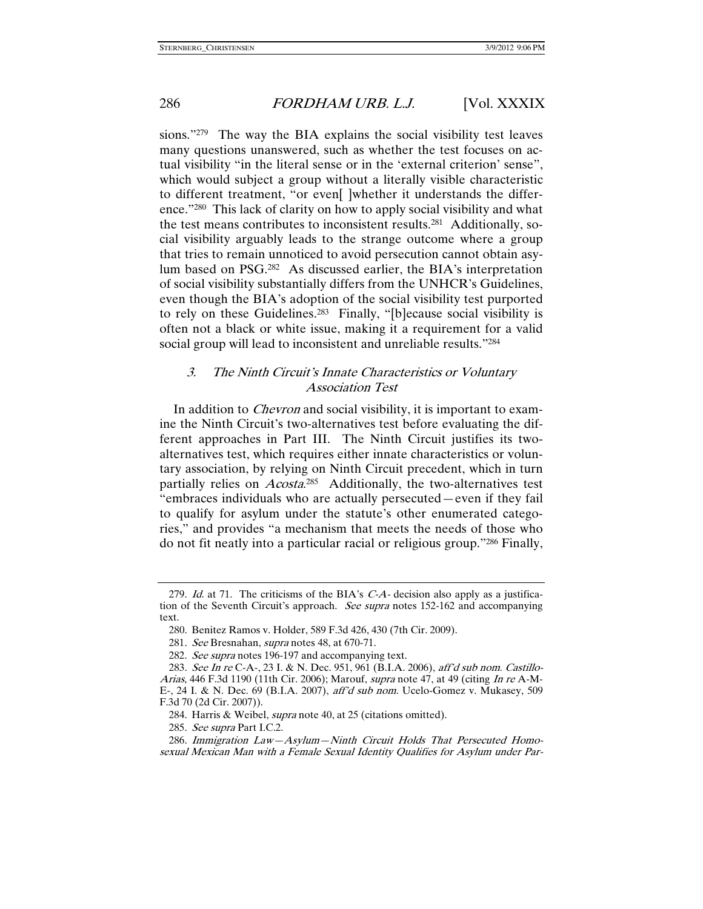sions."279 The way the BIA explains the social visibility test leaves many questions unanswered, such as whether the test focuses on actual visibility "in the literal sense or in the 'external criterion' sense", which would subject a group without a literally visible characteristic to different treatment, "or even[ ]whether it understands the difference."280 This lack of clarity on how to apply social visibility and what the test means contributes to inconsistent results.281 Additionally, social visibility arguably leads to the strange outcome where a group that tries to remain unnoticed to avoid persecution cannot obtain asylum based on PSG.282 As discussed earlier, the BIA's interpretation of social visibility substantially differs from the UNHCR's Guidelines, even though the BIA's adoption of the social visibility test purported to rely on these Guidelines.283 Finally, "[b]ecause social visibility is often not a black or white issue, making it a requirement for a valid social group will lead to inconsistent and unreliable results."284

# 3. The Ninth Circuit's Innate Characteristics or Voluntary Association Test

In addition to *Chevron* and social visibility, it is important to examine the Ninth Circuit's two-alternatives test before evaluating the different approaches in Part III. The Ninth Circuit justifies its twoalternatives test, which requires either innate characteristics or voluntary association, by relying on Ninth Circuit precedent, which in turn partially relies on *Acosta*.<sup>285</sup> Additionally, the two-alternatives test "embraces individuals who are actually persecuted—even if they fail to qualify for asylum under the statute's other enumerated categories," and provides "a mechanism that meets the needs of those who do not fit neatly into a particular racial or religious group."286 Finally,

<sup>279.</sup> Id. at 71. The criticisms of the BIA's  $C-A$ - decision also apply as a justification of the Seventh Circuit's approach. See supra notes 152-162 and accompanying text.

 <sup>280.</sup> Benitez Ramos v. Holder, 589 F.3d 426, 430 (7th Cir. 2009).

<sup>281.</sup> See Bresnahan, supra notes 48, at 670-71.

<sup>282.</sup> See supra notes 196-197 and accompanying text.

 <sup>283.</sup> See In re C-A-, 23 I. & N. Dec. 951, 961 (B.I.A. 2006), aff'd sub nom. Castillo-Arias, 446 F.3d 1190 (11th Cir. 2006); Marouf, supra note 47, at 49 (citing In re A-M-E-, 24 I. & N. Dec. 69 (B.I.A. 2007), aff'd sub nom. Ucelo-Gomez v. Mukasey, 509 F.3d 70 (2d Cir. 2007)).

 <sup>284.</sup> Harris & Weibel, supra note 40, at 25 (citations omitted).

 <sup>285.</sup> See supra Part I.C.2.

 <sup>286.</sup> Immigration Law—Asylum—Ninth Circuit Holds That Persecuted Homosexual Mexican Man with a Female Sexual Identity Qualifies for Asylum under Par-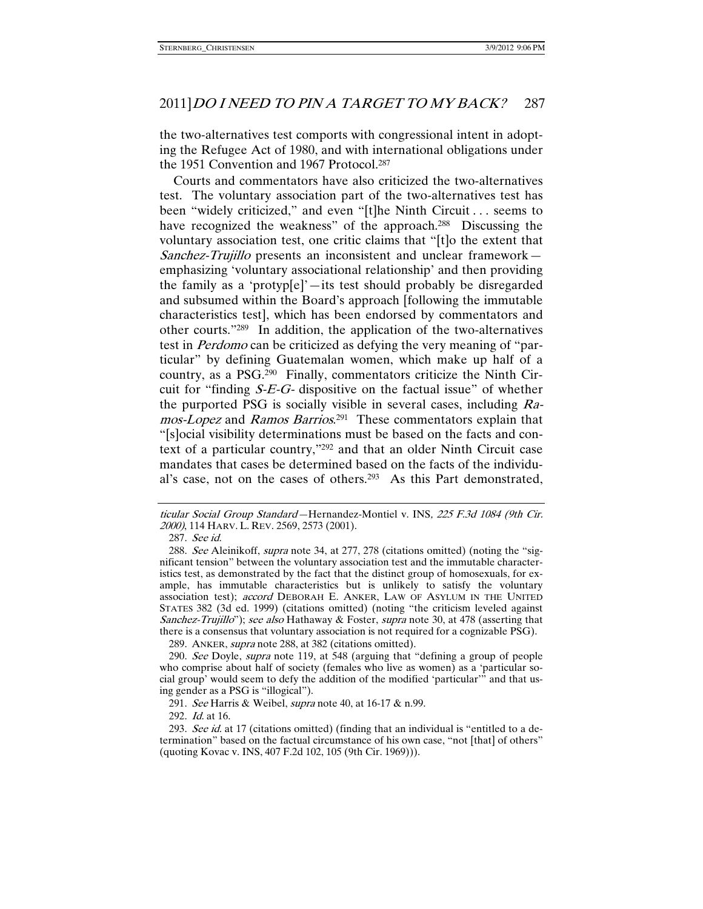the two-alternatives test comports with congressional intent in adopting the Refugee Act of 1980, and with international obligations under the 1951 Convention and 1967 Protocol.<sup>287</sup>

Courts and commentators have also criticized the two-alternatives test. The voluntary association part of the two-alternatives test has been "widely criticized," and even "[t]he Ninth Circuit . . . seems to have recognized the weakness" of the approach.<sup>288</sup> Discussing the voluntary association test, one critic claims that "[t]o the extent that Sanchez-Trujillo presents an inconsistent and unclear framework emphasizing 'voluntary associational relationship' and then providing the family as a 'protyp[e]'—its test should probably be disregarded and subsumed within the Board's approach [following the immutable characteristics test], which has been endorsed by commentators and other courts."289 In addition, the application of the two-alternatives test in Perdomo can be criticized as defying the very meaning of "particular" by defining Guatemalan women, which make up half of a country, as a PSG.290 Finally, commentators criticize the Ninth Circuit for "finding  $S-E-G$ - dispositive on the factual issue" of whether the purported PSG is socially visible in several cases, including Ramos-Lopez and Ramos Barrios.<sup>291</sup> These commentators explain that "[s]ocial visibility determinations must be based on the facts and context of a particular country,"292 and that an older Ninth Circuit case mandates that cases be determined based on the facts of the individual's case, not on the cases of others.293 As this Part demonstrated,

289. ANKER, *supra* note 288, at 382 (citations omitted).

292. Id. at 16.

ticular Social Group Standard—Hernandez-Montiel v. INS, 225 F.3d 1084 (9th Cir. 2000), 114 HARV. L. REV. 2569, 2573 (2001).

 <sup>287.</sup> See id.

<sup>288.</sup> See Aleinikoff, *supra* note 34, at 277, 278 (citations omitted) (noting the "significant tension" between the voluntary association test and the immutable characteristics test, as demonstrated by the fact that the distinct group of homosexuals, for example, has immutable characteristics but is unlikely to satisfy the voluntary association test); accord DEBORAH E. ANKER, LAW OF ASYLUM IN THE UNITED STATES 382 (3d ed. 1999) (citations omitted) (noting "the criticism leveled against Sanchez-Trujillo"); see also Hathaway & Foster, supra note 30, at 478 (asserting that there is a consensus that voluntary association is not required for a cognizable PSG).

<sup>290.</sup> See Doyle, supra note 119, at 548 (arguing that "defining a group of people who comprise about half of society (females who live as women) as a 'particular social group' would seem to defy the addition of the modified 'particular'" and that using gender as a PSG is "illogical").

<sup>291.</sup> See Harris & Weibel, *supra* note 40, at 16-17 & n.99.

<sup>293.</sup> See id. at 17 (citations omitted) (finding that an individual is "entitled to a determination" based on the factual circumstance of his own case, "not [that] of others" (quoting Kovac v. INS, 407 F.2d 102, 105 (9th Cir. 1969))).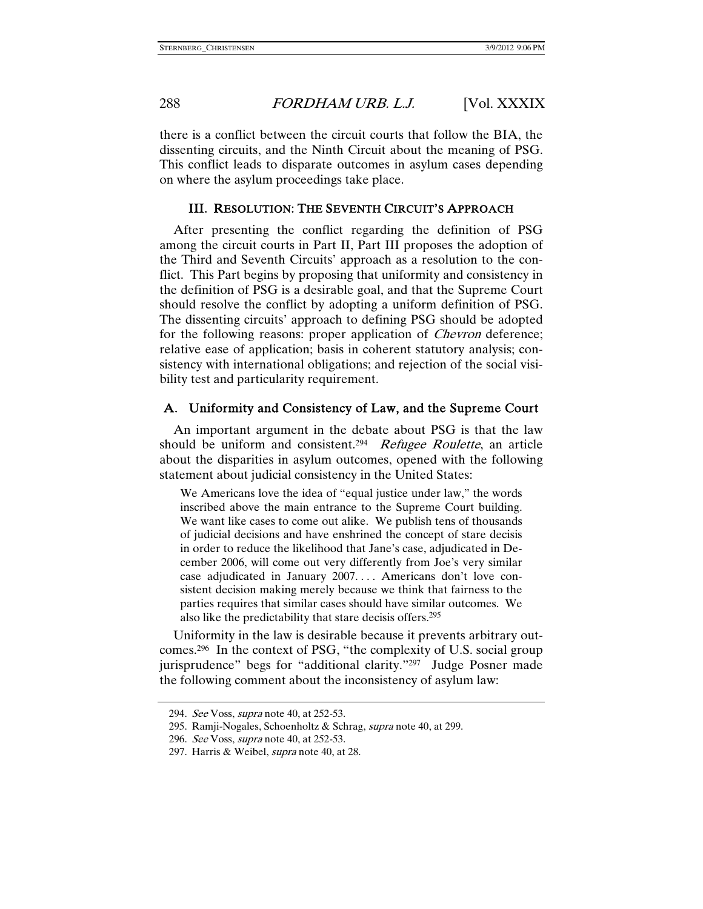there is a conflict between the circuit courts that follow the BIA, the dissenting circuits, and the Ninth Circuit about the meaning of PSG. This conflict leads to disparate outcomes in asylum cases depending on where the asylum proceedings take place.

### III. RESOLUTION: THE SEVENTH CIRCUIT'S APPROACH

After presenting the conflict regarding the definition of PSG among the circuit courts in Part II, Part III proposes the adoption of the Third and Seventh Circuits' approach as a resolution to the conflict. This Part begins by proposing that uniformity and consistency in the definition of PSG is a desirable goal, and that the Supreme Court should resolve the conflict by adopting a uniform definition of PSG. The dissenting circuits' approach to defining PSG should be adopted for the following reasons: proper application of *Chevron* deference; relative ease of application; basis in coherent statutory analysis; consistency with international obligations; and rejection of the social visibility test and particularity requirement.

### A. Uniformity and Consistency of Law, and the Supreme Court

An important argument in the debate about PSG is that the law should be uniform and consistent.<sup>294</sup> Refugee Roulette, an article about the disparities in asylum outcomes, opened with the following statement about judicial consistency in the United States:

We Americans love the idea of "equal justice under law," the words inscribed above the main entrance to the Supreme Court building. We want like cases to come out alike. We publish tens of thousands of judicial decisions and have enshrined the concept of stare decisis in order to reduce the likelihood that Jane's case, adjudicated in December 2006, will come out very differently from Joe's very similar case adjudicated in January 2007. . . . Americans don't love consistent decision making merely because we think that fairness to the parties requires that similar cases should have similar outcomes. We also like the predictability that stare decisis offers.295

Uniformity in the law is desirable because it prevents arbitrary outcomes.296 In the context of PSG, "the complexity of U.S. social group jurisprudence" begs for "additional clarity."297 Judge Posner made the following comment about the inconsistency of asylum law:

<sup>294.</sup> See Voss, *supra* note 40, at 252-53.

<sup>295.</sup> Ramji-Nogales, Schoenholtz & Schrag, supra note 40, at 299.

<sup>296.</sup> See Voss, *supra* note 40, at 252-53.

<sup>297.</sup> Harris & Weibel, *supra* note 40, at 28.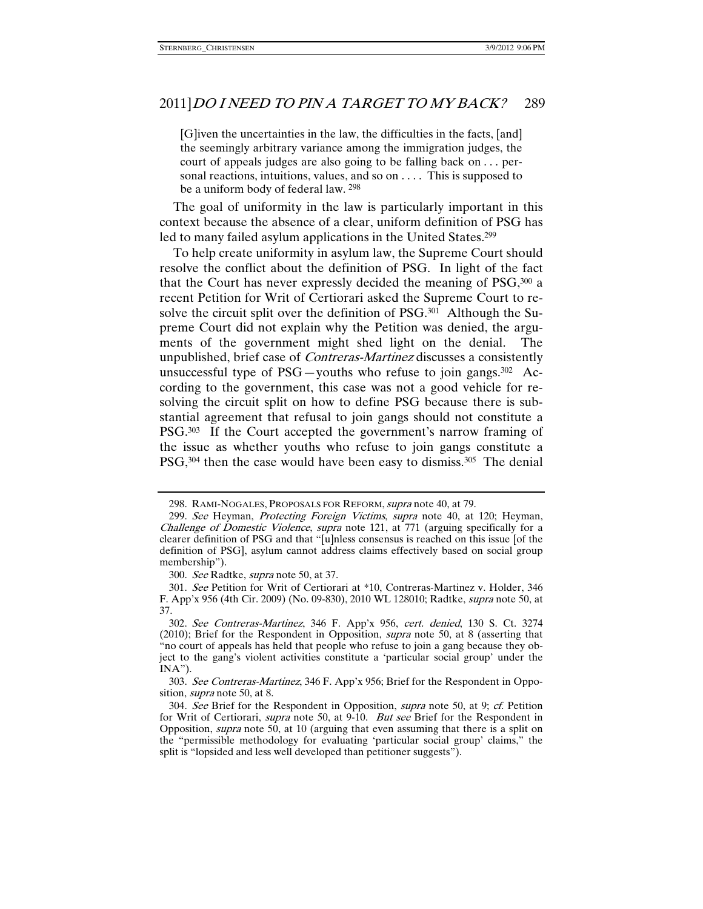[G]iven the uncertainties in the law, the difficulties in the facts, [and] the seemingly arbitrary variance among the immigration judges, the court of appeals judges are also going to be falling back on . . . personal reactions, intuitions, values, and so on .... This is supposed to be a uniform body of federal law. 298

The goal of uniformity in the law is particularly important in this context because the absence of a clear, uniform definition of PSG has led to many failed asylum applications in the United States.<sup>299</sup>

To help create uniformity in asylum law, the Supreme Court should resolve the conflict about the definition of PSG. In light of the fact that the Court has never expressly decided the meaning of PSG,300 a recent Petition for Writ of Certiorari asked the Supreme Court to resolve the circuit split over the definition of PSG.<sup>301</sup> Although the Supreme Court did not explain why the Petition was denied, the arguments of the government might shed light on the denial. The unpublished, brief case of Contreras-Martinez discusses a consistently unsuccessful type of  $PSG$ —youths who refuse to join gangs.<sup>302</sup> According to the government, this case was not a good vehicle for resolving the circuit split on how to define PSG because there is substantial agreement that refusal to join gangs should not constitute a PSG.303 If the Court accepted the government's narrow framing of the issue as whether youths who refuse to join gangs constitute a PSG,<sup>304</sup> then the case would have been easy to dismiss.<sup>305</sup> The denial

<sup>298.</sup> RAMI-NOGALES, PROPOSALS FOR REFORM, supra note 40, at 79.

<sup>299.</sup> See Heyman, Protecting Foreign Victims, supra note 40, at 120; Heyman, Challenge of Domestic Violence, supra note 121, at 771 (arguing specifically for a clearer definition of PSG and that "[u]nless consensus is reached on this issue [of the definition of PSG], asylum cannot address claims effectively based on social group membership").

 <sup>300.</sup> See Radtke, supra note 50, at 37.

 <sup>301.</sup> See Petition for Writ of Certiorari at \*10, Contreras-Martinez v. Holder, 346 F. App'x 956 (4th Cir. 2009) (No. 09-830), 2010 WL 128010; Radtke, supra note 50, at 37.

 <sup>302.</sup> See Contreras-Martinez, 346 F. App'x 956, cert. denied, 130 S. Ct. 3274 (2010); Brief for the Respondent in Opposition, supra note 50, at 8 (asserting that "no court of appeals has held that people who refuse to join a gang because they object to the gang's violent activities constitute a 'particular social group' under the INA").

 <sup>303.</sup> See Contreras-Martinez, 346 F. App'x 956; Brief for the Respondent in Opposition, *supra* note 50, at 8.

 <sup>304.</sup> See Brief for the Respondent in Opposition, supra note 50, at 9; cf. Petition for Writ of Certiorari, *supra* note 50, at 9-10. *But see* Brief for the Respondent in Opposition, supra note 50, at 10 (arguing that even assuming that there is a split on the "permissible methodology for evaluating 'particular social group' claims," the split is "lopsided and less well developed than petitioner suggests").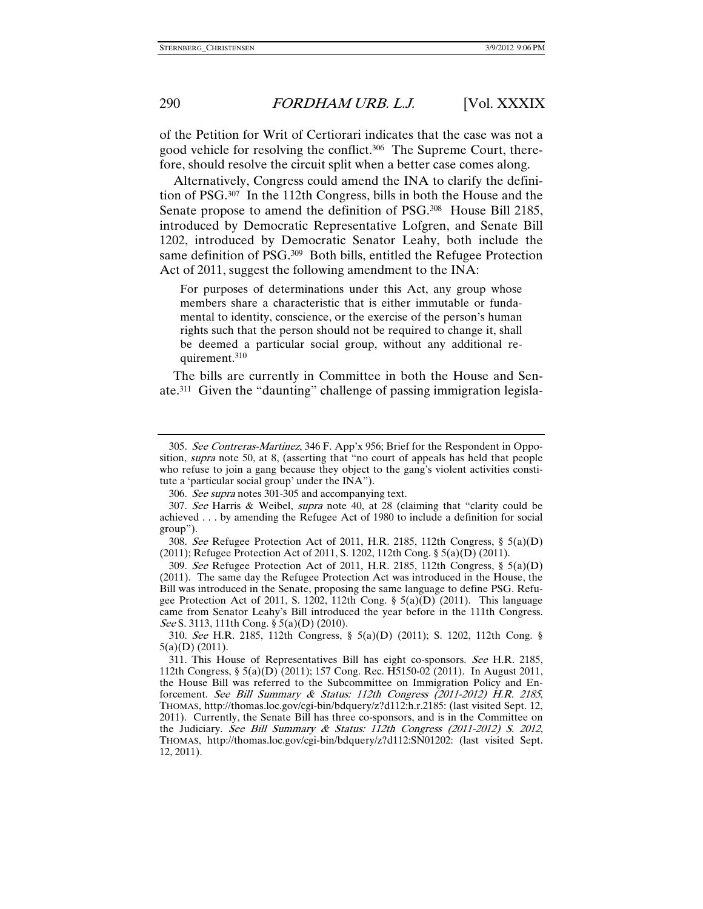of the Petition for Writ of Certiorari indicates that the case was not a good vehicle for resolving the conflict.306 The Supreme Court, therefore, should resolve the circuit split when a better case comes along.

Alternatively, Congress could amend the INA to clarify the definition of PSG.307 In the 112th Congress, bills in both the House and the Senate propose to amend the definition of PSG.308 House Bill 2185, introduced by Democratic Representative Lofgren, and Senate Bill 1202, introduced by Democratic Senator Leahy, both include the same definition of PSG.309 Both bills, entitled the Refugee Protection Act of 2011, suggest the following amendment to the INA:

For purposes of determinations under this Act, any group whose members share a characteristic that is either immutable or fundamental to identity, conscience, or the exercise of the person's human rights such that the person should not be required to change it, shall be deemed a particular social group, without any additional requirement.310

The bills are currently in Committee in both the House and Senate.311 Given the "daunting" challenge of passing immigration legisla-

 <sup>305.</sup> See Contreras-Martinez, 346 F. App'x 956; Brief for the Respondent in Opposition, *supra* note 50, at 8, (asserting that "no court of appeals has held that people who refuse to join a gang because they object to the gang's violent activities constitute a 'particular social group' under the INA").

 <sup>306.</sup> See supra notes 301-305 and accompanying text.

 <sup>307.</sup> See Harris & Weibel, supra note 40, at 28 (claiming that "clarity could be achieved . . . by amending the Refugee Act of 1980 to include a definition for social group").

 <sup>308.</sup> See Refugee Protection Act of 2011, H.R. 2185, 112th Congress, § 5(a)(D) (2011); Refugee Protection Act of 2011, S. 1202, 112th Cong. § 5(a)(D) (2011).

<sup>309.</sup> See Refugee Protection Act of 2011, H.R. 2185, 112th Congress,  $\S$  5(a)(D) (2011). The same day the Refugee Protection Act was introduced in the House, the Bill was introduced in the Senate, proposing the same language to define PSG. Refugee Protection Act of 2011, S. 1202, 112th Cong. §  $5(a)(D)$  (2011). This language came from Senator Leahy's Bill introduced the year before in the 111th Congress. See S. 3113, 111th Cong. § 5(a)(D) (2010).

 <sup>310.</sup> See H.R. 2185, 112th Congress, § 5(a)(D) (2011); S. 1202, 112th Cong. § 5(a)(D) (2011).

 <sup>311.</sup> This House of Representatives Bill has eight co-sponsors. See H.R. 2185, 112th Congress, § 5(a)(D) (2011); 157 Cong. Rec. H5150-02 (2011). In August 2011, the House Bill was referred to the Subcommittee on Immigration Policy and Enforcement. See Bill Summary & Status: 112th Congress (2011-2012) H.R. 2185, THOMAS, http://thomas.loc.gov/cgi-bin/bdquery/z?d112:h.r.2185: (last visited Sept. 12, 2011). Currently, the Senate Bill has three co-sponsors, and is in the Committee on the Judiciary. See Bill Summary & Status: 112th Congress (2011-2012) S. 2012, THOMAS, http://thomas.loc.gov/cgi-bin/bdquery/z?d112:SN01202: (last visited Sept. 12, 2011).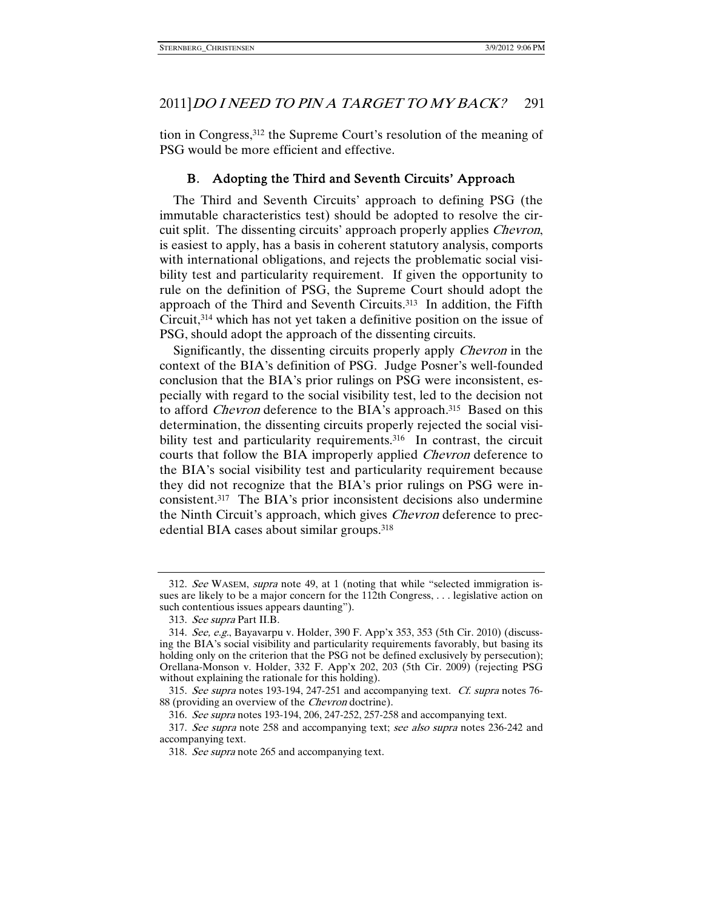tion in Congress,312 the Supreme Court's resolution of the meaning of PSG would be more efficient and effective.

# B. Adopting the Third and Seventh Circuits' Approach

The Third and Seventh Circuits' approach to defining PSG (the immutable characteristics test) should be adopted to resolve the circuit split. The dissenting circuits' approach properly applies *Chevron*, is easiest to apply, has a basis in coherent statutory analysis, comports with international obligations, and rejects the problematic social visibility test and particularity requirement. If given the opportunity to rule on the definition of PSG, the Supreme Court should adopt the approach of the Third and Seventh Circuits.313 In addition, the Fifth Circuit,314 which has not yet taken a definitive position on the issue of PSG, should adopt the approach of the dissenting circuits.

Significantly, the dissenting circuits properly apply Chevron in the context of the BIA's definition of PSG. Judge Posner's well-founded conclusion that the BIA's prior rulings on PSG were inconsistent, especially with regard to the social visibility test, led to the decision not to afford *Chevron* deference to the BIA's approach.<sup>315</sup> Based on this determination, the dissenting circuits properly rejected the social visibility test and particularity requirements.<sup>316</sup> In contrast, the circuit courts that follow the BIA improperly applied Chevron deference to the BIA's social visibility test and particularity requirement because they did not recognize that the BIA's prior rulings on PSG were inconsistent.317 The BIA's prior inconsistent decisions also undermine the Ninth Circuit's approach, which gives Chevron deference to precedential BIA cases about similar groups.318

 <sup>312.</sup> See WASEM, supra note 49, at 1 (noting that while "selected immigration issues are likely to be a major concern for the 112th Congress, . . . legislative action on such contentious issues appears daunting").

 <sup>313.</sup> See supra Part II.B.

 <sup>314.</sup> See, e.g., Bayavarpu v. Holder, 390 F. App'x 353, 353 (5th Cir. 2010) (discussing the BIA's social visibility and particularity requirements favorably, but basing its holding only on the criterion that the PSG not be defined exclusively by persecution); Orellana-Monson v. Holder, 332 F. App'x 202, 203 (5th Cir. 2009) (rejecting PSG without explaining the rationale for this holding).

 <sup>315.</sup> See supra notes 193-194, 247-251 and accompanying text. Cf. supra notes 76- 88 (providing an overview of the *Chevron* doctrine).

 <sup>316.</sup> See supra notes 193-194, 206, 247-252, 257-258 and accompanying text.

<sup>317.</sup> See supra note 258 and accompanying text; see also supra notes 236-242 and accompanying text.

 <sup>318.</sup> See supra note 265 and accompanying text.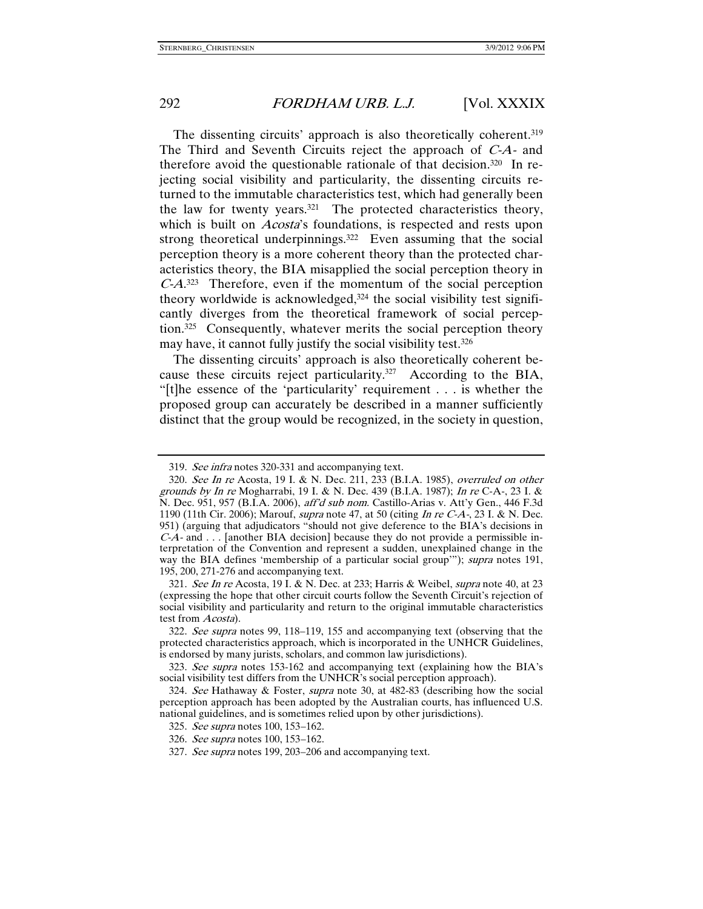The dissenting circuits' approach is also theoretically coherent.<sup>319</sup> The Third and Seventh Circuits reject the approach of C-A- and therefore avoid the questionable rationale of that decision.320 In rejecting social visibility and particularity, the dissenting circuits returned to the immutable characteristics test, which had generally been the law for twenty years.321 The protected characteristics theory, which is built on *Acosta'*s foundations, is respected and rests upon strong theoretical underpinnings.<sup>322</sup> Even assuming that the social perception theory is a more coherent theory than the protected characteristics theory, the BIA misapplied the social perception theory in C-A. 323 Therefore, even if the momentum of the social perception theory worldwide is acknowledged,324 the social visibility test significantly diverges from the theoretical framework of social perception.325 Consequently, whatever merits the social perception theory may have, it cannot fully justify the social visibility test.<sup>326</sup>

The dissenting circuits' approach is also theoretically coherent because these circuits reject particularity.327 According to the BIA, "[t]he essence of the 'particularity' requirement . . . is whether the proposed group can accurately be described in a manner sufficiently distinct that the group would be recognized, in the society in question,

 321. See In re Acosta, 19 I. & N. Dec. at 233; Harris & Weibel, supra note 40, at 23 (expressing the hope that other circuit courts follow the Seventh Circuit's rejection of social visibility and particularity and return to the original immutable characteristics test from Acosta).

 <sup>319.</sup> See infra notes 320-331 and accompanying text.

 <sup>320.</sup> See In re Acosta, 19 I. & N. Dec. 211, 233 (B.I.A. 1985), overruled on other grounds by In re Mogharrabi, 19 I. & N. Dec. 439 (B.I.A. 1987); In re C-A-, 23 I. & N. Dec. 951, 957 (B.I.A. 2006), aff'd sub nom. Castillo-Arias v. Att'y Gen., 446 F.3d 1190 (11th Cir. 2006); Marouf, *supra* note 47, at 50 (citing *In re C-A*-, 23 I. & N. Dec. 951) (arguing that adjudicators "should not give deference to the BIA's decisions in  $C-A$ - and  $\ldots$  [another BIA decision] because they do not provide a permissible interpretation of the Convention and represent a sudden, unexplained change in the way the BIA defines 'membership of a particular social group'"); *supra* notes 191, 195, 200, 271-276 and accompanying text.

 <sup>322.</sup> See supra notes 99, 118–119, 155 and accompanying text (observing that the protected characteristics approach, which is incorporated in the UNHCR Guidelines, is endorsed by many jurists, scholars, and common law jurisdictions).

 <sup>323.</sup> See supra notes 153-162 and accompanying text (explaining how the BIA's social visibility test differs from the UNHCR's social perception approach).

 <sup>324.</sup> See Hathaway & Foster, supra note 30, at 482-83 (describing how the social perception approach has been adopted by the Australian courts, has influenced U.S. national guidelines, and is sometimes relied upon by other jurisdictions).

 <sup>325.</sup> See supra notes 100, 153–162.

 <sup>326.</sup> See supra notes 100, 153–162.

 <sup>327.</sup> See supra notes 199, 203–206 and accompanying text.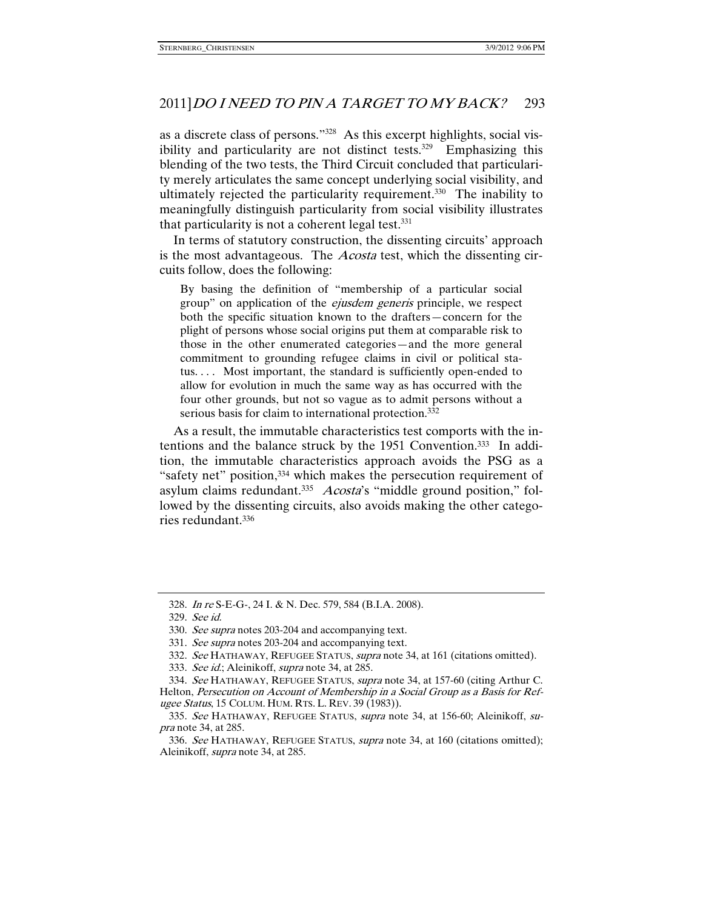as a discrete class of persons."328 As this excerpt highlights, social visibility and particularity are not distinct tests. $329$  Emphasizing this blending of the two tests, the Third Circuit concluded that particularity merely articulates the same concept underlying social visibility, and ultimately rejected the particularity requirement.<sup>330</sup> The inability to meaningfully distinguish particularity from social visibility illustrates that particularity is not a coherent legal test. $331$ 

In terms of statutory construction, the dissenting circuits' approach is the most advantageous. The *Acosta* test, which the dissenting circuits follow, does the following:

By basing the definition of "membership of a particular social group" on application of the *ejusdem generis* principle, we respect both the specific situation known to the drafters—concern for the plight of persons whose social origins put them at comparable risk to those in the other enumerated categories—and the more general commitment to grounding refugee claims in civil or political status.... Most important, the standard is sufficiently open-ended to allow for evolution in much the same way as has occurred with the four other grounds, but not so vague as to admit persons without a serious basis for claim to international protection.<sup>332</sup>

As a result, the immutable characteristics test comports with the intentions and the balance struck by the 1951 Convention.333 In addition, the immutable characteristics approach avoids the PSG as a "safety net" position,334 which makes the persecution requirement of asylum claims redundant.<sup>335</sup> Acosta's "middle ground position," followed by the dissenting circuits, also avoids making the other categories redundant.336

 <sup>328.</sup> In re S-E-G-, 24 I. & N. Dec. 579, 584 (B.I.A. 2008).

 <sup>329.</sup> See id.

 <sup>330.</sup> See supra notes 203-204 and accompanying text.

 <sup>331.</sup> See supra notes 203-204 and accompanying text.

<sup>332.</sup> See HATHAWAY, REFUGEE STATUS, supra note 34, at 161 (citations omitted).

<sup>333.</sup> See id.; Aleinikoff, supra note 34, at 285.

<sup>334.</sup> See HATHAWAY, REFUGEE STATUS, supra note 34, at 157-60 (citing Arthur C. Helton, Persecution on Account of Membership in a Social Group as a Basis for Refugee Status, 15 COLUM. HUM. RTS. L. REV. 39 (1983)).

<sup>335.</sup> See HATHAWAY, REFUGEE STATUS, supra note 34, at 156-60; Aleinikoff, supra note 34, at 285.

 <sup>336.</sup> See HATHAWAY, REFUGEE STATUS, supra note 34, at 160 (citations omitted); Aleinikoff, supra note 34, at 285.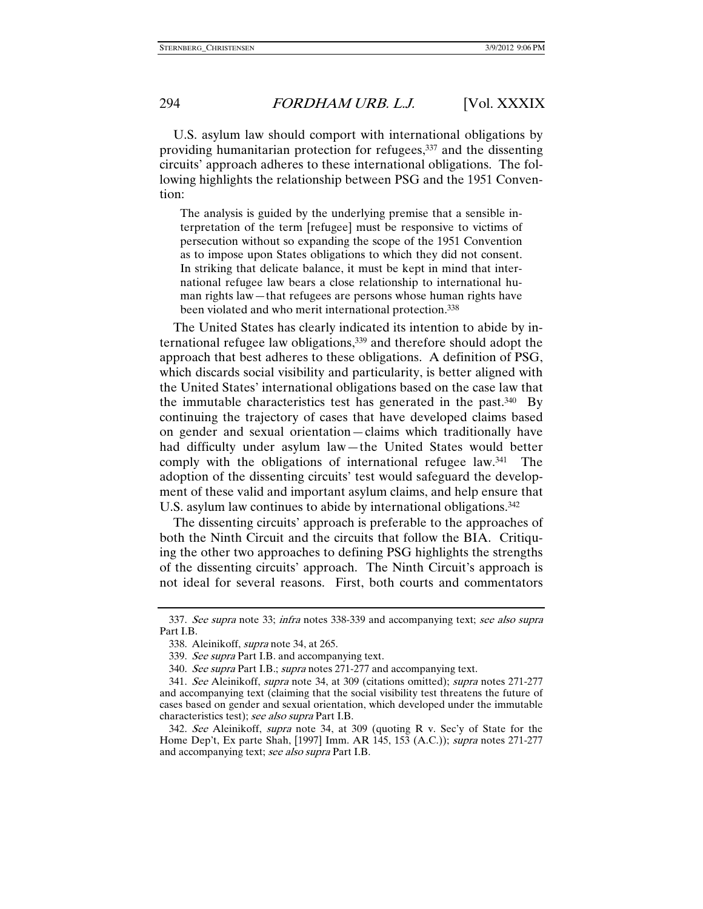U.S. asylum law should comport with international obligations by providing humanitarian protection for refugees,<sup>337</sup> and the dissenting circuits' approach adheres to these international obligations. The following highlights the relationship between PSG and the 1951 Convention:

The analysis is guided by the underlying premise that a sensible interpretation of the term [refugee] must be responsive to victims of persecution without so expanding the scope of the 1951 Convention as to impose upon States obligations to which they did not consent. In striking that delicate balance, it must be kept in mind that international refugee law bears a close relationship to international human rights law—that refugees are persons whose human rights have been violated and who merit international protection.<sup>338</sup>

The United States has clearly indicated its intention to abide by international refugee law obligations,339 and therefore should adopt the approach that best adheres to these obligations. A definition of PSG, which discards social visibility and particularity, is better aligned with the United States' international obligations based on the case law that the immutable characteristics test has generated in the past.340 By continuing the trajectory of cases that have developed claims based on gender and sexual orientation—claims which traditionally have had difficulty under asylum law—the United States would better comply with the obligations of international refugee law.341 The adoption of the dissenting circuits' test would safeguard the development of these valid and important asylum claims, and help ensure that U.S. asylum law continues to abide by international obligations.<sup>342</sup>

The dissenting circuits' approach is preferable to the approaches of both the Ninth Circuit and the circuits that follow the BIA. Critiquing the other two approaches to defining PSG highlights the strengths of the dissenting circuits' approach. The Ninth Circuit's approach is not ideal for several reasons. First, both courts and commentators

 <sup>337.</sup> See supra note 33; infra notes 338-339 and accompanying text; see also supra Part I.B.

 <sup>338.</sup> Aleinikoff, supra note 34, at 265.

<sup>339.</sup> See supra Part I.B. and accompanying text.

<sup>340.</sup> See supra Part I.B.; supra notes 271-277 and accompanying text.

 <sup>341.</sup> See Aleinikoff, supra note 34, at 309 (citations omitted); supra notes 271-277 and accompanying text (claiming that the social visibility test threatens the future of cases based on gender and sexual orientation, which developed under the immutable characteristics test); see also supra Part I.B.

 <sup>342.</sup> See Aleinikoff, supra note 34, at 309 (quoting R v. Sec'y of State for the Home Dep't, Ex parte Shah, [1997] Imm. AR 145, 153 (A.C.)); supra notes 271-277 and accompanying text; see also supra Part I.B.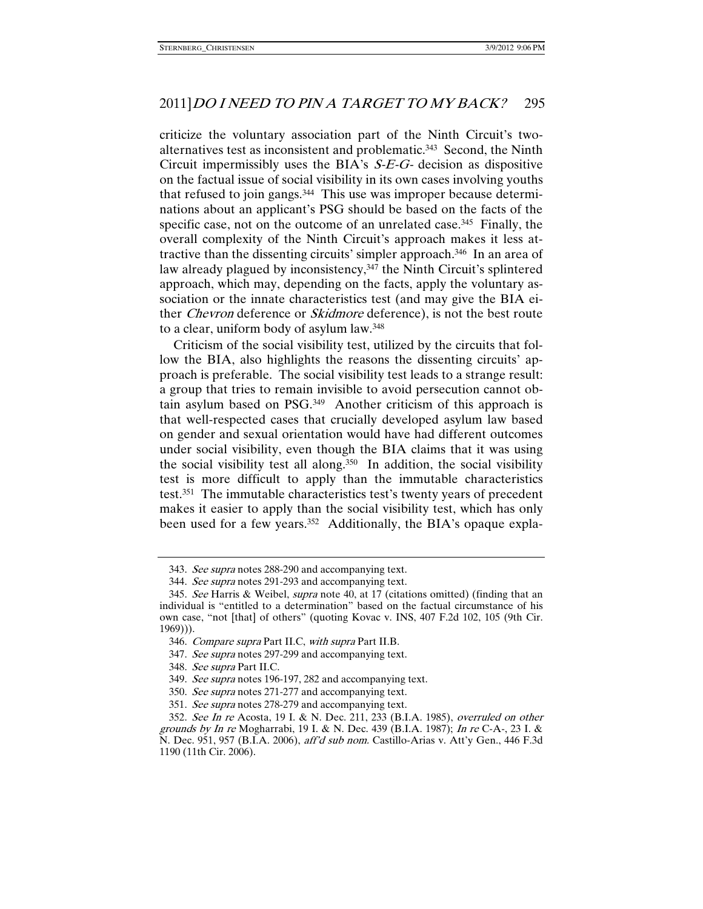criticize the voluntary association part of the Ninth Circuit's twoalternatives test as inconsistent and problematic.343 Second, the Ninth Circuit impermissibly uses the BIA's  $S-E-G$ - decision as dispositive on the factual issue of social visibility in its own cases involving youths that refused to join gangs.344 This use was improper because determinations about an applicant's PSG should be based on the facts of the specific case, not on the outcome of an unrelated case.<sup>345</sup> Finally, the overall complexity of the Ninth Circuit's approach makes it less attractive than the dissenting circuits' simpler approach.346 In an area of law already plagued by inconsistency,<sup>347</sup> the Ninth Circuit's splintered approach, which may, depending on the facts, apply the voluntary association or the innate characteristics test (and may give the BIA either Chevron deference or Skidmore deference), is not the best route to a clear, uniform body of asylum law.348

Criticism of the social visibility test, utilized by the circuits that follow the BIA, also highlights the reasons the dissenting circuits' approach is preferable. The social visibility test leads to a strange result: a group that tries to remain invisible to avoid persecution cannot obtain asylum based on PSG.349 Another criticism of this approach is that well-respected cases that crucially developed asylum law based on gender and sexual orientation would have had different outcomes under social visibility, even though the BIA claims that it was using the social visibility test all along.<sup>350</sup> In addition, the social visibility test is more difficult to apply than the immutable characteristics test.351 The immutable characteristics test's twenty years of precedent makes it easier to apply than the social visibility test, which has only been used for a few years.<sup>352</sup> Additionally, the BIA's opaque expla-

<sup>343.</sup> See supra notes 288-290 and accompanying text.

 <sup>344.</sup> See supra notes 291-293 and accompanying text.

<sup>345.</sup> See Harris & Weibel, supra note 40, at 17 (citations omitted) (finding that an individual is "entitled to a determination" based on the factual circumstance of his own case, "not [that] of others" (quoting Kovac v. INS, 407 F.2d 102, 105 (9th Cir. 1969))).

 <sup>346.</sup> Compare supra Part II.C, with supra Part II.B.

<sup>347.</sup> See supra notes 297-299 and accompanying text.

 <sup>348.</sup> See supra Part II.C.

 <sup>349.</sup> See supra notes 196-197, 282 and accompanying text.

<sup>350.</sup> See supra notes 271-277 and accompanying text.

<sup>351.</sup> See supra notes 278-279 and accompanying text.

 <sup>352.</sup> See In re Acosta, 19 I. & N. Dec. 211, 233 (B.I.A. 1985), overruled on other grounds by In re Mogharrabi, 19 I. & N. Dec. 439 (B.I.A. 1987); In re C-A-, 23 I. & N. Dec. 951, 957 (B.I.A. 2006), aff'd sub nom. Castillo-Arias v. Att'y Gen., 446 F.3d 1190 (11th Cir. 2006).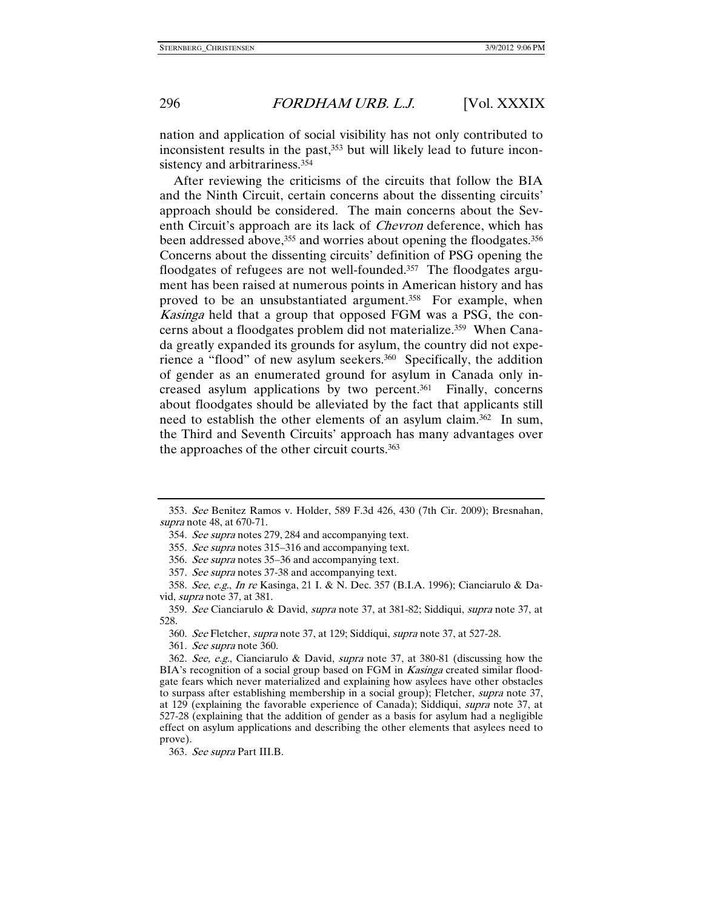nation and application of social visibility has not only contributed to inconsistent results in the past,<sup>353</sup> but will likely lead to future inconsistency and arbitrariness.<sup>354</sup>

After reviewing the criticisms of the circuits that follow the BIA and the Ninth Circuit, certain concerns about the dissenting circuits' approach should be considered. The main concerns about the Seventh Circuit's approach are its lack of Chevron deference, which has been addressed above,<sup>355</sup> and worries about opening the floodgates.<sup>356</sup> Concerns about the dissenting circuits' definition of PSG opening the floodgates of refugees are not well-founded.357 The floodgates argument has been raised at numerous points in American history and has proved to be an unsubstantiated argument.358 For example, when Kasinga held that a group that opposed FGM was a PSG, the concerns about a floodgates problem did not materialize.<sup>359</sup> When Canada greatly expanded its grounds for asylum, the country did not experience a "flood" of new asylum seekers.<sup>360</sup> Specifically, the addition of gender as an enumerated ground for asylum in Canada only increased asylum applications by two percent.361 Finally, concerns about floodgates should be alleviated by the fact that applicants still need to establish the other elements of an asylum claim.362 In sum, the Third and Seventh Circuits' approach has many advantages over the approaches of the other circuit courts.363

 <sup>353.</sup> See Benitez Ramos v. Holder, 589 F.3d 426, 430 (7th Cir. 2009); Bresnahan, supra note 48, at 670-71.

 <sup>354.</sup> See supra notes 279, 284 and accompanying text.

 <sup>355.</sup> See supra notes 315–316 and accompanying text.

 <sup>356.</sup> See supra notes 35–36 and accompanying text.

 <sup>357.</sup> See supra notes 37-38 and accompanying text.

 <sup>358.</sup> See, e.g., In re Kasinga, 21 I. & N. Dec. 357 (B.I.A. 1996); Cianciarulo & David, supra note 37, at 381.

 <sup>359.</sup> See Cianciarulo & David, supra note 37, at 381-82; Siddiqui, supra note 37, at 528.

 <sup>360.</sup> See Fletcher, supra note 37, at 129; Siddiqui, supra note 37, at 527-28.

 <sup>361.</sup> See supra note 360.

 <sup>362.</sup> See, e.g., Cianciarulo & David, supra note 37, at 380-81 (discussing how the BIA's recognition of a social group based on FGM in *Kasinga* created similar floodgate fears which never materialized and explaining how asylees have other obstacles to surpass after establishing membership in a social group); Fletcher, supra note 37, at 129 (explaining the favorable experience of Canada); Siddiqui, supra note 37, at 527-28 (explaining that the addition of gender as a basis for asylum had a negligible effect on asylum applications and describing the other elements that asylees need to prove).

 <sup>363.</sup> See supra Part III.B.